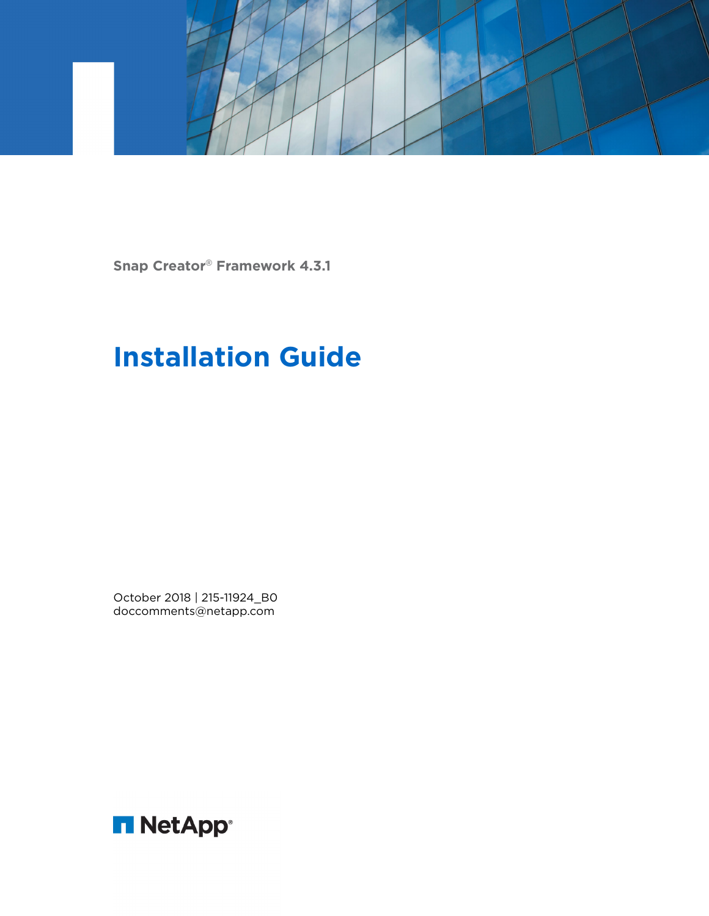

**Snap Creator**® **Framework 4.3.1**

# **Installation Guide**

October 2018 | 215-11924\_B0 doccomments@netapp.com

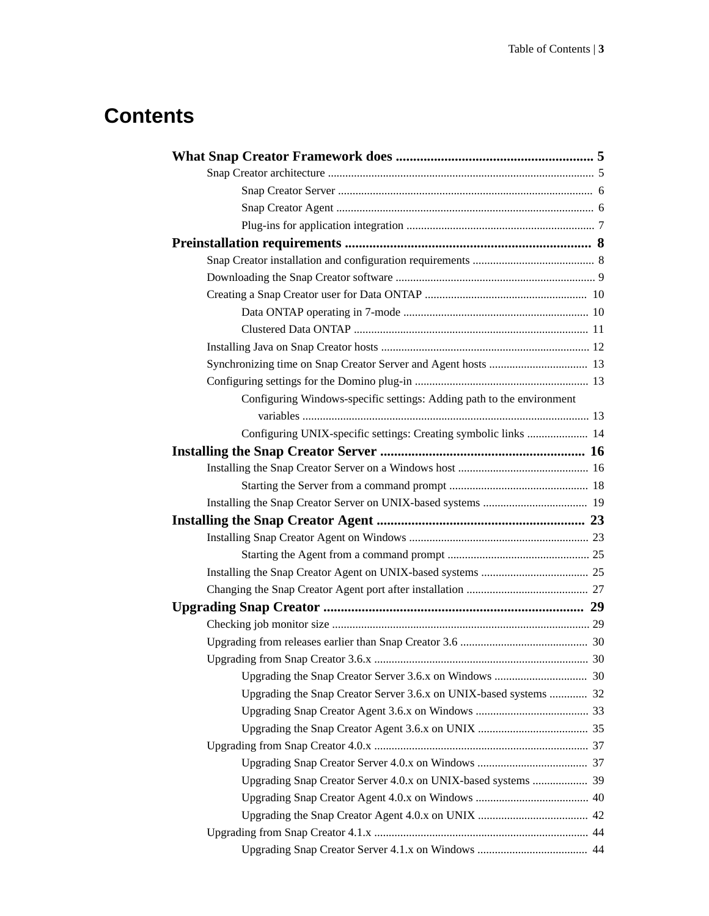# **Contents**

| Configuring Windows-specific settings: Adding path to the environment |  |
|-----------------------------------------------------------------------|--|
|                                                                       |  |
| Configuring UNIX-specific settings: Creating symbolic links  14       |  |
|                                                                       |  |
|                                                                       |  |
|                                                                       |  |
|                                                                       |  |
|                                                                       |  |
|                                                                       |  |
|                                                                       |  |
|                                                                       |  |
|                                                                       |  |
|                                                                       |  |
|                                                                       |  |
|                                                                       |  |
|                                                                       |  |
|                                                                       |  |
| Upgrading the Snap Creator Server 3.6.x on UNIX-based systems  32     |  |
|                                                                       |  |
|                                                                       |  |
|                                                                       |  |
|                                                                       |  |
| Upgrading Snap Creator Server 4.0.x on UNIX-based systems  39         |  |
|                                                                       |  |
|                                                                       |  |
|                                                                       |  |
|                                                                       |  |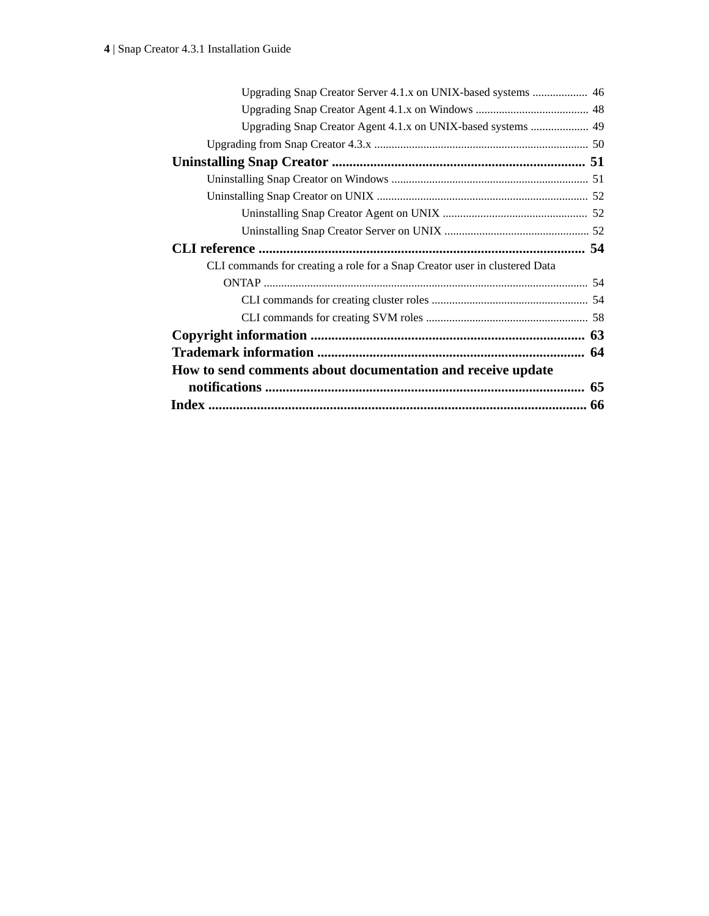| Upgrading Snap Creator Agent 4.1.x on UNIX-based systems  49               |  |
|----------------------------------------------------------------------------|--|
|                                                                            |  |
|                                                                            |  |
|                                                                            |  |
|                                                                            |  |
|                                                                            |  |
|                                                                            |  |
|                                                                            |  |
| CLI commands for creating a role for a Snap Creator user in clustered Data |  |
|                                                                            |  |
|                                                                            |  |
|                                                                            |  |
|                                                                            |  |
|                                                                            |  |
|                                                                            |  |
| How to send comments about documentation and receive update                |  |
|                                                                            |  |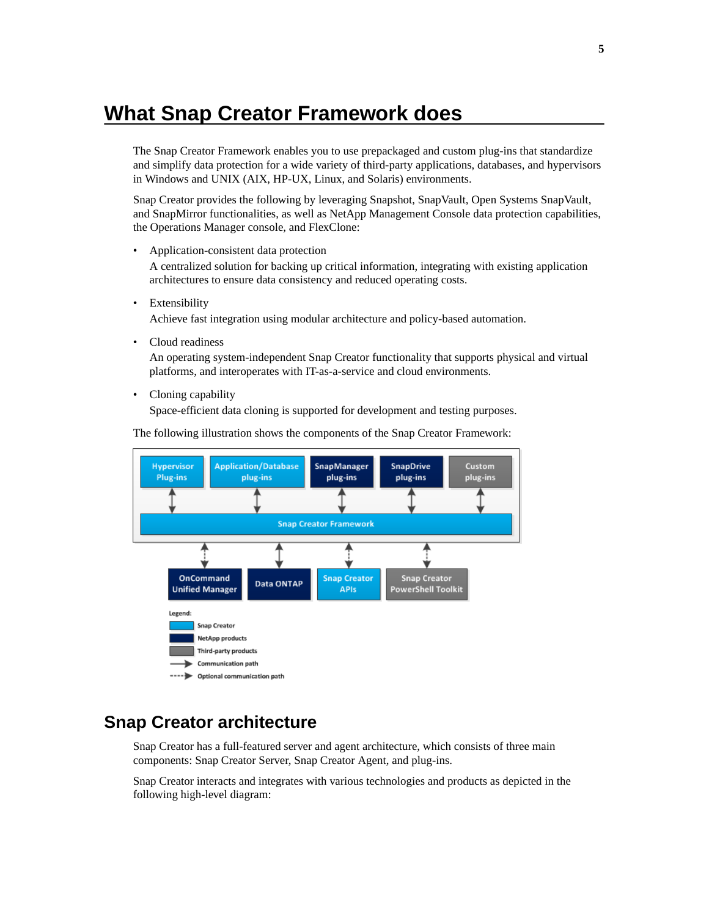# <span id="page-4-0"></span>**What Snap Creator Framework does**

The Snap Creator Framework enables you to use prepackaged and custom plug-ins that standardize and simplify data protection for a wide variety of third-party applications, databases, and hypervisors in Windows and UNIX (AIX, HP-UX, Linux, and Solaris) environments.

Snap Creator provides the following by leveraging Snapshot, SnapVault, Open Systems SnapVault, and SnapMirror functionalities, as well as NetApp Management Console data protection capabilities, the Operations Manager console, and FlexClone:

- Application-consistent data protection A centralized solution for backing up critical information, integrating with existing application architectures to ensure data consistency and reduced operating costs.
- Extensibility

Achieve fast integration using modular architecture and policy-based automation.

• Cloud readiness

An operating system-independent Snap Creator functionality that supports physical and virtual platforms, and interoperates with IT-as-a-service and cloud environments.

• Cloning capability

Space-efficient data cloning is supported for development and testing purposes.

The following illustration shows the components of the Snap Creator Framework:



## **Snap Creator architecture**

Snap Creator has a full-featured server and agent architecture, which consists of three main components: Snap Creator Server, Snap Creator Agent, and plug-ins.

Snap Creator interacts and integrates with various technologies and products as depicted in the following high-level diagram: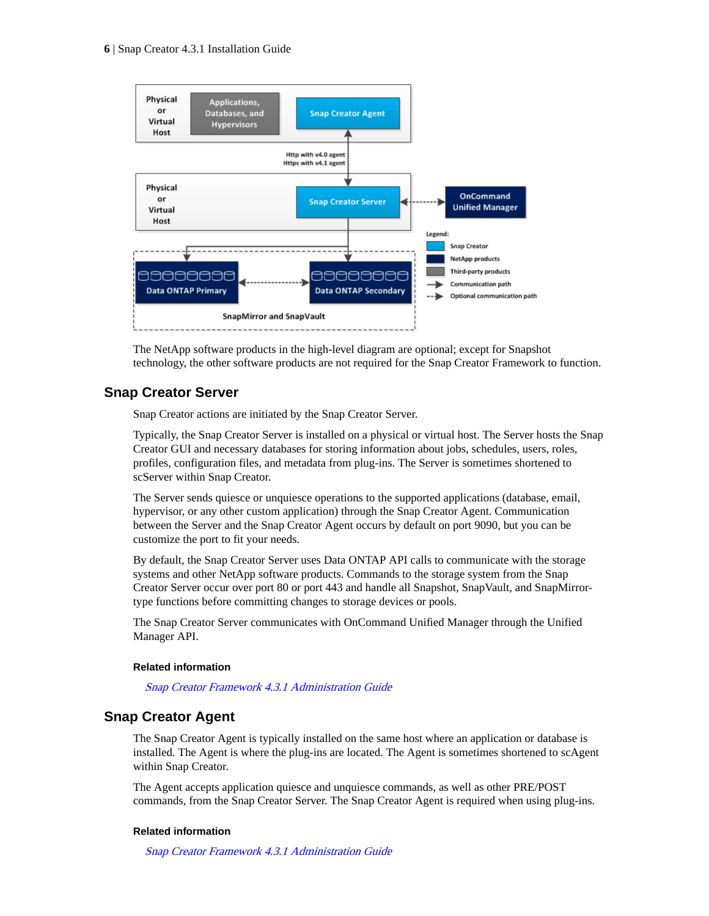<span id="page-5-0"></span>

The NetApp software products in the high-level diagram are optional; except for Snapshot technology, the other software products are not required for the Snap Creator Framework to function.

## **Snap Creator Server**

Snap Creator actions are initiated by the Snap Creator Server.

Typically, the Snap Creator Server is installed on a physical or virtual host. The Server hosts the Snap Creator GUI and necessary databases for storing information about jobs, schedules, users, roles, profiles, configuration files, and metadata from plug-ins. The Server is sometimes shortened to scServer within Snap Creator.

The Server sends quiesce or unquiesce operations to the supported applications (database, email, hypervisor, or any other custom application) through the Snap Creator Agent. Communication between the Server and the Snap Creator Agent occurs by default on port 9090, but you can be customize the port to fit your needs.

By default, the Snap Creator Server uses Data ONTAP API calls to communicate with the storage systems and other NetApp software products. Commands to the storage system from the Snap Creator Server occur over port 80 or port 443 and handle all Snapshot, SnapVault, and SnapMirrortype functions before committing changes to storage devices or pools.

The Snap Creator Server communicates with OnCommand Unified Manager through the Unified Manager API.

#### **Related information**

[Snap Creator Framework 4.3.1 Administration Guide](https://library.netapp.com/ecm/ecm_download_file/ECMLP2604630)

### **Snap Creator Agent**

The Snap Creator Agent is typically installed on the same host where an application or database is installed. The Agent is where the plug-ins are located. The Agent is sometimes shortened to scAgent within Snap Creator.

The Agent accepts application quiesce and unquiesce commands, as well as other PRE/POST commands, from the Snap Creator Server. The Snap Creator Agent is required when using plug-ins.

#### **Related information**

[Snap Creator Framework 4.3.1 Administration Guide](https://library.netapp.com/ecm/ecm_download_file/ECMLP2604630)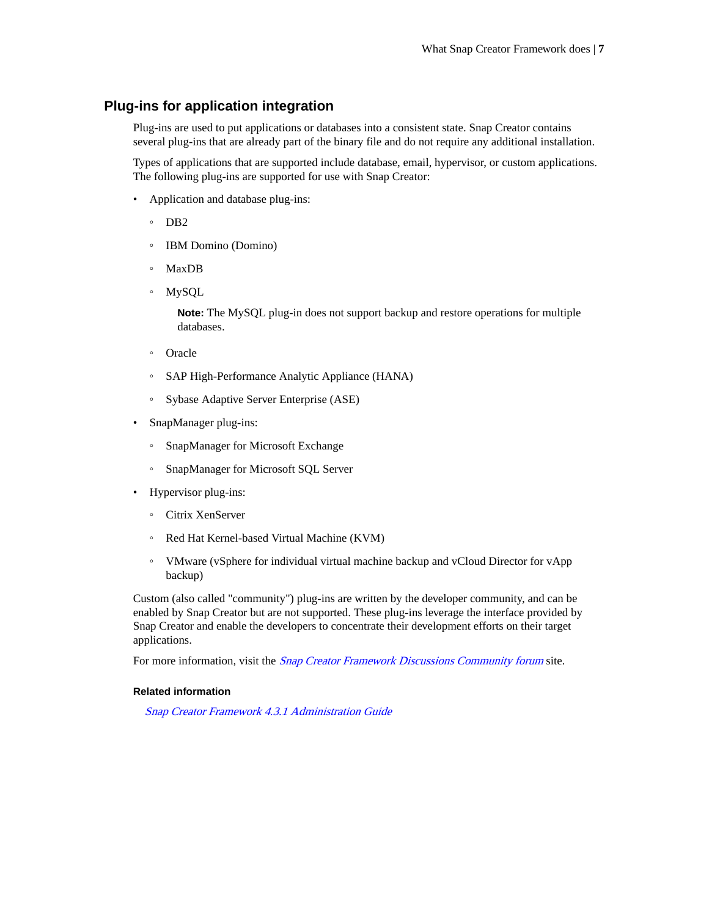## <span id="page-6-0"></span>**Plug-ins for application integration**

Plug-ins are used to put applications or databases into a consistent state. Snap Creator contains several plug-ins that are already part of the binary file and do not require any additional installation.

Types of applications that are supported include database, email, hypervisor, or custom applications. The following plug-ins are supported for use with Snap Creator:

- Application and database plug-ins:
	- DB2
	- IBM Domino (Domino)
	- MaxDB
	- MySQL

**Note:** The MySQL plug-in does not support backup and restore operations for multiple databases.

- Oracle
- SAP High-Performance Analytic Appliance (HANA)
- Sybase Adaptive Server Enterprise (ASE)
- SnapManager plug-ins:
	- SnapManager for Microsoft Exchange
	- SnapManager for Microsoft SQL Server
- Hypervisor plug-ins:
	- Citrix XenServer
	- Red Hat Kernel-based Virtual Machine (KVM)
	- VMware (vSphere for individual virtual machine backup and vCloud Director for vApp backup)

Custom (also called "community") plug-ins are written by the developer community, and can be enabled by Snap Creator but are not supported. These plug-ins leverage the interface provided by Snap Creator and enable the developers to concentrate their development efforts on their target applications.

For more information, visit the *[Snap Creator Framework Discussions Community forum](http://community.netapp.com/t5/Snap-Creator-Framework-Discussions/bd-p/snap-creator-framework-discussions)* site.

#### **Related information**

[Snap Creator Framework 4.3.1 Administration Guide](https://library.netapp.com/ecm/ecm_download_file/ECMLP2604630)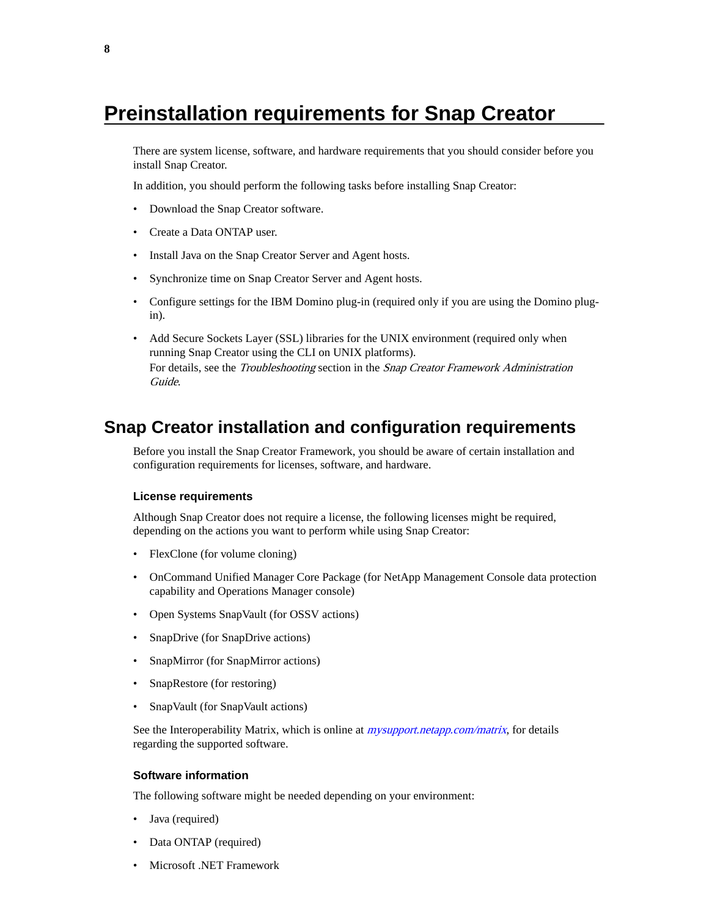# <span id="page-7-0"></span>**Preinstallation requirements for Snap Creator**

There are system license, software, and hardware requirements that you should consider before you install Snap Creator.

In addition, you should perform the following tasks before installing Snap Creator:

- Download the Snap Creator software.
- Create a Data ONTAP user.
- Install Java on the Snap Creator Server and Agent hosts.
- Synchronize time on Snap Creator Server and Agent hosts.
- Configure settings for the IBM Domino plug-in (required only if you are using the Domino plugin).
- Add Secure Sockets Layer (SSL) libraries for the UNIX environment (required only when running Snap Creator using the CLI on UNIX platforms). For details, see the Troubleshooting section in the Snap Creator Framework Administration Guide.

## **Snap Creator installation and configuration requirements**

Before you install the Snap Creator Framework, you should be aware of certain installation and configuration requirements for licenses, software, and hardware.

#### **License requirements**

Although Snap Creator does not require a license, the following licenses might be required, depending on the actions you want to perform while using Snap Creator:

- FlexClone (for volume cloning)
- OnCommand Unified Manager Core Package (for NetApp Management Console data protection capability and Operations Manager console)
- Open Systems SnapVault (for OSSV actions)
- SnapDrive (for SnapDrive actions)
- SnapMirror (for SnapMirror actions)
- SnapRestore (for restoring)
- SnapVault (for SnapVault actions)

See the Interoperability Matrix, which is online at *[mysupport.netapp.com/matrix](http://mysupport.netapp.com/matrix)*, for details regarding the supported software.

#### **Software information**

The following software might be needed depending on your environment:

- Java (required)
- Data ONTAP (required)
- Microsoft .NET Framework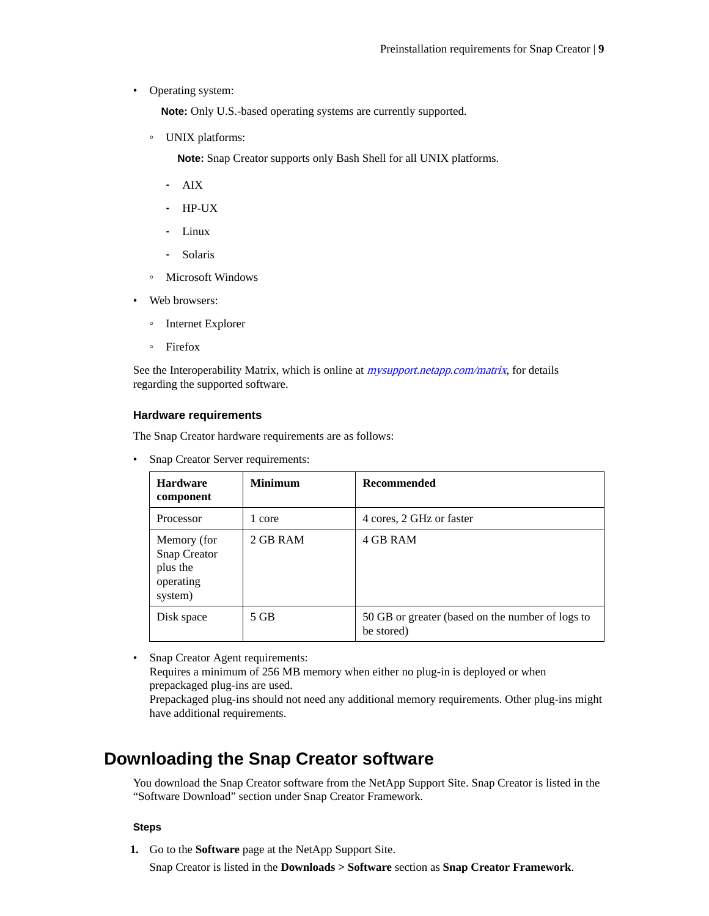<span id="page-8-0"></span>• Operating system:

**Note:** Only U.S.-based operating systems are currently supported.

◦ UNIX platforms:

**Note:** Snap Creator supports only Bash Shell for all UNIX platforms.

- ⁃ AIX
- ⁃ HP-UX
- ⁃ Linux
- ⁃ Solaris
- Microsoft Windows
- Web browsers:
	- Internet Explorer
	- Firefox

See the Interoperability Matrix, which is online at *[mysupport.netapp.com/matrix](http://mysupport.netapp.com/matrix)*, for details regarding the supported software.

#### **Hardware requirements**

The Snap Creator hardware requirements are as follows:

• Snap Creator Server requirements:

have additional requirements.

| <b>Hardware</b><br>component                                    | <b>Minimum</b> | <b>Recommended</b>                                             |
|-----------------------------------------------------------------|----------------|----------------------------------------------------------------|
| Processor                                                       | 1 core         | 4 cores, 2 GHz or faster                                       |
| Memory (for<br>Snap Creator<br>plus the<br>operating<br>system) | 2 GB RAM       | 4 GB RAM                                                       |
| Disk space                                                      | 5 GB           | 50 GB or greater (based on the number of logs to<br>be stored) |

• Snap Creator Agent requirements: Requires a minimum of 256 MB memory when either no plug-in is deployed or when prepackaged plug-ins are used. Prepackaged plug-ins should not need any additional memory requirements. Other plug-ins might

## **Downloading the Snap Creator software**

You download the Snap Creator software from the NetApp Support Site. Snap Creator is listed in the "Software Download" section under Snap Creator Framework.

#### **Steps**

**1.** Go to the **Software** page at the NetApp Support Site.

Snap Creator is listed in the **Downloads > Software** section as **Snap Creator Framework**.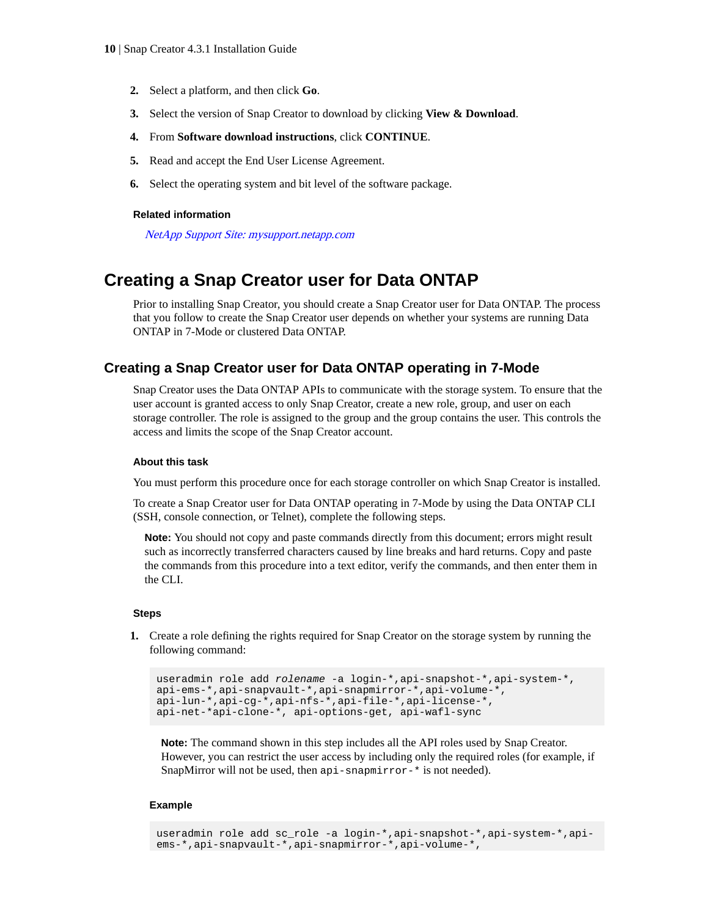- <span id="page-9-0"></span>**2.** Select a platform, and then click **Go**.
- **3.** Select the version of Snap Creator to download by clicking **View & Download**.
- **4.** From **Software download instructions**, click **CONTINUE**.
- **5.** Read and accept the End User License Agreement.
- **6.** Select the operating system and bit level of the software package.

#### **Related information**

[NetApp Support Site: mysupport.netapp.com](http://mysupport.netapp.com/)

## **Creating a Snap Creator user for Data ONTAP**

Prior to installing Snap Creator, you should create a Snap Creator user for Data ONTAP. The process that you follow to create the Snap Creator user depends on whether your systems are running Data ONTAP in 7-Mode or clustered Data ONTAP.

### **Creating a Snap Creator user for Data ONTAP operating in 7-Mode**

Snap Creator uses the Data ONTAP APIs to communicate with the storage system. To ensure that the user account is granted access to only Snap Creator, create a new role, group, and user on each storage controller. The role is assigned to the group and the group contains the user. This controls the access and limits the scope of the Snap Creator account.

#### **About this task**

You must perform this procedure once for each storage controller on which Snap Creator is installed.

To create a Snap Creator user for Data ONTAP operating in 7-Mode by using the Data ONTAP CLI (SSH, console connection, or Telnet), complete the following steps.

**Note:** You should not copy and paste commands directly from this document; errors might result such as incorrectly transferred characters caused by line breaks and hard returns. Copy and paste the commands from this procedure into a text editor, verify the commands, and then enter them in the CLI.

#### **Steps**

**1.** Create a role defining the rights required for Snap Creator on the storage system by running the following command:

```
useradmin role add rolename -a login-*,api-snapshot-*,api-system-*,
api-ems-*,api-snapvault-*,api-snapmirror-*,api-volume-*,
api-lun-*,api-cg-*,api-nfs-*,api-file-*,api-license-*,
api-net-*api-clone-*, api-options-get, api-wafl-sync
```
**Note:** The command shown in this step includes all the API roles used by Snap Creator. However, you can restrict the user access by including only the required roles (for example, if SnapMirror will not be used, then api-snapmirror-\* is not needed).

#### **Example**

useradmin role add sc\_role -a login-\*,api-snapshot-\*,api-system-\*,apiems-\*,api-snapvault-\*,api-snapmirror-\*,api-volume-\*,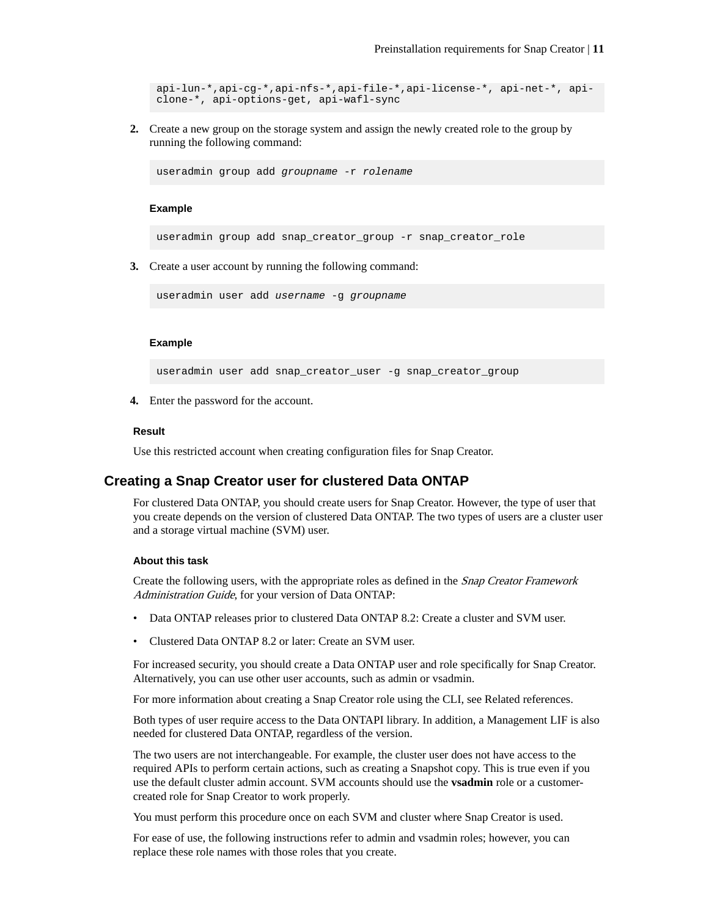<span id="page-10-0"></span>api-lun-\*,api-cg-\*,api-nfs-\*,api-file-\*,api-license-\*, api-net-\*, apiclone-\*, api-options-get, api-wafl-sync

**2.** Create a new group on the storage system and assign the newly created role to the group by running the following command:

useradmin group add groupname -r rolename

#### **Example**

useradmin group add snap\_creator\_group -r snap\_creator\_role

**3.** Create a user account by running the following command:

useradmin user add username -g groupname

#### **Example**

useradmin user add snap\_creator\_user -g snap\_creator\_group

**4.** Enter the password for the account.

#### **Result**

Use this restricted account when creating configuration files for Snap Creator.

## **Creating a Snap Creator user for clustered Data ONTAP**

For clustered Data ONTAP, you should create users for Snap Creator. However, the type of user that you create depends on the version of clustered Data ONTAP. The two types of users are a cluster user and a storage virtual machine (SVM) user.

#### **About this task**

Create the following users, with the appropriate roles as defined in the Snap Creator Framework Administration Guide, for your version of Data ONTAP:

- Data ONTAP releases prior to clustered Data ONTAP 8.2: Create a cluster and SVM user.
- Clustered Data ONTAP 8.2 or later: Create an SVM user.

For increased security, you should create a Data ONTAP user and role specifically for Snap Creator. Alternatively, you can use other user accounts, such as admin or vsadmin.

For more information about creating a Snap Creator role using the CLI, see Related references.

Both types of user require access to the Data ONTAPI library. In addition, a Management LIF is also needed for clustered Data ONTAP, regardless of the version.

The two users are not interchangeable. For example, the cluster user does not have access to the required APIs to perform certain actions, such as creating a Snapshot copy. This is true even if you use the default cluster admin account. SVM accounts should use the **vsadmin** role or a customercreated role for Snap Creator to work properly.

You must perform this procedure once on each SVM and cluster where Snap Creator is used.

For ease of use, the following instructions refer to admin and vsadmin roles; however, you can replace these role names with those roles that you create.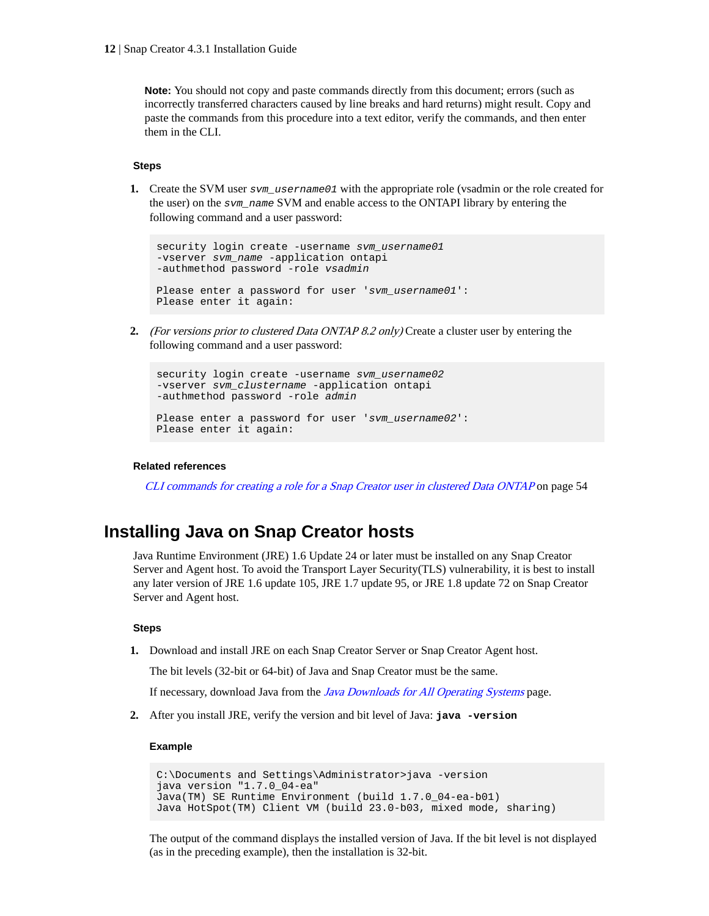<span id="page-11-0"></span>**Note:** You should not copy and paste commands directly from this document; errors (such as incorrectly transferred characters caused by line breaks and hard returns) might result. Copy and paste the commands from this procedure into a text editor, verify the commands, and then enter them in the CLI.

#### **Steps**

**1.** Create the SVM user sym\_username01 with the appropriate role (vsadmin or the role created for the user) on the svm\_name SVM and enable access to the ONTAPI library by entering the following command and a user password:

```
security login create -username svm_username01
-vserver svm_name -application ontapi 
-authmethod password -role vsadmin
Please enter a password for user 'svm_username01': 
Please enter it again:
```
**2.** (For versions prior to clustered Data ONTAP 8.2 only) Create a cluster user by entering the following command and a user password:

```
security login create -username svm_username02
-vserver svm_clustername -application ontapi 
-authmethod password -role admin
Please enter a password for user 'svm_username02':
Please enter it again:
```
#### **Related references**

[CLI commands for creating a role for a Snap Creator user in clustered Data ONTAP](#page-53-0) on page 54

## **Installing Java on Snap Creator hosts**

Java Runtime Environment (JRE) 1.6 Update 24 or later must be installed on any Snap Creator Server and Agent host. To avoid the Transport Layer Security(TLS) vulnerability, it is best to install any later version of JRE 1.6 update 105, JRE 1.7 update 95, or JRE 1.8 update 72 on Snap Creator Server and Agent host.

#### **Steps**

**1.** Download and install JRE on each Snap Creator Server or Snap Creator Agent host.

The bit levels (32-bit or 64-bit) of Java and Snap Creator must be the same.

If necessary, download Java from the *[Java Downloads for All Operating Systems](http://www.java.com/en/download/manual.jsp)* page.

**2.** After you install JRE, verify the version and bit level of Java: **java -version**

#### **Example**

```
C:\Documents and Settings\Administrator>java -version
java version "1.7.0_04-ea"
Java(TM) SE Runtime Environment (build 1.7.0_04-ea-b01)
Java HotSpot(TM) Client VM (build 23.0-b03, mixed mode, sharing)
```
The output of the command displays the installed version of Java. If the bit level is not displayed (as in the preceding example), then the installation is 32-bit.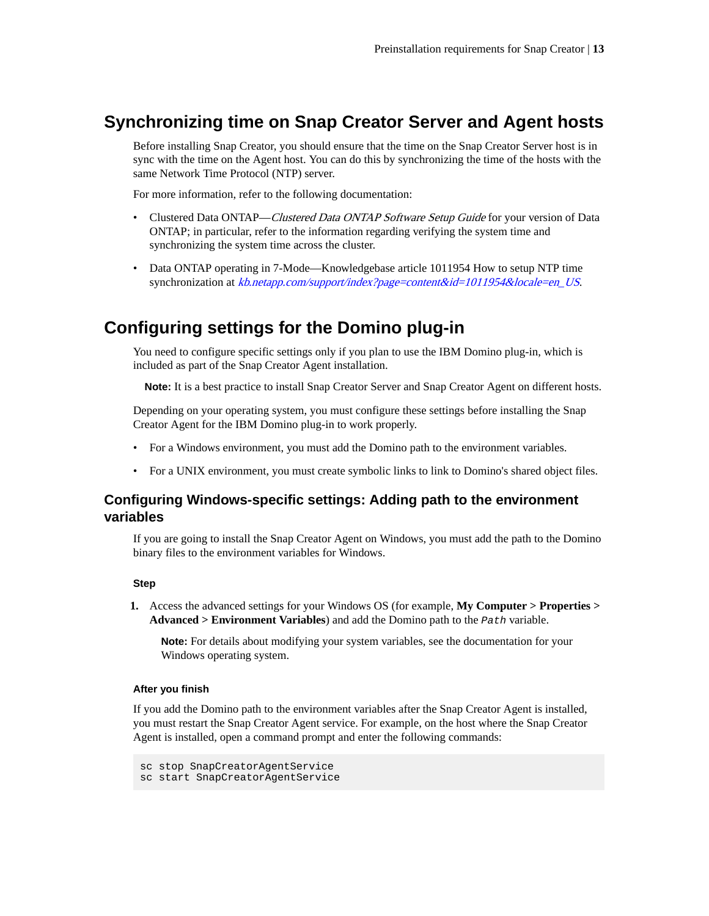## <span id="page-12-0"></span>**Synchronizing time on Snap Creator Server and Agent hosts**

Before installing Snap Creator, you should ensure that the time on the Snap Creator Server host is in sync with the time on the Agent host. You can do this by synchronizing the time of the hosts with the same Network Time Protocol (NTP) server.

For more information, refer to the following documentation:

- Clustered Data ONTAP—Clustered Data ONTAP Software Setup Guide for your version of Data ONTAP; in particular, refer to the information regarding verifying the system time and synchronizing the system time across the cluster.
- Data ONTAP operating in 7-Mode—Knowledgebase article 1011954 How to setup NTP time synchronization at [kb.netapp.com/support/index?page=content&id=1011954&locale=en\\_US](https://kb.netapp.com/support/index?page=content&id=1011954&locale=en_US).

## **Configuring settings for the Domino plug-in**

You need to configure specific settings only if you plan to use the IBM Domino plug-in, which is included as part of the Snap Creator Agent installation.

**Note:** It is a best practice to install Snap Creator Server and Snap Creator Agent on different hosts.

Depending on your operating system, you must configure these settings before installing the Snap Creator Agent for the IBM Domino plug-in to work properly.

- For a Windows environment, you must add the Domino path to the environment variables.
- For a UNIX environment, you must create symbolic links to link to Domino's shared object files.

## **Configuring Windows-specific settings: Adding path to the environment variables**

If you are going to install the Snap Creator Agent on Windows, you must add the path to the Domino binary files to the environment variables for Windows.

#### **Step**

**1.** Access the advanced settings for your Windows OS (for example, **My Computer > Properties > Advanced > Environment Variables**) and add the Domino path to the Path variable.

**Note:** For details about modifying your system variables, see the documentation for your Windows operating system.

#### **After you finish**

If you add the Domino path to the environment variables after the Snap Creator Agent is installed, you must restart the Snap Creator Agent service. For example, on the host where the Snap Creator Agent is installed, open a command prompt and enter the following commands:

```
sc stop SnapCreatorAgentService
sc start SnapCreatorAgentService
```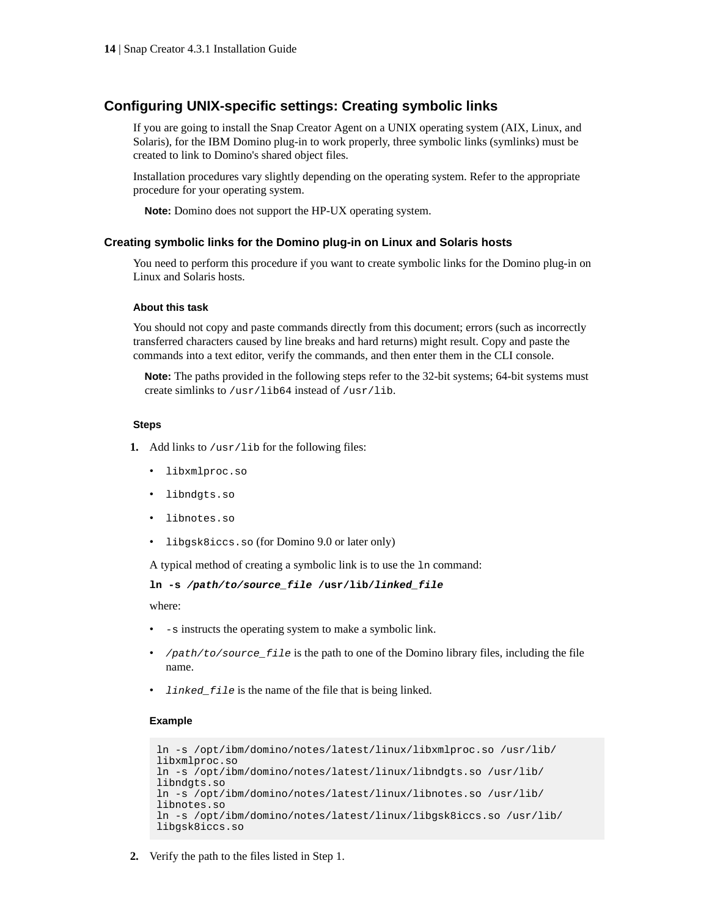## <span id="page-13-0"></span>**Configuring UNIX-specific settings: Creating symbolic links**

If you are going to install the Snap Creator Agent on a UNIX operating system (AIX, Linux, and Solaris), for the IBM Domino plug-in to work properly, three symbolic links (symlinks) must be created to link to Domino's shared object files.

Installation procedures vary slightly depending on the operating system. Refer to the appropriate procedure for your operating system.

**Note:** Domino does not support the HP-UX operating system.

#### **Creating symbolic links for the Domino plug-in on Linux and Solaris hosts**

You need to perform this procedure if you want to create symbolic links for the Domino plug-in on Linux and Solaris hosts.

#### **About this task**

You should not copy and paste commands directly from this document; errors (such as incorrectly transferred characters caused by line breaks and hard returns) might result. Copy and paste the commands into a text editor, verify the commands, and then enter them in the CLI console.

**Note:** The paths provided in the following steps refer to the 32-bit systems; 64-bit systems must create simlinks to /usr/lib64 instead of /usr/lib.

#### **Steps**

**1.** Add links to /usr/lib for the following files:

- libxmlproc.so
- libndgts.so
- libnotes.so
- libgsk8iccs.so (for Domino 9.0 or later only)

A typical method of creating a symbolic link is to use the ln command:

```
ln -s /path/to/source_file /usr/lib/linked_file
```
where:

- -s instructs the operating system to make a symbolic link.
- /path/to/source\_file is the path to one of the Domino library files, including the file name.
- *linked\_file* is the name of the file that is being linked.

#### **Example**

```
ln -s /opt/ibm/domino/notes/latest/linux/libxmlproc.so /usr/lib/
libxmlproc.so
ln -s /opt/ibm/domino/notes/latest/linux/libndgts.so /usr/lib/
libndgts.so
ln -s /opt/ibm/domino/notes/latest/linux/libnotes.so /usr/lib/
libnotes.so
ln -s /opt/ibm/domino/notes/latest/linux/libgsk8iccs.so /usr/lib/
libgsk8iccs.so
```
**2.** Verify the path to the files listed in Step 1.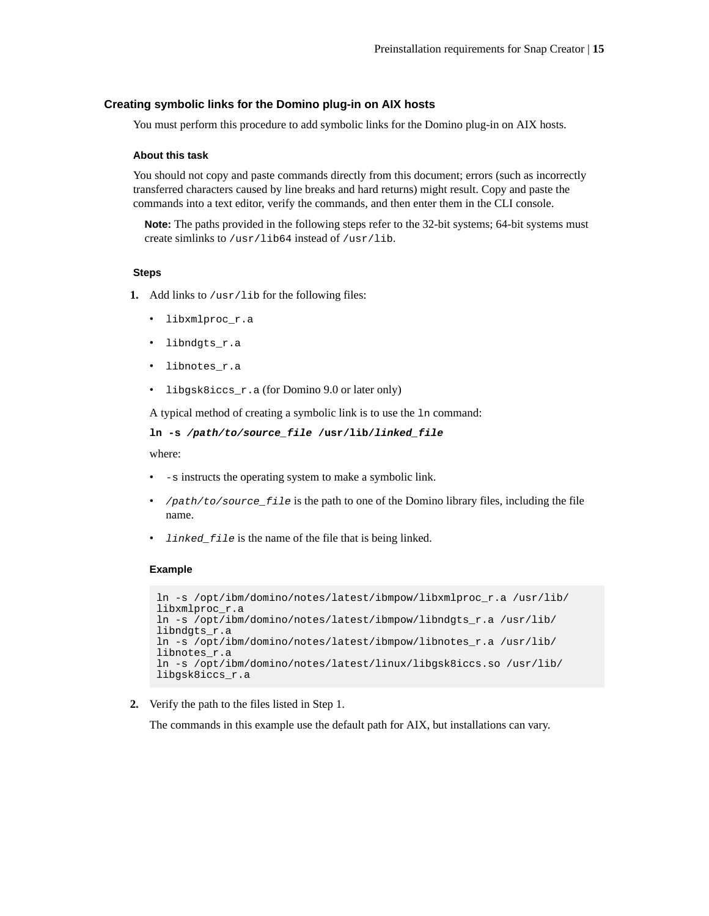#### <span id="page-14-0"></span>**Creating symbolic links for the Domino plug-in on AIX hosts**

You must perform this procedure to add symbolic links for the Domino plug-in on AIX hosts.

#### **About this task**

You should not copy and paste commands directly from this document; errors (such as incorrectly transferred characters caused by line breaks and hard returns) might result. Copy and paste the commands into a text editor, verify the commands, and then enter them in the CLI console.

**Note:** The paths provided in the following steps refer to the 32-bit systems; 64-bit systems must create simlinks to /usr/lib64 instead of /usr/lib.

#### **Steps**

- **1.** Add links to /usr/lib for the following files:
	- libxmlproc\_r.a
	- libndgts\_r.a
	- libnotes\_r.a
	- libgsk8iccs\_r.a (for Domino 9.0 or later only)

A typical method of creating a symbolic link is to use the ln command:

```
ln -s /path/to/source_file /usr/lib/linked_file
```
where:

- -s instructs the operating system to make a symbolic link.
- /path/to/source\_file is the path to one of the Domino library files, including the file name.
- *linked\_file* is the name of the file that is being linked.

#### **Example**

```
ln -s /opt/ibm/domino/notes/latest/ibmpow/libxmlproc_r.a /usr/lib/
libxmlproc_r.a
ln -s /opt/ibm/domino/notes/latest/ibmpow/libndgts_r.a /usr/lib/
libndgts_r.a
ln -s /opt/ibm/domino/notes/latest/ibmpow/libnotes_r.a /usr/lib/
libnotes_r.a
ln -s /opt/ibm/domino/notes/latest/linux/libgsk8iccs.so /usr/lib/
libgsk8iccs_r.a
```
**2.** Verify the path to the files listed in Step 1.

The commands in this example use the default path for AIX, but installations can vary.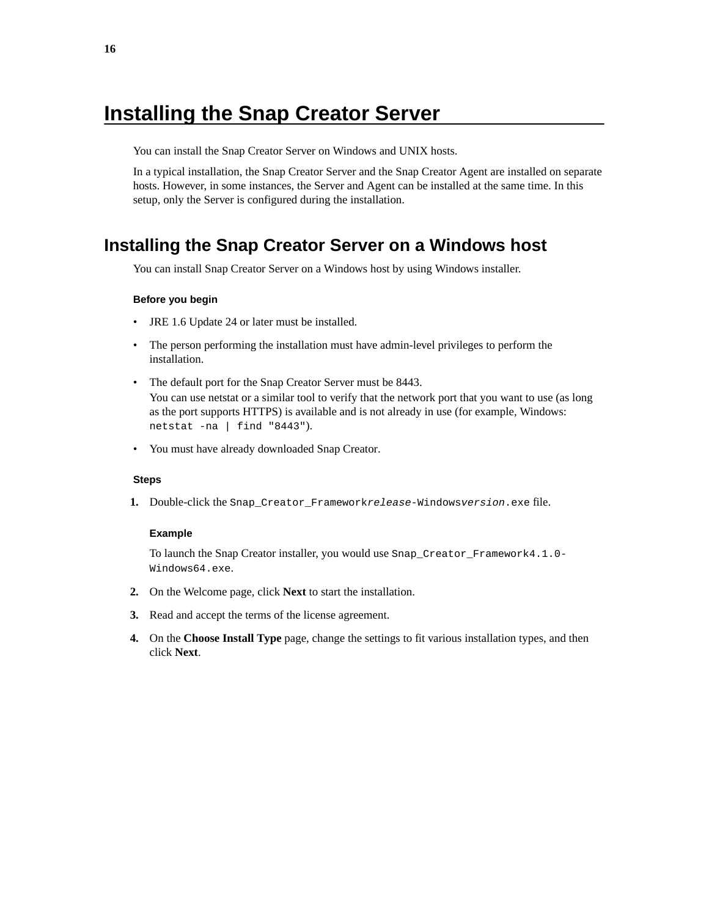# <span id="page-15-0"></span>**Installing the Snap Creator Server**

You can install the Snap Creator Server on Windows and UNIX hosts.

In a typical installation, the Snap Creator Server and the Snap Creator Agent are installed on separate hosts. However, in some instances, the Server and Agent can be installed at the same time. In this setup, only the Server is configured during the installation.

## **Installing the Snap Creator Server on a Windows host**

You can install Snap Creator Server on a Windows host by using Windows installer.

#### **Before you begin**

- JRE 1.6 Update 24 or later must be installed.
- The person performing the installation must have admin-level privileges to perform the installation.
- The default port for the Snap Creator Server must be 8443. You can use netstat or a similar tool to verify that the network port that you want to use (as long as the port supports HTTPS) is available and is not already in use (for example, Windows: netstat -na | find "8443").
- You must have already downloaded Snap Creator.

#### **Steps**

**1.** Double-click the Snap\_Creator\_Frameworkrelease-Windowsversion.exe file.

#### **Example**

To launch the Snap Creator installer, you would use Snap\_Creator\_Framework4.1.0- Windows64.exe.

- **2.** On the Welcome page, click **Next** to start the installation.
- **3.** Read and accept the terms of the license agreement.
- **4.** On the **Choose Install Type** page, change the settings to fit various installation types, and then click **Next**.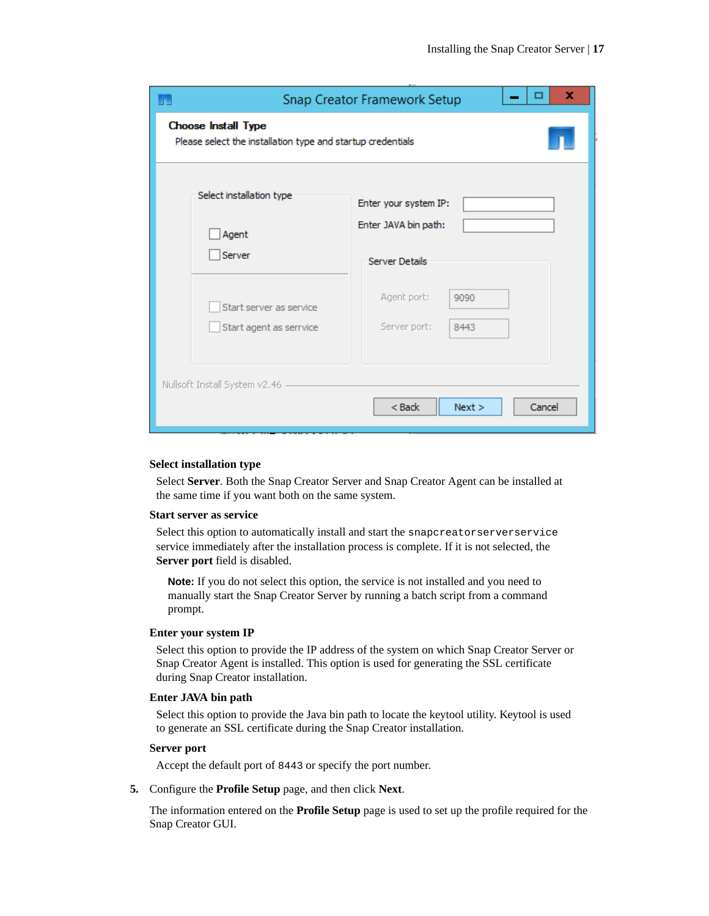|                                                                                           | x<br>□<br>Snap Creator Framework Setup |
|-------------------------------------------------------------------------------------------|----------------------------------------|
| <b>Choose Install Type</b><br>Please select the installation type and startup credentials |                                        |
| Select installation type                                                                  | Enter your system IP:                  |
| Agent                                                                                     | Enter JAVA bin path:                   |
| Server                                                                                    | <b>Server Details</b>                  |
| Start server as service                                                                   | Agent port:<br>9090                    |
| Start agent as serrvice                                                                   | Server port:<br>8443                   |
| Nullsoft Install System v2.46                                                             | $Back$<br>Next ><br>Cancel             |

#### **Select installation type**

Select **Server**. Both the Snap Creator Server and Snap Creator Agent can be installed at the same time if you want both on the same system.

#### **Start server as service**

Select this option to automatically install and start the snapcreatorserverservice service immediately after the installation process is complete. If it is not selected, the **Server port** field is disabled.

**Note:** If you do not select this option, the service is not installed and you need to manually start the Snap Creator Server by running a batch script from a command prompt.

#### **Enter your system IP**

Select this option to provide the IP address of the system on which Snap Creator Server or Snap Creator Agent is installed. This option is used for generating the SSL certificate during Snap Creator installation.

#### **Enter JAVA bin path**

Select this option to provide the Java bin path to locate the keytool utility. Keytool is used to generate an SSL certificate during the Snap Creator installation.

#### **Server port**

Accept the default port of 8443 or specify the port number.

**5.** Configure the **Profile Setup** page, and then click **Next**.

The information entered on the **Profile Setup** page is used to set up the profile required for the Snap Creator GUI.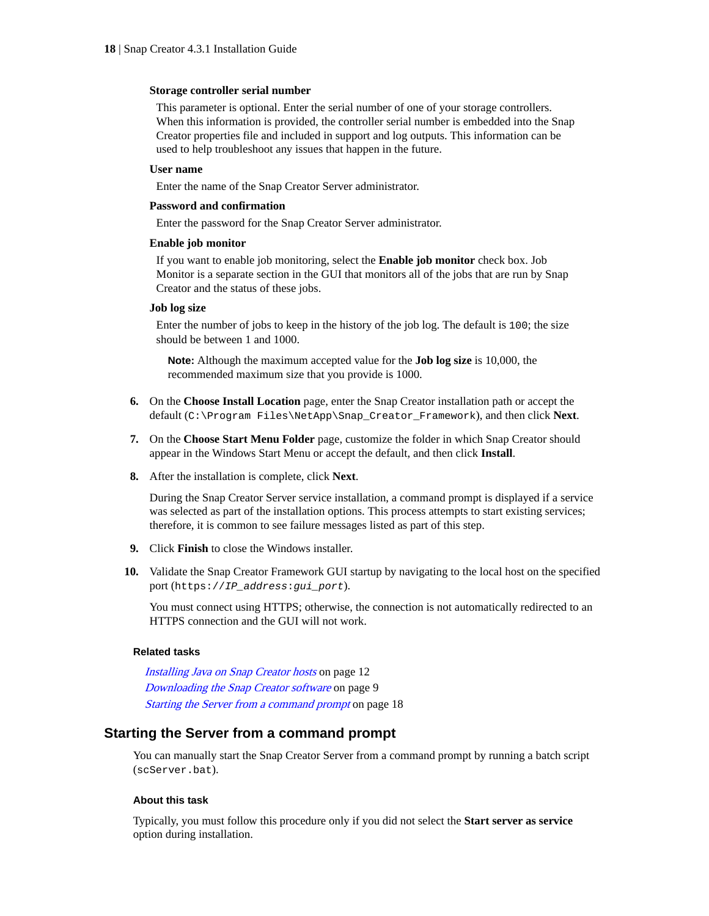#### <span id="page-17-0"></span>**Storage controller serial number**

This parameter is optional. Enter the serial number of one of your storage controllers. When this information is provided, the controller serial number is embedded into the Snap Creator properties file and included in support and log outputs. This information can be used to help troubleshoot any issues that happen in the future.

#### **User name**

Enter the name of the Snap Creator Server administrator.

#### **Password and confirmation**

Enter the password for the Snap Creator Server administrator.

#### **Enable job monitor**

If you want to enable job monitoring, select the **Enable job monitor** check box. Job Monitor is a separate section in the GUI that monitors all of the jobs that are run by Snap Creator and the status of these jobs.

#### **Job log size**

Enter the number of jobs to keep in the history of the job log. The default is 100; the size should be between 1 and 1000.

**Note:** Although the maximum accepted value for the **Job log size** is 10,000, the recommended maximum size that you provide is 1000.

- **6.** On the **Choose Install Location** page, enter the Snap Creator installation path or accept the default (C:\Program Files\NetApp\Snap\_Creator\_Framework), and then click **Next**.
- **7.** On the **Choose Start Menu Folder** page, customize the folder in which Snap Creator should appear in the Windows Start Menu or accept the default, and then click **Install**.
- **8.** After the installation is complete, click **Next**.

During the Snap Creator Server service installation, a command prompt is displayed if a service was selected as part of the installation options. This process attempts to start existing services; therefore, it is common to see failure messages listed as part of this step.

- **9.** Click **Finish** to close the Windows installer.
- **10.** Validate the Snap Creator Framework GUI startup by navigating to the local host on the specified port (https://IP\_address:gui\_port).

You must connect using HTTPS; otherwise, the connection is not automatically redirected to an HTTPS connection and the GUI will not work.

#### **Related tasks**

[Installing Java on Snap Creator hosts](#page-11-0) on page 12 [Downloading the Snap Creator software](#page-8-0) on page 9 Starting the Server from a command prompt on page 18

## **Starting the Server from a command prompt**

You can manually start the Snap Creator Server from a command prompt by running a batch script (scServer.bat).

#### **About this task**

Typically, you must follow this procedure only if you did not select the **Start server as service** option during installation.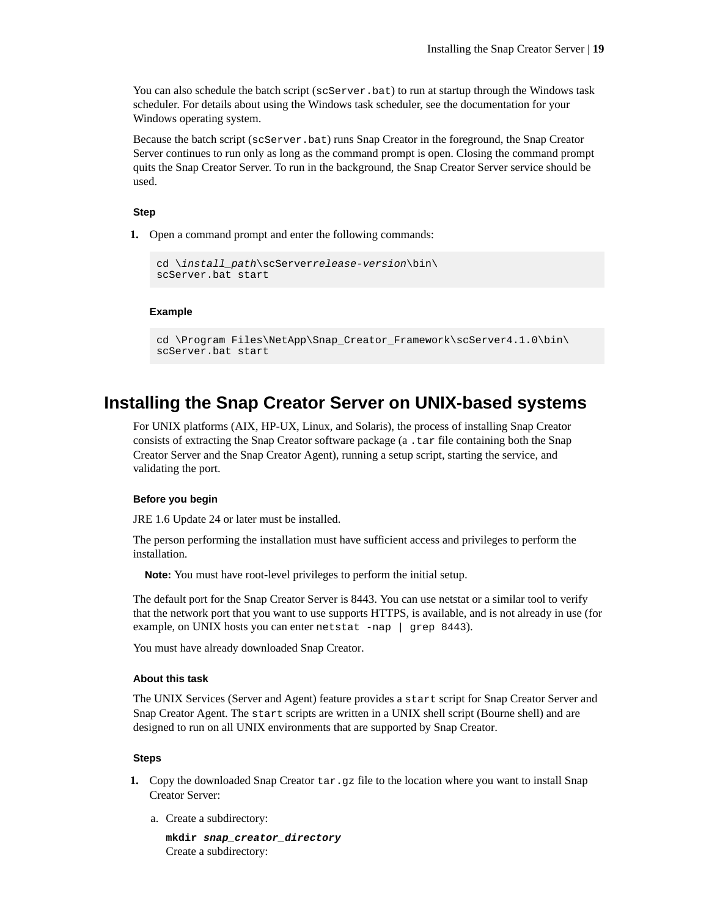<span id="page-18-0"></span>You can also schedule the batch script (scServer.bat) to run at startup through the Windows task scheduler. For details about using the Windows task scheduler, see the documentation for your Windows operating system.

Because the batch script (scServer.bat) runs Snap Creator in the foreground, the Snap Creator Server continues to run only as long as the command prompt is open. Closing the command prompt quits the Snap Creator Server. To run in the background, the Snap Creator Server service should be used.

#### **Step**

**1.** Open a command prompt and enter the following commands:

```
cd \install_path\scServerrelease-version\bin\
scServer.bat start
```
#### **Example**

```
cd \Program Files\NetApp\Snap_Creator_Framework\scServer4.1.0\bin\
scServer.bat start
```
## **Installing the Snap Creator Server on UNIX-based systems**

For UNIX platforms (AIX, HP-UX, Linux, and Solaris), the process of installing Snap Creator consists of extracting the Snap Creator software package (a .tar file containing both the Snap Creator Server and the Snap Creator Agent), running a setup script, starting the service, and validating the port.

#### **Before you begin**

JRE 1.6 Update 24 or later must be installed.

The person performing the installation must have sufficient access and privileges to perform the installation.

**Note:** You must have root-level privileges to perform the initial setup.

The default port for the Snap Creator Server is 8443. You can use netstat or a similar tool to verify that the network port that you want to use supports HTTPS, is available, and is not already in use (for example, on UNIX hosts you can enter netstat -nap | grep 8443).

You must have already downloaded Snap Creator.

#### **About this task**

The UNIX Services (Server and Agent) feature provides a start script for Snap Creator Server and Snap Creator Agent. The start scripts are written in a UNIX shell script (Bourne shell) and are designed to run on all UNIX environments that are supported by Snap Creator.

#### **Steps**

- **1.** Copy the downloaded Snap Creator tar.gz file to the location where you want to install Snap Creator Server:
	- a. Create a subdirectory:

**mkdir snap\_creator\_directory** Create a subdirectory: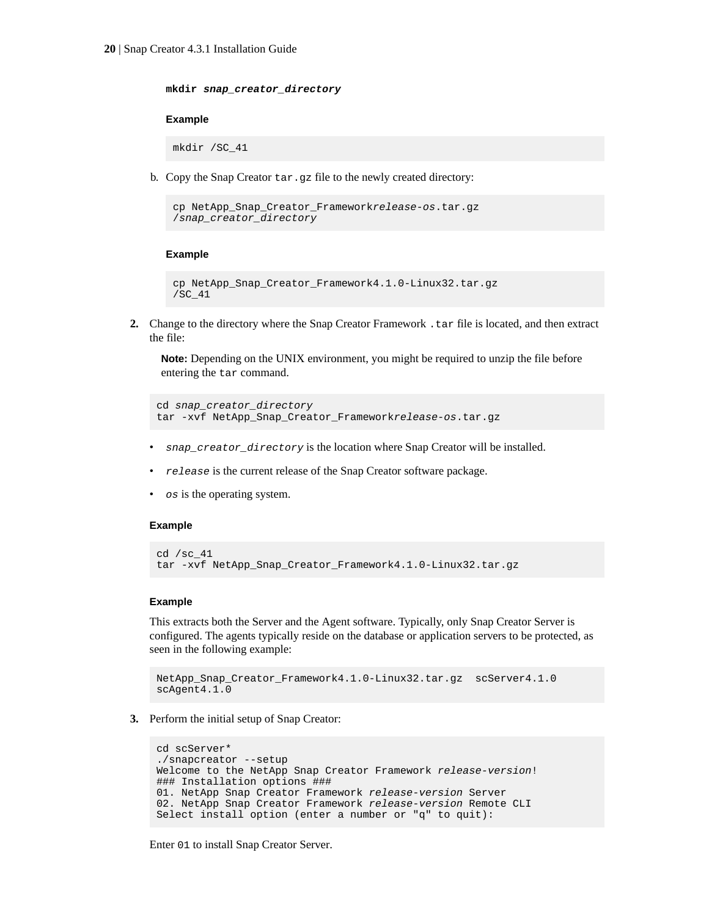**mkdir snap\_creator\_directory**

#### **Example**

mkdir /SC\_41

b. Copy the Snap Creator tar.gz file to the newly created directory:

```
cp NetApp_Snap_Creator_Frameworkrelease-os.tar.gz 
/snap_creator_directory
```
#### **Example**

```
cp NetApp_Snap_Creator_Framework4.1.0-Linux32.tar.gz 
/SC_41
```
**2.** Change to the directory where the Snap Creator Framework .tar file is located, and then extract the file:

**Note:** Depending on the UNIX environment, you might be required to unzip the file before entering the tar command.

```
cd snap_creator_directory
tar -xvf NetApp_Snap_Creator_Frameworkrelease-os.tar.gz
```
- snap\_creator\_directory is the location where Snap Creator will be installed.
- release is the current release of the Snap Creator software package.
- os is the operating system.

#### **Example**

```
cd /sc_41
tar -xvf NetApp_Snap_Creator_Framework4.1.0-Linux32.tar.gz
```
#### **Example**

This extracts both the Server and the Agent software. Typically, only Snap Creator Server is configured. The agents typically reside on the database or application servers to be protected, as seen in the following example:

```
NetApp_Snap_Creator_Framework4.1.0-Linux32.tar.gz scServer4.1.0
scAgent4.1.0
```
**3.** Perform the initial setup of Snap Creator:

```
cd scServer*
./snapcreator --setup
Welcome to the NetApp Snap Creator Framework release-version!
### Installation options ###
01. NetApp Snap Creator Framework release-version Server
02. NetApp Snap Creator Framework release-version Remote CLI
Select install option (enter a number or "q" to quit):
```
Enter 01 to install Snap Creator Server.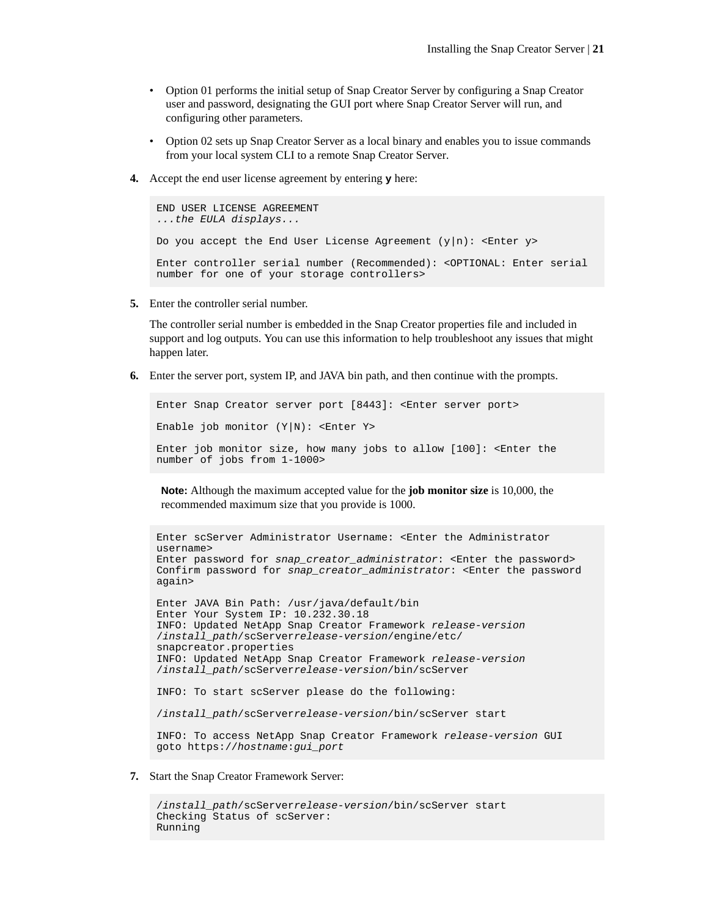- Option 01 performs the initial setup of Snap Creator Server by configuring a Snap Creator user and password, designating the GUI port where Snap Creator Server will run, and configuring other parameters.
- Option 02 sets up Snap Creator Server as a local binary and enables you to issue commands from your local system CLI to a remote Snap Creator Server.
- **4.** Accept the end user license agreement by entering **y** here:

```
END USER LICENSE AGREEMENT
...the EULA displays...
Do you accept the End User License Agreement (y|n): <Enter y>
Enter controller serial number (Recommended): <OPTIONAL: Enter serial 
number for one of your storage controllers>
```
**5.** Enter the controller serial number.

The controller serial number is embedded in the Snap Creator properties file and included in support and log outputs. You can use this information to help troubleshoot any issues that might happen later.

**6.** Enter the server port, system IP, and JAVA bin path, and then continue with the prompts.

```
Enter Snap Creator server port [8443]: <Enter server port>
Enable job monitor (Y|N): <Enter Y>
Enter job monitor size, how many jobs to allow [100]: <Enter the 
number of jobs from 1-1000>
```
**Note:** Although the maximum accepted value for the **job monitor size** is 10,000, the recommended maximum size that you provide is 1000.

```
Enter scServer Administrator Username: <Enter the Administrator 
username>
Enter password for snap_creator_administrator: <Enter the password>
Confirm password for snap_creator_administrator: <Enter the password 
again> 
Enter JAVA Bin Path: /usr/java/default/bin
Enter Your System IP: 10.232.30.18
INFO: Updated NetApp Snap Creator Framework release-version
/install_path/scServerrelease-version/engine/etc/
snapcreator.properties
INFO: Updated NetApp Snap Creator Framework release-version
/install_path/scServerrelease-version/bin/scServer
INFO: To start scServer please do the following:
/install_path/scServerrelease-version/bin/scServer start
INFO: To access NetApp Snap Creator Framework release-version GUI 
goto https://hostname:gui_port
```
**7.** Start the Snap Creator Framework Server:

```
/install_path/scServerrelease-version/bin/scServer start
Checking Status of scServer:
Running
```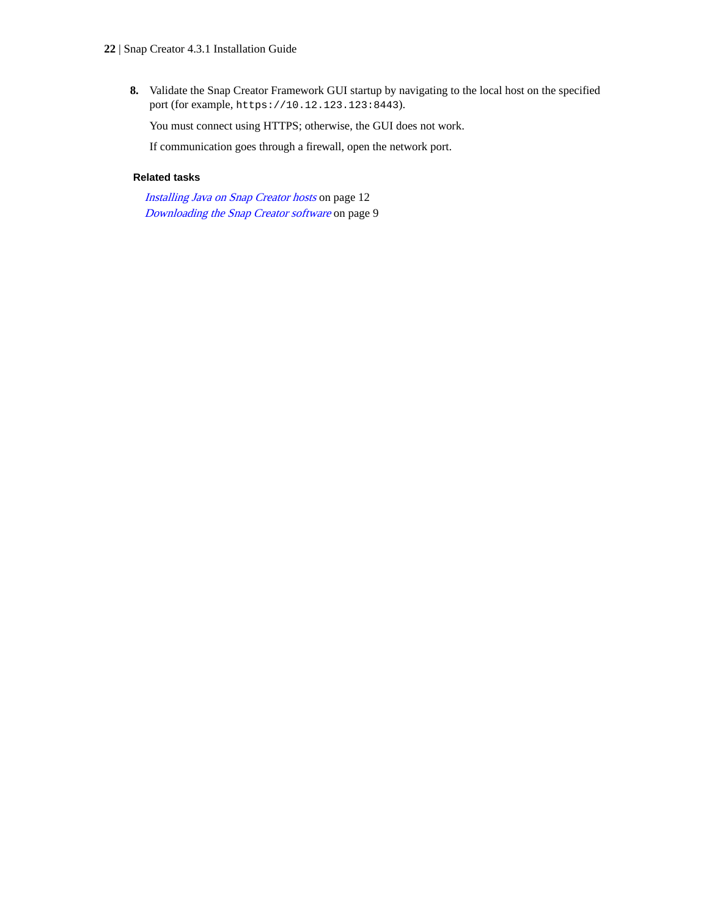**8.** Validate the Snap Creator Framework GUI startup by navigating to the local host on the specified port (for example, https://10.12.123.123:8443).

You must connect using HTTPS; otherwise, the GUI does not work.

If communication goes through a firewall, open the network port.

#### **Related tasks**

[Installing Java on Snap Creator hosts](#page-11-0) on page 12 [Downloading the Snap Creator software](#page-8-0) on page 9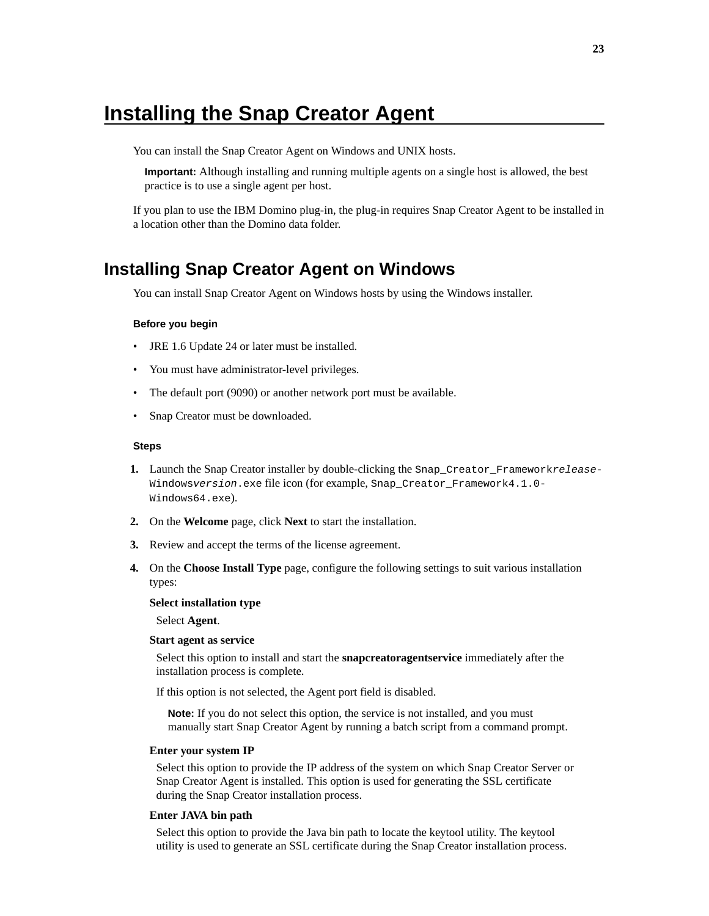# <span id="page-22-0"></span>**Installing the Snap Creator Agent**

You can install the Snap Creator Agent on Windows and UNIX hosts.

**Important:** Although installing and running multiple agents on a single host is allowed, the best practice is to use a single agent per host.

If you plan to use the IBM Domino plug-in, the plug-in requires Snap Creator Agent to be installed in a location other than the Domino data folder.

## **Installing Snap Creator Agent on Windows**

You can install Snap Creator Agent on Windows hosts by using the Windows installer.

#### **Before you begin**

- JRE 1.6 Update 24 or later must be installed.
- You must have administrator-level privileges.
- The default port (9090) or another network port must be available.
- Snap Creator must be downloaded.

#### **Steps**

- **1.** Launch the Snap Creator installer by double-clicking the Snap\_Creator\_Frameworkrelease-Windowsversion.exe file icon (for example, Snap\_Creator\_Framework4.1.0- Windows64.exe).
- **2.** On the **Welcome** page, click **Next** to start the installation.
- **3.** Review and accept the terms of the license agreement.
- **4.** On the **Choose Install Type** page, configure the following settings to suit various installation types:

#### **Select installation type**

Select **Agent**.

#### **Start agent as service**

Select this option to install and start the **snapcreatoragentservice** immediately after the installation process is complete.

If this option is not selected, the Agent port field is disabled.

**Note:** If you do not select this option, the service is not installed, and you must manually start Snap Creator Agent by running a batch script from a command prompt.

#### **Enter your system IP**

Select this option to provide the IP address of the system on which Snap Creator Server or Snap Creator Agent is installed. This option is used for generating the SSL certificate during the Snap Creator installation process.

#### **Enter JAVA bin path**

Select this option to provide the Java bin path to locate the keytool utility. The keytool utility is used to generate an SSL certificate during the Snap Creator installation process.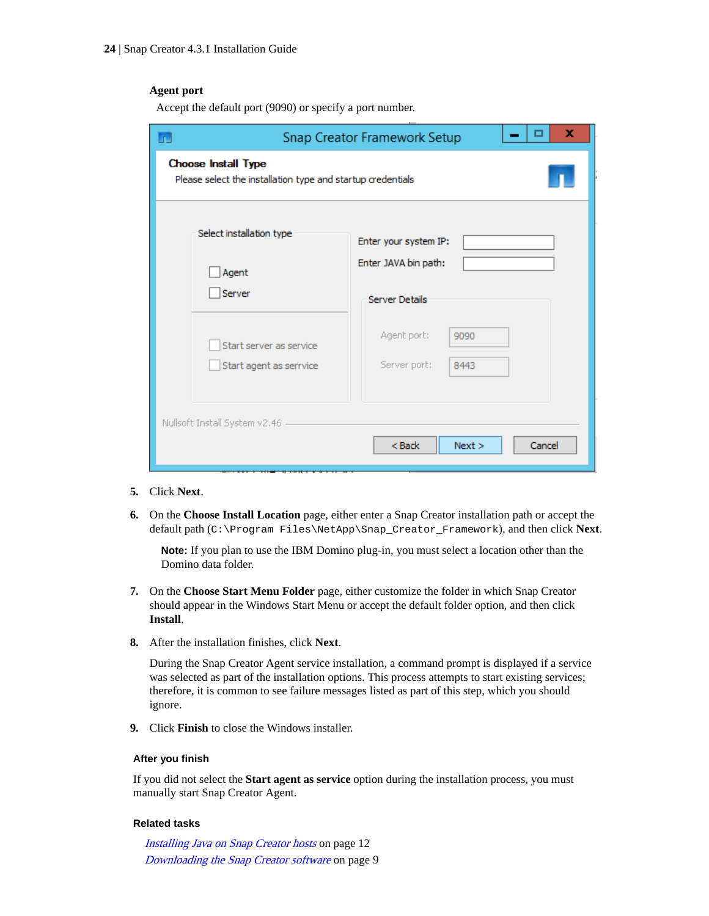#### **Agent port**

Accept the default port (9090) or specify a port number.

|                                                                                           | ×<br>▭<br>Snap Creator Framework Setup |
|-------------------------------------------------------------------------------------------|----------------------------------------|
| <b>Choose Install Type</b><br>Please select the installation type and startup credentials |                                        |
| Select installation type                                                                  | Enter your system IP:                  |
| Agent                                                                                     | Enter JAVA bin path:                   |
| Server                                                                                    | <b>Server Details</b>                  |
| Start server as service                                                                   | Agent port:<br>9090                    |
| Start agent as serrvice                                                                   | Server port:<br>8443                   |
| Nullsoft Install System v2.46                                                             | $<$ Back<br>Next ><br>Cancel           |

- **5.** Click **Next**.
- **6.** On the **Choose Install Location** page, either enter a Snap Creator installation path or accept the default path (C:\Program Files\NetApp\Snap\_Creator\_Framework), and then click **Next**.

**Note:** If you plan to use the IBM Domino plug-in, you must select a location other than the Domino data folder.

- **7.** On the **Choose Start Menu Folder** page, either customize the folder in which Snap Creator should appear in the Windows Start Menu or accept the default folder option, and then click **Install**.
- **8.** After the installation finishes, click **Next**.

During the Snap Creator Agent service installation, a command prompt is displayed if a service was selected as part of the installation options. This process attempts to start existing services; therefore, it is common to see failure messages listed as part of this step, which you should ignore.

**9.** Click **Finish** to close the Windows installer.

### **After you finish**

If you did not select the **Start agent as service** option during the installation process, you must manually start Snap Creator Agent.

#### **Related tasks**

[Installing Java on Snap Creator hosts](#page-11-0) on page 12 [Downloading the Snap Creator software](#page-8-0) on page 9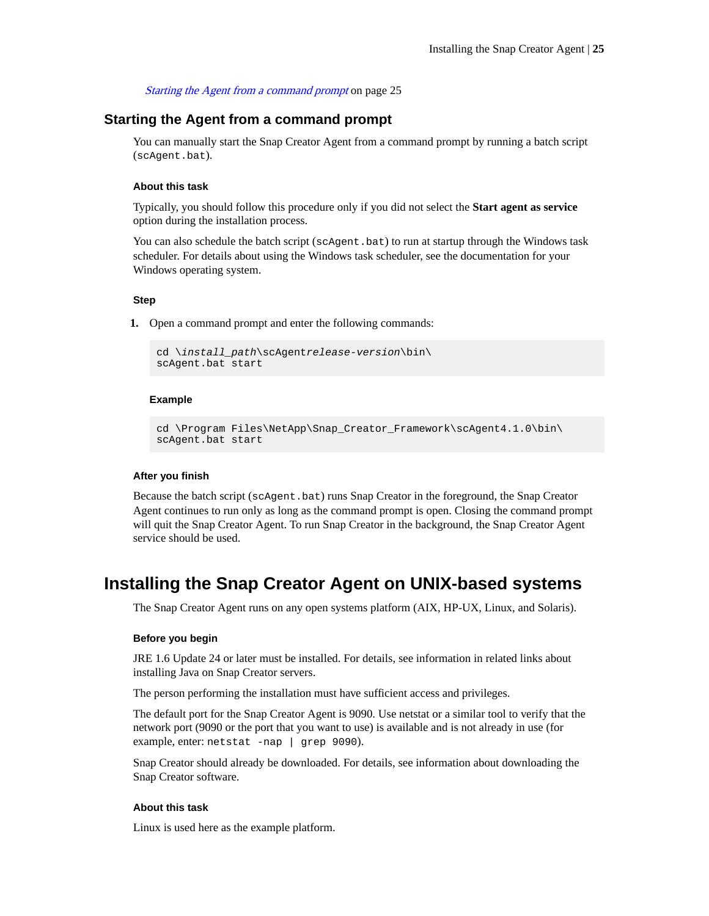#### Starting the Agent from a command prompt on page 25

### <span id="page-24-0"></span>**Starting the Agent from a command prompt**

You can manually start the Snap Creator Agent from a command prompt by running a batch script (scAgent.bat).

#### **About this task**

Typically, you should follow this procedure only if you did not select the **Start agent as service** option during the installation process.

You can also schedule the batch script (scAgent.bat) to run at startup through the Windows task scheduler. For details about using the Windows task scheduler, see the documentation for your Windows operating system.

#### **Step**

**1.** Open a command prompt and enter the following commands:

```
cd \install_path\scAgentrelease-version\bin\
scAgent.bat start
```
#### **Example**

```
cd \Program Files\NetApp\Snap_Creator_Framework\scAgent4.1.0\bin\
scAgent.bat start
```
#### **After you finish**

Because the batch script (scAgent.bat) runs Snap Creator in the foreground, the Snap Creator Agent continues to run only as long as the command prompt is open. Closing the command prompt will quit the Snap Creator Agent. To run Snap Creator in the background, the Snap Creator Agent service should be used.

## **Installing the Snap Creator Agent on UNIX-based systems**

The Snap Creator Agent runs on any open systems platform (AIX, HP-UX, Linux, and Solaris).

#### **Before you begin**

JRE 1.6 Update 24 or later must be installed. For details, see information in related links about installing Java on Snap Creator servers.

The person performing the installation must have sufficient access and privileges.

The default port for the Snap Creator Agent is 9090. Use netstat or a similar tool to verify that the network port (9090 or the port that you want to use) is available and is not already in use (for example, enter: netstat -nap | grep 9090).

Snap Creator should already be downloaded. For details, see information about downloading the Snap Creator software.

#### **About this task**

Linux is used here as the example platform.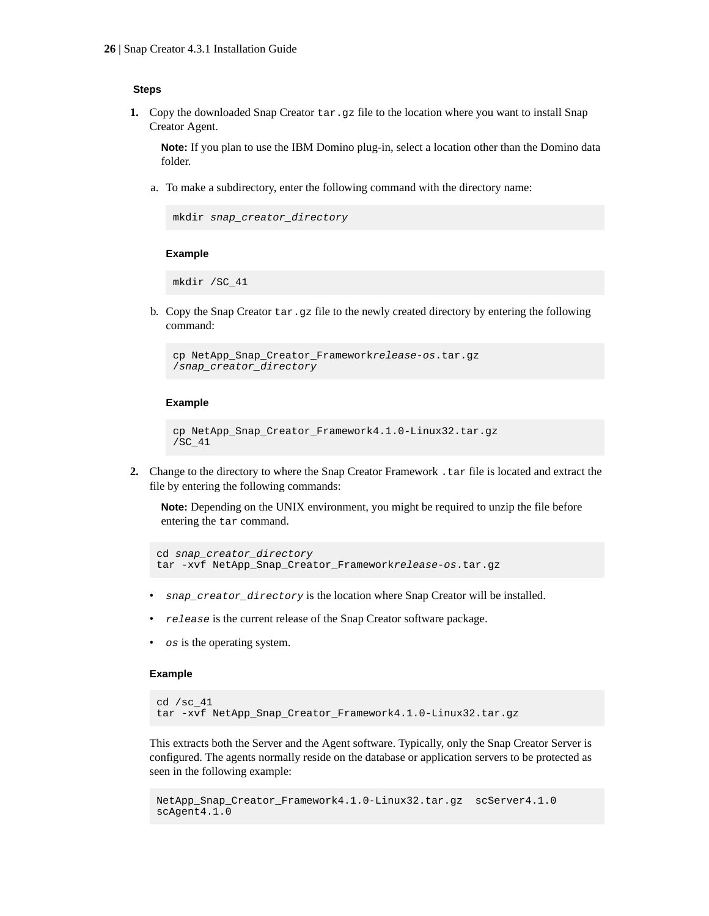#### **Steps**

**1.** Copy the downloaded Snap Creator  $\tan\theta$  gz file to the location where you want to install Snap Creator Agent.

**Note:** If you plan to use the IBM Domino plug-in, select a location other than the Domino data folder.

a. To make a subdirectory, enter the following command with the directory name:

```
mkdir snap_creator_directory
```
#### **Example**

mkdir /SC\_41

b. Copy the Snap Creator tar.gz file to the newly created directory by entering the following command:

```
cp NetApp_Snap_Creator_Frameworkrelease-os.tar.gz 
/snap_creator_directory
```
#### **Example**

```
cp NetApp_Snap_Creator_Framework4.1.0-Linux32.tar.gz 
/SC_41
```
**2.** Change to the directory to where the Snap Creator Framework .tar file is located and extract the file by entering the following commands:

**Note:** Depending on the UNIX environment, you might be required to unzip the file before entering the tar command.

```
cd snap_creator_directory
tar -xvf NetApp_Snap_Creator_Frameworkrelease-os.tar.gz
```
- snap\_creator\_directory is the location where Snap Creator will be installed.
- re lease is the current release of the Snap Creator software package.
- os is the operating system.

#### **Example**

```
cd /sc_41
tar -xvf NetApp_Snap_Creator_Framework4.1.0-Linux32.tar.gz
```
This extracts both the Server and the Agent software. Typically, only the Snap Creator Server is configured. The agents normally reside on the database or application servers to be protected as seen in the following example:

```
NetApp_Snap_Creator_Framework4.1.0-Linux32.tar.gz scServer4.1.0
scAgent4.1.0
```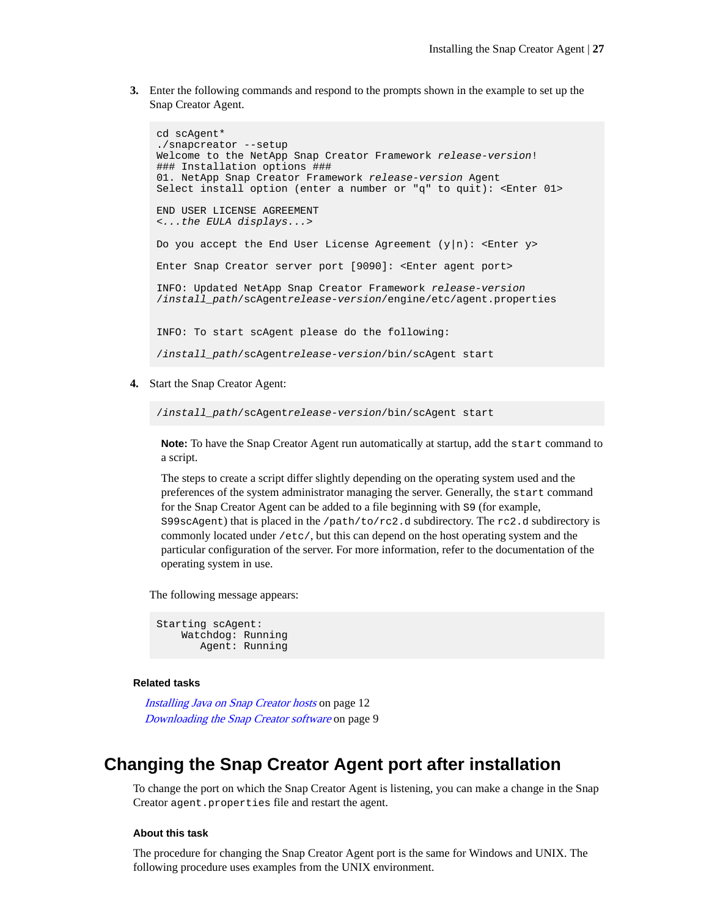<span id="page-26-0"></span>**3.** Enter the following commands and respond to the prompts shown in the example to set up the Snap Creator Agent.

```
cd scAgent*
./snapcreator --setup
Welcome to the NetApp Snap Creator Framework release-version!
### Installation options ###
01. NetApp Snap Creator Framework release-version Agent
Select install option (enter a number or "q" to quit): <Enter 01>
END USER LICENSE AGREEMENT
<...the EULA displays...>
Do you accept the End User License Agreement (y|n): <Enter y>
Enter Snap Creator server port [9090]: <Enter agent port>
INFO: Updated NetApp Snap Creator Framework release-version
/install_path/scAgentrelease-version/engine/etc/agent.properties
INFO: To start scAgent please do the following:
/install_path/scAgentrelease-version/bin/scAgent start
```
**4.** Start the Snap Creator Agent:

/install\_path/scAgentrelease-version/bin/scAgent start

**Note:** To have the Snap Creator Agent run automatically at startup, add the start command to a script.

The steps to create a script differ slightly depending on the operating system used and the preferences of the system administrator managing the server. Generally, the start command for the Snap Creator Agent can be added to a file beginning with S9 (for example, S99scAgent) that is placed in the /path/to/rc2.d subdirectory. The rc2.d subdirectory is commonly located under /etc/, but this can depend on the host operating system and the particular configuration of the server. For more information, refer to the documentation of the operating system in use.

The following message appears:

```
Starting scAgent:
     Watchdog: Running
        Agent: Running
```
#### **Related tasks**

[Installing Java on Snap Creator hosts](#page-11-0) on page 12 [Downloading the Snap Creator software](#page-8-0) on page 9

## **Changing the Snap Creator Agent port after installation**

To change the port on which the Snap Creator Agent is listening, you can make a change in the Snap Creator agent.properties file and restart the agent.

#### **About this task**

The procedure for changing the Snap Creator Agent port is the same for Windows and UNIX. The following procedure uses examples from the UNIX environment.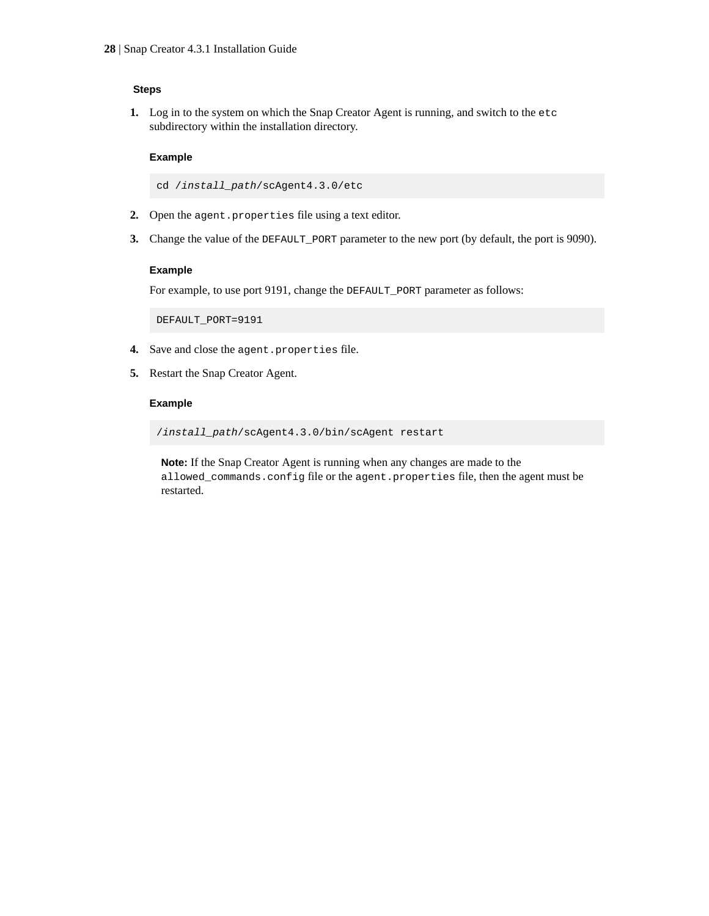### **Steps**

**1.** Log in to the system on which the Snap Creator Agent is running, and switch to the etc subdirectory within the installation directory.

#### **Example**

cd /install\_path/scAgent4.3.0/etc

- **2.** Open the agent.properties file using a text editor.
- **3.** Change the value of the DEFAULT\_PORT parameter to the new port (by default, the port is 9090).

#### **Example**

For example, to use port 9191, change the DEFAULT\_PORT parameter as follows:

DEFAULT\_PORT=9191

- **4.** Save and close the agent.properties file.
- **5.** Restart the Snap Creator Agent.

#### **Example**

/install\_path/scAgent4.3.0/bin/scAgent restart

**Note:** If the Snap Creator Agent is running when any changes are made to the allowed\_commands.config file or the agent.properties file, then the agent must be restarted.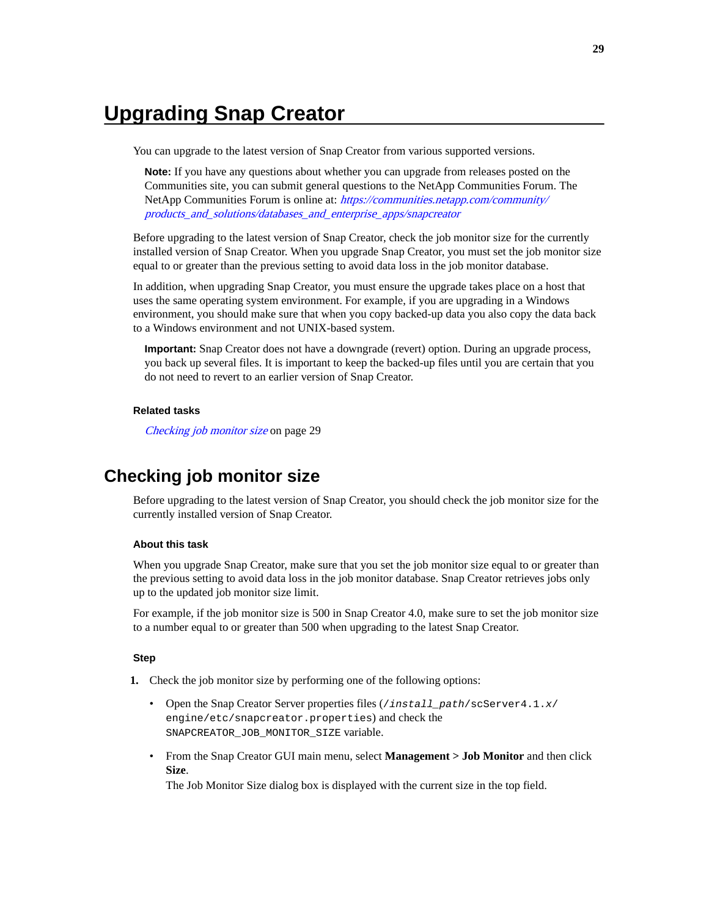# <span id="page-28-0"></span>**Upgrading Snap Creator**

You can upgrade to the latest version of Snap Creator from various supported versions.

**Note:** If you have any questions about whether you can upgrade from releases posted on the Communities site, you can submit general questions to the NetApp Communities Forum. The NetApp Communities Forum is online at: [https://communities.netapp.com/community/](https://communities.netapp.com/community/products_and_solutions/databases_and_enterprise_apps/snapcreator) [products\\_and\\_solutions/databases\\_and\\_enterprise\\_apps/snapcreator](https://communities.netapp.com/community/products_and_solutions/databases_and_enterprise_apps/snapcreator)

Before upgrading to the latest version of Snap Creator, check the job monitor size for the currently installed version of Snap Creator. When you upgrade Snap Creator, you must set the job monitor size equal to or greater than the previous setting to avoid data loss in the job monitor database.

In addition, when upgrading Snap Creator, you must ensure the upgrade takes place on a host that uses the same operating system environment. For example, if you are upgrading in a Windows environment, you should make sure that when you copy backed-up data you also copy the data back to a Windows environment and not UNIX-based system.

**Important:** Snap Creator does not have a downgrade (revert) option. During an upgrade process, you back up several files. It is important to keep the backed-up files until you are certain that you do not need to revert to an earlier version of Snap Creator.

#### **Related tasks**

Checking job monitor size on page 29

## **Checking job monitor size**

Before upgrading to the latest version of Snap Creator, you should check the job monitor size for the currently installed version of Snap Creator.

#### **About this task**

When you upgrade Snap Creator, make sure that you set the job monitor size equal to or greater than the previous setting to avoid data loss in the job monitor database. Snap Creator retrieves jobs only up to the updated job monitor size limit.

For example, if the job monitor size is 500 in Snap Creator 4.0, make sure to set the job monitor size to a number equal to or greater than 500 when upgrading to the latest Snap Creator.

#### **Step**

- **1.** Check the job monitor size by performing one of the following options:
	- Open the Snap Creator Server properties files (/install\_path/scServer4.1.x/ engine/etc/snapcreator.properties) and check the SNAPCREATOR\_JOB\_MONITOR\_SIZE variable.
	- From the Snap Creator GUI main menu, select **Management > Job Monitor** and then click **Size**.

The Job Monitor Size dialog box is displayed with the current size in the top field.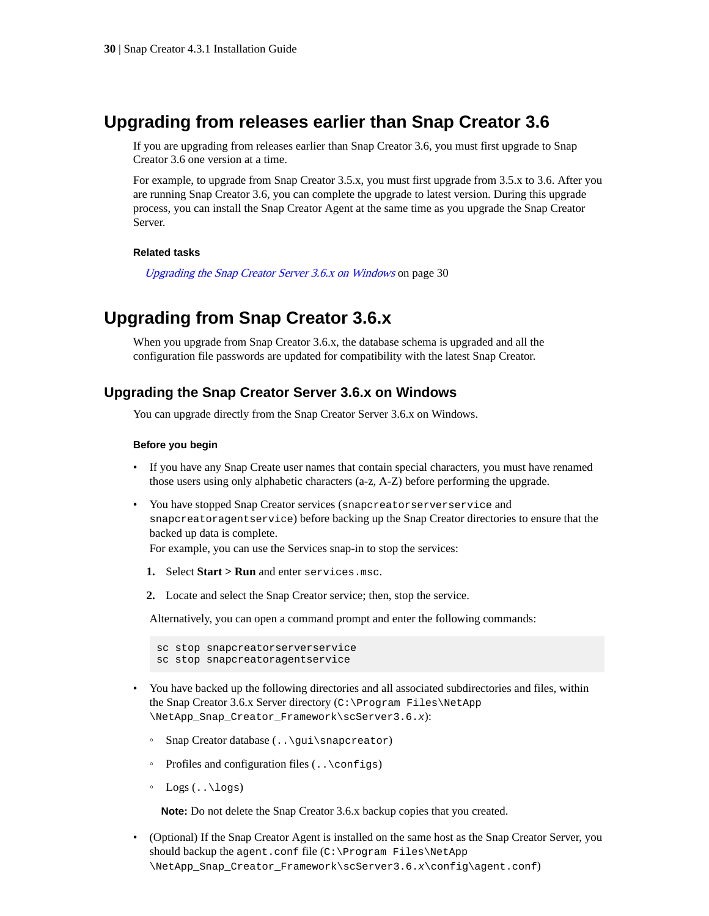## <span id="page-29-0"></span>**Upgrading from releases earlier than Snap Creator 3.6**

If you are upgrading from releases earlier than Snap Creator 3.6, you must first upgrade to Snap Creator 3.6 one version at a time.

For example, to upgrade from Snap Creator 3.5.x, you must first upgrade from 3.5.x to 3.6. After you are running Snap Creator 3.6, you can complete the upgrade to latest version. During this upgrade process, you can install the Snap Creator Agent at the same time as you upgrade the Snap Creator Server.

#### **Related tasks**

Upgrading the Snap Creator Server 3.6.x on Windows on page 30

## **Upgrading from Snap Creator 3.6.x**

When you upgrade from Snap Creator 3.6.x, the database schema is upgraded and all the configuration file passwords are updated for compatibility with the latest Snap Creator.

### **Upgrading the Snap Creator Server 3.6.x on Windows**

You can upgrade directly from the Snap Creator Server 3.6.x on Windows.

#### **Before you begin**

- If you have any Snap Create user names that contain special characters, you must have renamed those users using only alphabetic characters (a-z, A-Z) before performing the upgrade.
- You have stopped Snap Creator services (snapcreatorserverservice and snapcreatoragentservice) before backing up the Snap Creator directories to ensure that the backed up data is complete.

For example, you can use the Services snap-in to stop the services:

- **1.** Select **Start > Run** and enter services.msc.
- **2.** Locate and select the Snap Creator service; then, stop the service.

Alternatively, you can open a command prompt and enter the following commands:

```
sc stop snapcreatorserverservice
sc stop snapcreatoragentservice
```
- You have backed up the following directories and all associated subdirectories and files, within the Snap Creator 3.6.x Server directory (C:\Program Files\NetApp \NetApp\_Snap\_Creator\_Framework\scServer3.6.x):
	- Snap Creator database (..\gui\snapcreator)
	- Profiles and configuration files (..\configs)
	- Logs (..\logs)

**Note:** Do not delete the Snap Creator 3.6.x backup copies that you created.

• (Optional) If the Snap Creator Agent is installed on the same host as the Snap Creator Server, you should backup the agent.conf file  $(C:\PP{ogram\ Files\NetApp}$ \NetApp\_Snap\_Creator\_Framework\scServer3.6.x\config\agent.conf)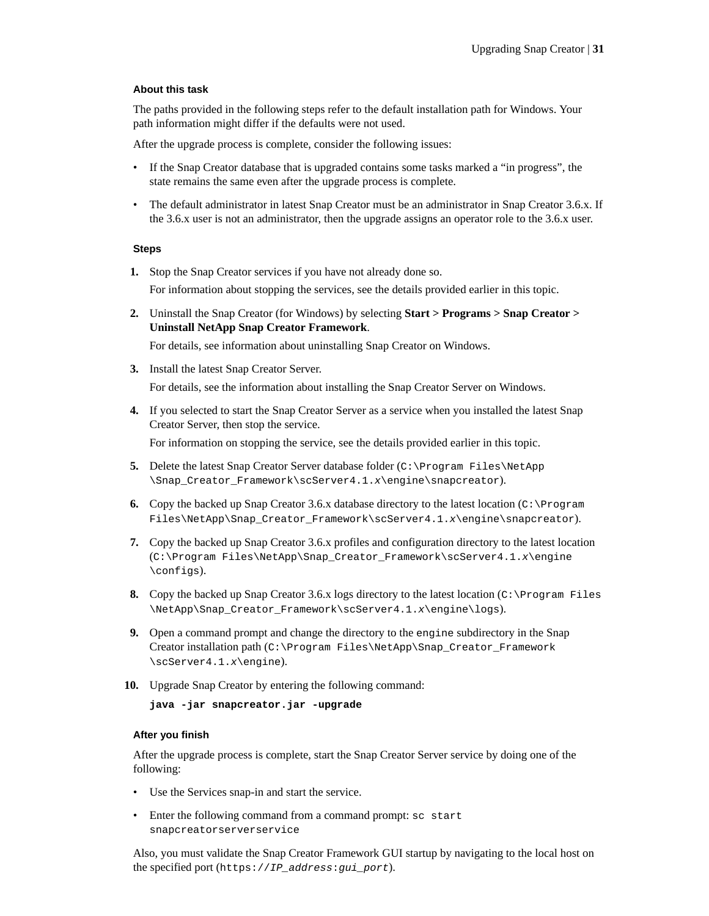#### **About this task**

The paths provided in the following steps refer to the default installation path for Windows. Your path information might differ if the defaults were not used.

After the upgrade process is complete, consider the following issues:

- If the Snap Creator database that is upgraded contains some tasks marked a "in progress", the state remains the same even after the upgrade process is complete.
- The default administrator in latest Snap Creator must be an administrator in Snap Creator 3.6.x. If the 3.6.x user is not an administrator, then the upgrade assigns an operator role to the 3.6.x user.

#### **Steps**

**1.** Stop the Snap Creator services if you have not already done so.

For information about stopping the services, see the details provided earlier in this topic.

**2.** Uninstall the Snap Creator (for Windows) by selecting **Start > Programs > Snap Creator > Uninstall NetApp Snap Creator Framework**.

For details, see information about uninstalling Snap Creator on Windows.

- **3.** Install the latest Snap Creator Server. For details, see the information about installing the Snap Creator Server on Windows.
- **4.** If you selected to start the Snap Creator Server as a service when you installed the latest Snap Creator Server, then stop the service.

For information on stopping the service, see the details provided earlier in this topic.

- **5.** Delete the latest Snap Creator Server database folder (C:\Program Files\NetApp \Snap\_Creator\_Framework\scServer4.1.x\engine\snapcreator).
- **6.** Copy the backed up Snap Creator 3.6.x database directory to the latest location (C:\Program Files\NetApp\Snap\_Creator\_Framework\scServer4.1.x\engine\snapcreator).
- **7.** Copy the backed up Snap Creator 3.6.x profiles and configuration directory to the latest location (C:\Program Files\NetApp\Snap\_Creator\_Framework\scServer4.1.x\engine \configs).
- **8.** Copy the backed up Snap Creator 3.6.x logs directory to the latest location (C:\Program Files \NetApp\Snap\_Creator\_Framework\scServer4.1.x\engine\logs).
- **9.** Open a command prompt and change the directory to the engine subdirectory in the Snap Creator installation path (C:\Program Files\NetApp\Snap\_Creator\_Framework \scServer4.1.x\engine).
- **10.** Upgrade Snap Creator by entering the following command:

```
java -jar snapcreator.jar -upgrade
```
#### **After you finish**

After the upgrade process is complete, start the Snap Creator Server service by doing one of the following:

- Use the Services snap-in and start the service.
- Enter the following command from a command prompt: sc start snapcreatorserverservice

Also, you must validate the Snap Creator Framework GUI startup by navigating to the local host on the specified port (https://IP\_address:gui\_port).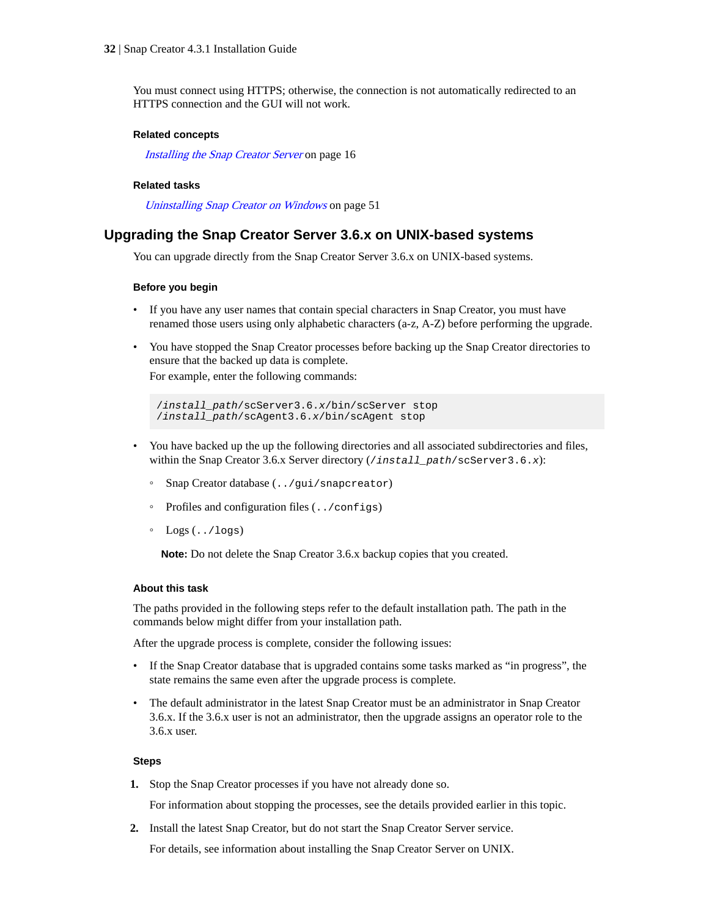<span id="page-31-0"></span>You must connect using HTTPS; otherwise, the connection is not automatically redirected to an HTTPS connection and the GUI will not work.

#### **Related concepts**

[Installing the Snap Creator Server](#page-15-0) on page 16

#### **Related tasks**

[Uninstalling Snap Creator on Windows](#page-50-0) on page 51

## **Upgrading the Snap Creator Server 3.6.x on UNIX-based systems**

You can upgrade directly from the Snap Creator Server 3.6.x on UNIX-based systems.

#### **Before you begin**

- If you have any user names that contain special characters in Snap Creator, you must have renamed those users using only alphabetic characters (a-z, A-Z) before performing the upgrade.
- You have stopped the Snap Creator processes before backing up the Snap Creator directories to ensure that the backed up data is complete.

For example, enter the following commands:

```
/install_path/scServer3.6.x/bin/scServer stop
/install_path/scAgent3.6.x/bin/scAgent stop
```
- You have backed up the up the following directories and all associated subdirectories and files, within the Snap Creator 3.6.x Server directory (/install\_path/scServer3.6.x):
	- Snap Creator database (../gui/snapcreator)
	- Profiles and configuration files (../configs)
	- $\circ$  Logs  $($ ../logs)

**Note:** Do not delete the Snap Creator 3.6.x backup copies that you created.

#### **About this task**

The paths provided in the following steps refer to the default installation path. The path in the commands below might differ from your installation path.

After the upgrade process is complete, consider the following issues:

- If the Snap Creator database that is upgraded contains some tasks marked as "in progress", the state remains the same even after the upgrade process is complete.
- The default administrator in the latest Snap Creator must be an administrator in Snap Creator 3.6.x. If the 3.6.x user is not an administrator, then the upgrade assigns an operator role to the 3.6.x user.

#### **Steps**

**1.** Stop the Snap Creator processes if you have not already done so.

For information about stopping the processes, see the details provided earlier in this topic.

**2.** Install the latest Snap Creator, but do not start the Snap Creator Server service.

For details, see information about installing the Snap Creator Server on UNIX.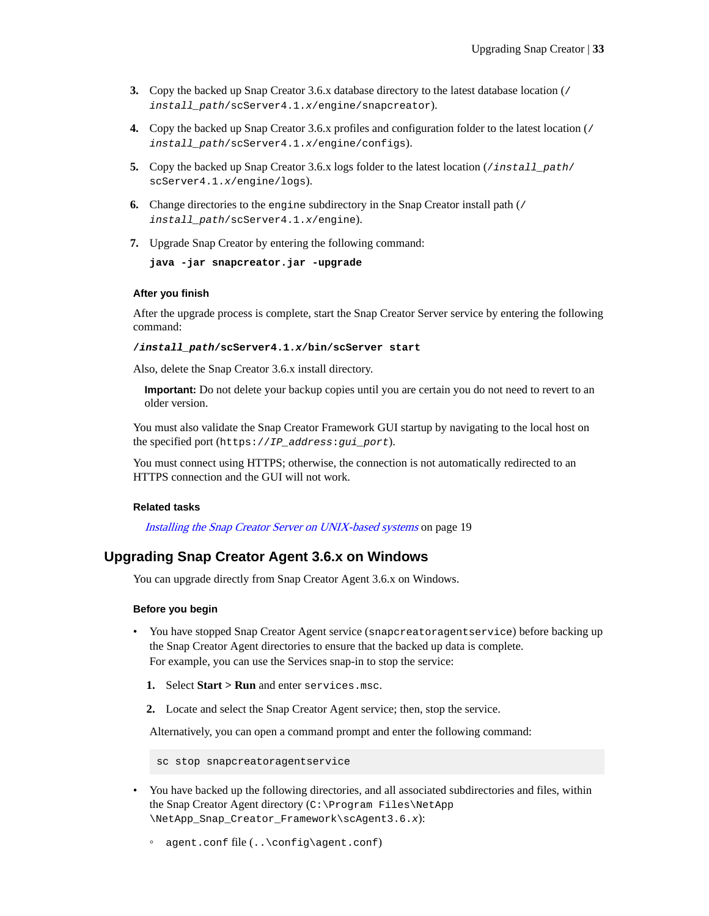- <span id="page-32-0"></span>**3.** Copy the backed up Snap Creator 3.6.x database directory to the latest database location (/ install\_path/scServer4.1.x/engine/snapcreator).
- **4.** Copy the backed up Snap Creator 3.6.x profiles and configuration folder to the latest location (/ install\_path/scServer4.1.x/engine/configs).
- **5.** Copy the backed up Snap Creator 3.6.x logs folder to the latest location (*install\_path*/ scServer4.1.x/engine/logs).
- **6.** Change directories to the engine subdirectory in the Snap Creator install path (/ install\_path/scServer4.1.x/engine).
- **7.** Upgrade Snap Creator by entering the following command:

```
java -jar snapcreator.jar -upgrade
```
#### **After you finish**

After the upgrade process is complete, start the Snap Creator Server service by entering the following command:

**/install\_path/scServer4.1.x/bin/scServer start**

Also, delete the Snap Creator 3.6.x install directory.

**Important:** Do not delete your backup copies until you are certain you do not need to revert to an older version.

You must also validate the Snap Creator Framework GUI startup by navigating to the local host on the specified port (https://IP\_address:gui\_port).

You must connect using HTTPS; otherwise, the connection is not automatically redirected to an HTTPS connection and the GUI will not work.

#### **Related tasks**

[Installing the Snap Creator Server on UNIX-based systems](#page-18-0) on page 19

## **Upgrading Snap Creator Agent 3.6.x on Windows**

You can upgrade directly from Snap Creator Agent 3.6.x on Windows.

#### **Before you begin**

- You have stopped Snap Creator Agent service (snapcreatoragentservice) before backing up the Snap Creator Agent directories to ensure that the backed up data is complete. For example, you can use the Services snap-in to stop the service:
	- **1.** Select **Start > Run** and enter services.msc.
	- **2.** Locate and select the Snap Creator Agent service; then, stop the service.

Alternatively, you can open a command prompt and enter the following command:

sc stop snapcreatoragentservice

- You have backed up the following directories, and all associated subdirectories and files, within the Snap Creator Agent directory (C:\Program Files\NetApp \NetApp\_Snap\_Creator\_Framework\scAgent3.6.x):
	- agent.conf file (..\config\agent.conf)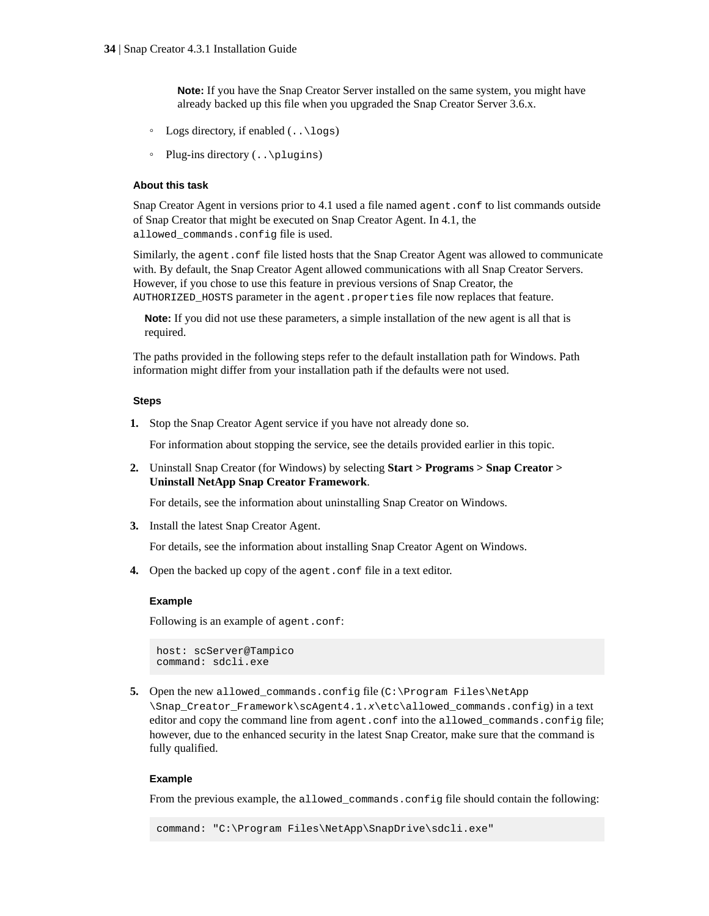**Note:** If you have the Snap Creator Server installed on the same system, you might have already backed up this file when you upgraded the Snap Creator Server 3.6.x.

- $\circ$  Logs directory, if enabled  $($ .  $\log s)$
- Plug-ins directory (... \plugins)

#### **About this task**

Snap Creator Agent in versions prior to 4.1 used a file named agent.conf to list commands outside of Snap Creator that might be executed on Snap Creator Agent. In 4.1, the allowed\_commands.config file is used.

Similarly, the agent.conf file listed hosts that the Snap Creator Agent was allowed to communicate with. By default, the Snap Creator Agent allowed communications with all Snap Creator Servers. However, if you chose to use this feature in previous versions of Snap Creator, the AUTHORIZED\_HOSTS parameter in the agent.properties file now replaces that feature.

**Note:** If you did not use these parameters, a simple installation of the new agent is all that is required.

The paths provided in the following steps refer to the default installation path for Windows. Path information might differ from your installation path if the defaults were not used.

#### **Steps**

**1.** Stop the Snap Creator Agent service if you have not already done so.

For information about stopping the service, see the details provided earlier in this topic.

**2.** Uninstall Snap Creator (for Windows) by selecting **Start > Programs > Snap Creator > Uninstall NetApp Snap Creator Framework**.

For details, see the information about uninstalling Snap Creator on Windows.

**3.** Install the latest Snap Creator Agent.

For details, see the information about installing Snap Creator Agent on Windows.

**4.** Open the backed up copy of the agent.conf file in a text editor.

#### **Example**

Following is an example of agent.conf:

```
host: scServer@Tampico
command: sdcli.exe
```
**5.** Open the new allowed\_commands.config file (C:\Program Files\NetApp

\Snap\_Creator\_Framework\scAgent4.1.x\etc\allowed\_commands.config) in a text editor and copy the command line from agent.conf into the allowed\_commands.config file; however, due to the enhanced security in the latest Snap Creator, make sure that the command is fully qualified.

#### **Example**

From the previous example, the allowed\_commands.config file should contain the following:

command: "C:\Program Files\NetApp\SnapDrive\sdcli.exe"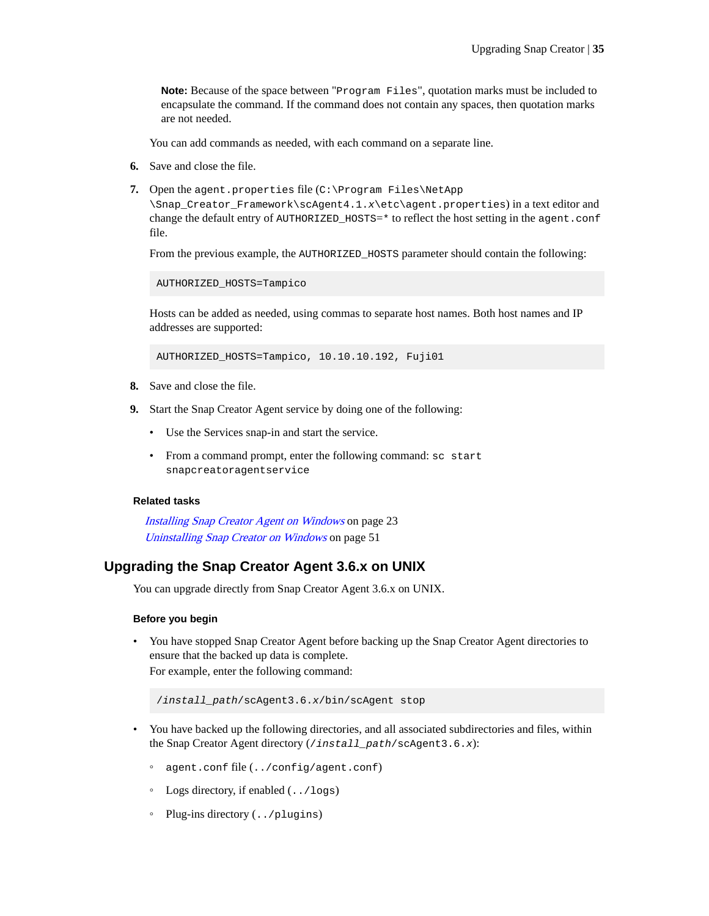<span id="page-34-0"></span>**Note:** Because of the space between "Program Files", quotation marks must be included to encapsulate the command. If the command does not contain any spaces, then quotation marks are not needed.

You can add commands as needed, with each command on a separate line.

- **6.** Save and close the file.
- **7.** Open the agent.properties file (C:\Program Files\NetApp

\Snap\_Creator\_Framework\scAgent4.1.x\etc\agent.properties) in a text editor and change the default entry of  $\text{AUTHORIZED}$  HOSTS= $*$  to reflect the host setting in the agent.conf file.

From the previous example, the AUTHORIZED\_HOSTS parameter should contain the following:

AUTHORIZED\_HOSTS=Tampico

Hosts can be added as needed, using commas to separate host names. Both host names and IP addresses are supported:

AUTHORIZED\_HOSTS=Tampico, 10.10.10.192, Fuji01

- **8.** Save and close the file.
- **9.** Start the Snap Creator Agent service by doing one of the following:
	- Use the Services snap-in and start the service.
	- From a command prompt, enter the following command: sc start snapcreatoragentservice

#### **Related tasks**

[Installing Snap Creator Agent on Windows](#page-22-0) on page 23 [Uninstalling Snap Creator on Windows](#page-50-0) on page 51

### **Upgrading the Snap Creator Agent 3.6.x on UNIX**

You can upgrade directly from Snap Creator Agent 3.6.x on UNIX.

#### **Before you begin**

• You have stopped Snap Creator Agent before backing up the Snap Creator Agent directories to ensure that the backed up data is complete. For example, enter the following command:

/install\_path/scAgent3.6.x/bin/scAgent stop

- You have backed up the following directories, and all associated subdirectories and files, within the Snap Creator Agent directory (/install\_path/scAgent3.6.x):
	- agent.conf file (../config/agent.conf)
	- Logs directory, if enabled (../logs)
	- Plug-ins directory (../plugins)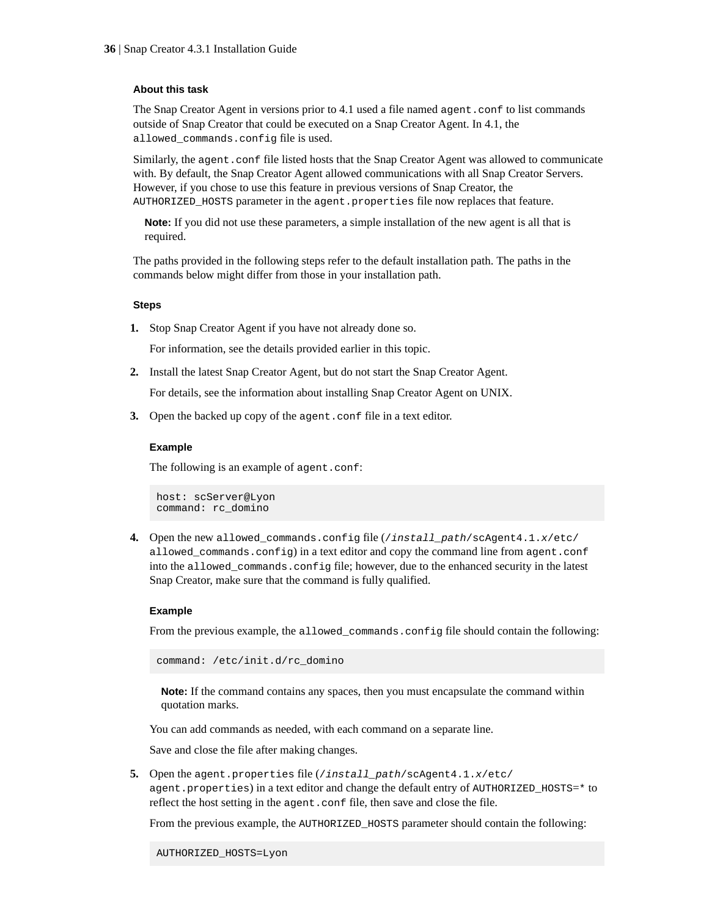#### **About this task**

The Snap Creator Agent in versions prior to 4.1 used a file named agent.conf to list commands outside of Snap Creator that could be executed on a Snap Creator Agent. In 4.1, the allowed\_commands.config file is used.

Similarly, the agent.conf file listed hosts that the Snap Creator Agent was allowed to communicate with. By default, the Snap Creator Agent allowed communications with all Snap Creator Servers. However, if you chose to use this feature in previous versions of Snap Creator, the AUTHORIZED\_HOSTS parameter in the agent.properties file now replaces that feature.

**Note:** If you did not use these parameters, a simple installation of the new agent is all that is required.

The paths provided in the following steps refer to the default installation path. The paths in the commands below might differ from those in your installation path.

#### **Steps**

**1.** Stop Snap Creator Agent if you have not already done so.

For information, see the details provided earlier in this topic.

**2.** Install the latest Snap Creator Agent, but do not start the Snap Creator Agent.

For details, see the information about installing Snap Creator Agent on UNIX.

**3.** Open the backed up copy of the agent.confile in a text editor.

#### **Example**

The following is an example of agent.conf:

host: scServer@Lyon command: rc\_domino

**4.** Open the new allowed\_commands.config file (/install\_path/scAgent4.1.x/etc/ allowed\_commands.config) in a text editor and copy the command line from agent.conf into the allowed\_commands.config file; however, due to the enhanced security in the latest Snap Creator, make sure that the command is fully qualified.

#### **Example**

From the previous example, the allowed\_commands.config file should contain the following:

command: /etc/init.d/rc\_domino

**Note:** If the command contains any spaces, then you must encapsulate the command within quotation marks.

You can add commands as needed, with each command on a separate line.

Save and close the file after making changes.

**5.** Open the agent.properties file (/install\_path/scAgent4.1.x/etc/ agent.properties) in a text editor and change the default entry of AUTHORIZED\_HOSTS=\* to reflect the host setting in the agent.conf file, then save and close the file.

From the previous example, the AUTHORIZED HOSTS parameter should contain the following: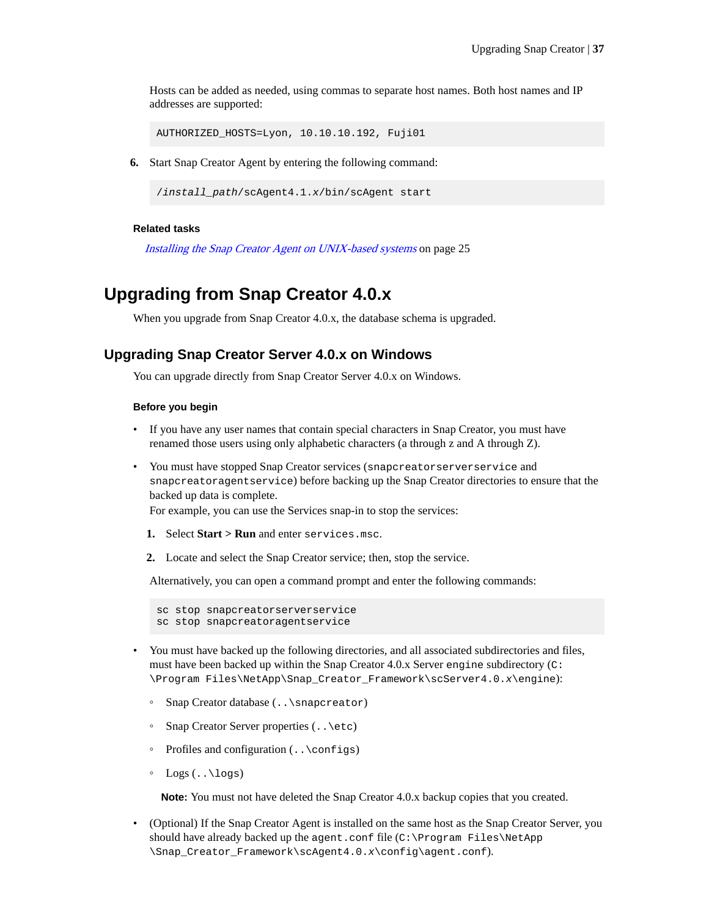<span id="page-36-0"></span>Hosts can be added as needed, using commas to separate host names. Both host names and IP addresses are supported:

AUTHORIZED\_HOSTS=Lyon, 10.10.10.192, Fuji01

**6.** Start Snap Creator Agent by entering the following command:

/install\_path/scAgent4.1.x/bin/scAgent start

#### **Related tasks**

[Installing the Snap Creator Agent on UNIX-based systems](#page-24-0) on page 25

## **Upgrading from Snap Creator 4.0.x**

When you upgrade from Snap Creator 4.0.x, the database schema is upgraded.

### **Upgrading Snap Creator Server 4.0.x on Windows**

You can upgrade directly from Snap Creator Server 4.0.x on Windows.

#### **Before you begin**

- If you have any user names that contain special characters in Snap Creator, you must have renamed those users using only alphabetic characters (a through z and A through Z).
- You must have stopped Snap Creator services (snapcreatorserverservice and snapcreatoragentservice) before backing up the Snap Creator directories to ensure that the backed up data is complete.

For example, you can use the Services snap-in to stop the services:

- **1.** Select **Start > Run** and enter services.msc.
- **2.** Locate and select the Snap Creator service; then, stop the service.

Alternatively, you can open a command prompt and enter the following commands:

```
sc stop snapcreatorserverservice
sc stop snapcreatoragentservice
```
- You must have backed up the following directories, and all associated subdirectories and files, must have been backed up within the Snap Creator 4.0.x Server engine subdirectory ( $\text{c}:$ \Program Files\NetApp\Snap\_Creator\_Framework\scServer4.0.x\engine):
	- Snap Creator database (..\snapcreator)
	- Snap Creator Server properties  $(\cdot, \setminus etc)$
	- Profiles and configuration (..\configs)
	- $\circ$  Logs (..\logs)

**Note:** You must not have deleted the Snap Creator 4.0.x backup copies that you created.

• (Optional) If the Snap Creator Agent is installed on the same host as the Snap Creator Server, you should have already backed up the agent.conf file  $(C:\PP\text{ogram Files}\NetApp)$ \Snap\_Creator\_Framework\scAgent4.0.x\config\agent.conf).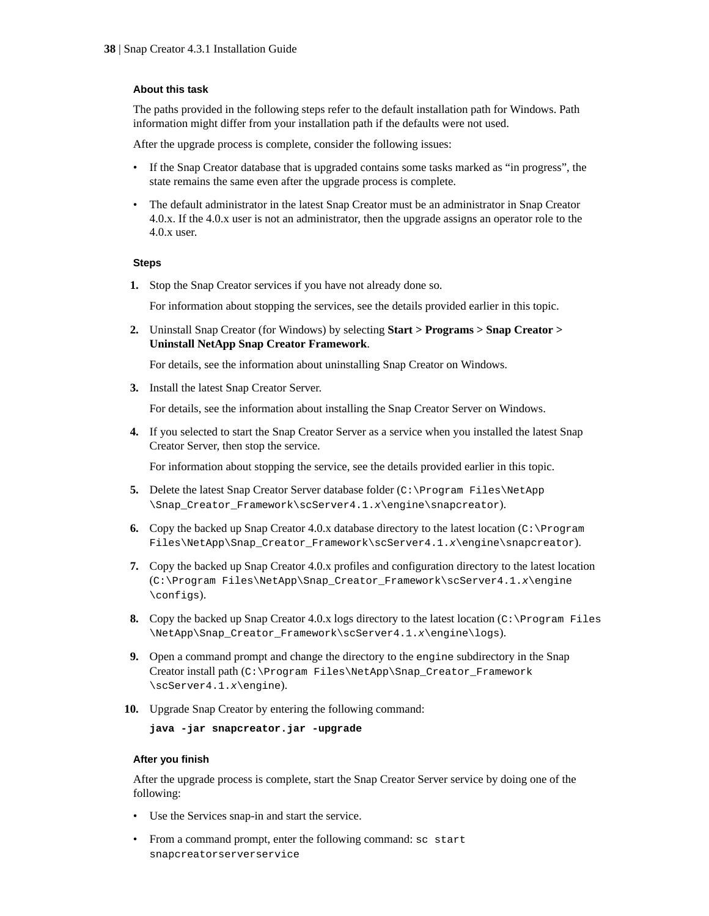#### **About this task**

The paths provided in the following steps refer to the default installation path for Windows. Path information might differ from your installation path if the defaults were not used.

After the upgrade process is complete, consider the following issues:

- If the Snap Creator database that is upgraded contains some tasks marked as "in progress", the state remains the same even after the upgrade process is complete.
- The default administrator in the latest Snap Creator must be an administrator in Snap Creator 4.0.x. If the 4.0.x user is not an administrator, then the upgrade assigns an operator role to the 4.0.x user.

#### **Steps**

**1.** Stop the Snap Creator services if you have not already done so.

For information about stopping the services, see the details provided earlier in this topic.

**2.** Uninstall Snap Creator (for Windows) by selecting **Start > Programs > Snap Creator > Uninstall NetApp Snap Creator Framework**.

For details, see the information about uninstalling Snap Creator on Windows.

**3.** Install the latest Snap Creator Server.

For details, see the information about installing the Snap Creator Server on Windows.

**4.** If you selected to start the Snap Creator Server as a service when you installed the latest Snap Creator Server, then stop the service.

For information about stopping the service, see the details provided earlier in this topic.

- **5.** Delete the latest Snap Creator Server database folder (C:\Program Files\NetApp \Snap\_Creator\_Framework\scServer4.1.x\engine\snapcreator).
- **6.** Copy the backed up Snap Creator 4.0.x database directory to the latest location ( $C:\Per{\sim}$ Files\NetApp\Snap\_Creator\_Framework\scServer4.1.x\engine\snapcreator).
- **7.** Copy the backed up Snap Creator 4.0.x profiles and configuration directory to the latest location (C:\Program Files\NetApp\Snap\_Creator\_Framework\scServer4.1.x\engine \configs).
- **8.** Copy the backed up Snap Creator 4.0.x logs directory to the latest location (C:\Program Files \NetApp\Snap\_Creator\_Framework\scServer4.1.x\engine\logs).
- **9.** Open a command prompt and change the directory to the engine subdirectory in the Snap Creator install path (C:\Program Files\NetApp\Snap\_Creator\_Framework \scServer4.1.x\engine).
- **10.** Upgrade Snap Creator by entering the following command:

**java -jar snapcreator.jar -upgrade**

#### **After you finish**

After the upgrade process is complete, start the Snap Creator Server service by doing one of the following:

- Use the Services snap-in and start the service.
- From a command prompt, enter the following command: sc start snapcreatorserverservice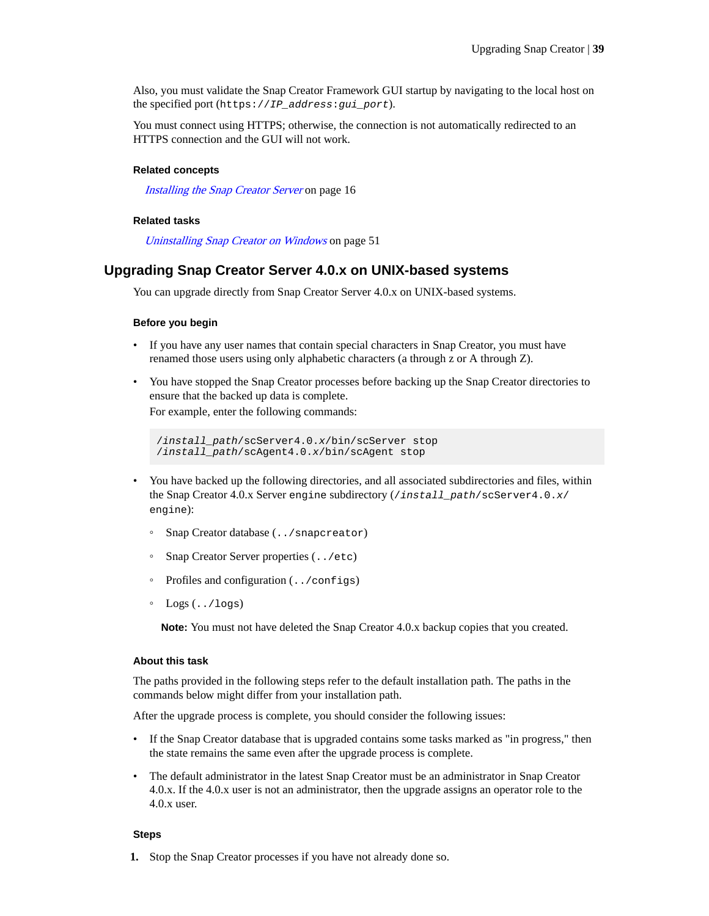<span id="page-38-0"></span>Also, you must validate the Snap Creator Framework GUI startup by navigating to the local host on the specified port (https://IP\_address:gui\_port).

You must connect using HTTPS; otherwise, the connection is not automatically redirected to an HTTPS connection and the GUI will not work.

#### **Related concepts**

[Installing the Snap Creator Server](#page-15-0) on page 16

#### **Related tasks**

[Uninstalling Snap Creator on Windows](#page-50-0) on page 51

### **Upgrading Snap Creator Server 4.0.x on UNIX-based systems**

You can upgrade directly from Snap Creator Server 4.0.x on UNIX-based systems.

#### **Before you begin**

- If you have any user names that contain special characters in Snap Creator, you must have renamed those users using only alphabetic characters (a through z or A through Z).
- You have stopped the Snap Creator processes before backing up the Snap Creator directories to ensure that the backed up data is complete.

For example, enter the following commands:

```
/install_path/scServer4.0.x/bin/scServer stop
/install_path/scAgent4.0.x/bin/scAgent stop
```
- You have backed up the following directories, and all associated subdirectories and files, within the Snap Creator 4.0.x Server engine subdirectory (/install\_path/scServer4.0.x/ engine):
	- Snap Creator database (../snapcreator)
	- Snap Creator Server properties (../etc)
	- Profiles and configuration (../configs)
	- $Logs$   $($ ../logs)

**Note:** You must not have deleted the Snap Creator 4.0.x backup copies that you created.

#### **About this task**

The paths provided in the following steps refer to the default installation path. The paths in the commands below might differ from your installation path.

After the upgrade process is complete, you should consider the following issues:

- If the Snap Creator database that is upgraded contains some tasks marked as "in progress," then the state remains the same even after the upgrade process is complete.
- The default administrator in the latest Snap Creator must be an administrator in Snap Creator 4.0.x. If the 4.0.x user is not an administrator, then the upgrade assigns an operator role to the 4.0.x user.

#### **Steps**

**1.** Stop the Snap Creator processes if you have not already done so.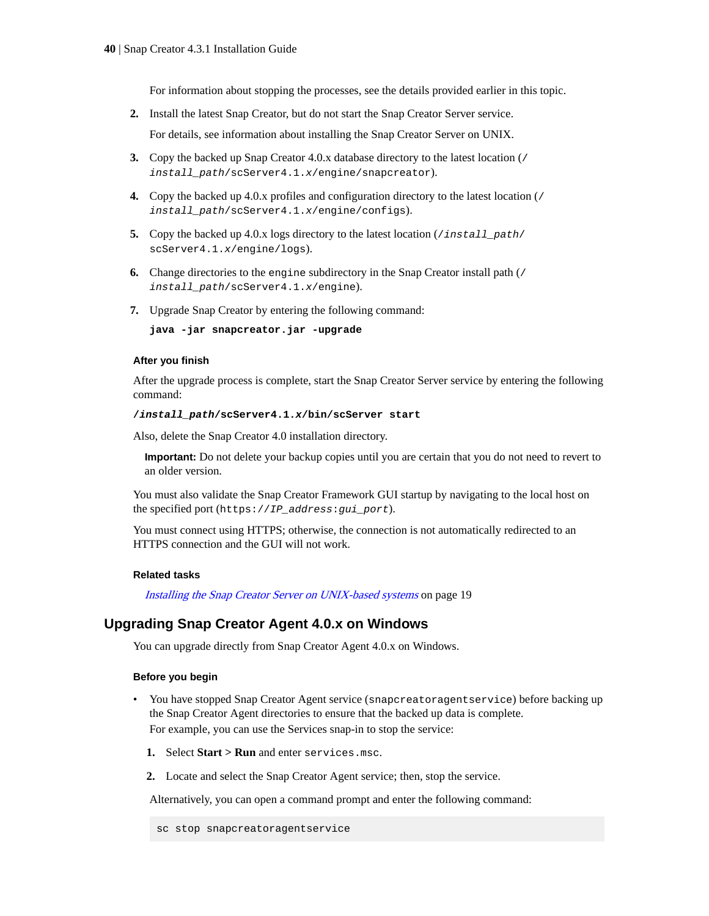For information about stopping the processes, see the details provided earlier in this topic.

- <span id="page-39-0"></span>**2.** Install the latest Snap Creator, but do not start the Snap Creator Server service. For details, see information about installing the Snap Creator Server on UNIX.
- **3.** Copy the backed up Snap Creator 4.0.x database directory to the latest location (/ install\_path/scServer4.1.x/engine/snapcreator).
- **4.** Copy the backed up 4.0.x profiles and configuration directory to the latest location (/ install\_path/scServer4.1.x/engine/configs).
- **5.** Copy the backed up 4.0.x logs directory to the latest location (*install\_path/* scServer4.1.x/engine/logs).
- **6.** Change directories to the engine subdirectory in the Snap Creator install path (/ install\_path/scServer4.1.x/engine).
- **7.** Upgrade Snap Creator by entering the following command:

**java -jar snapcreator.jar -upgrade**

#### **After you finish**

After the upgrade process is complete, start the Snap Creator Server service by entering the following command:

#### **/install\_path/scServer4.1.x/bin/scServer start**

Also, delete the Snap Creator 4.0 installation directory.

**Important:** Do not delete your backup copies until you are certain that you do not need to revert to an older version.

You must also validate the Snap Creator Framework GUI startup by navigating to the local host on the specified port (https://IP\_address:gui\_port).

You must connect using HTTPS; otherwise, the connection is not automatically redirected to an HTTPS connection and the GUI will not work.

#### **Related tasks**

[Installing the Snap Creator Server on UNIX-based systems](#page-18-0) on page 19

### **Upgrading Snap Creator Agent 4.0.x on Windows**

You can upgrade directly from Snap Creator Agent 4.0.x on Windows.

#### **Before you begin**

- You have stopped Snap Creator Agent service (snapcreatoragentservice) before backing up the Snap Creator Agent directories to ensure that the backed up data is complete. For example, you can use the Services snap-in to stop the service:
	- **1.** Select **Start > Run** and enter services.msc.
	- **2.** Locate and select the Snap Creator Agent service; then, stop the service.

Alternatively, you can open a command prompt and enter the following command:

```
sc stop snapcreatoragentservice
```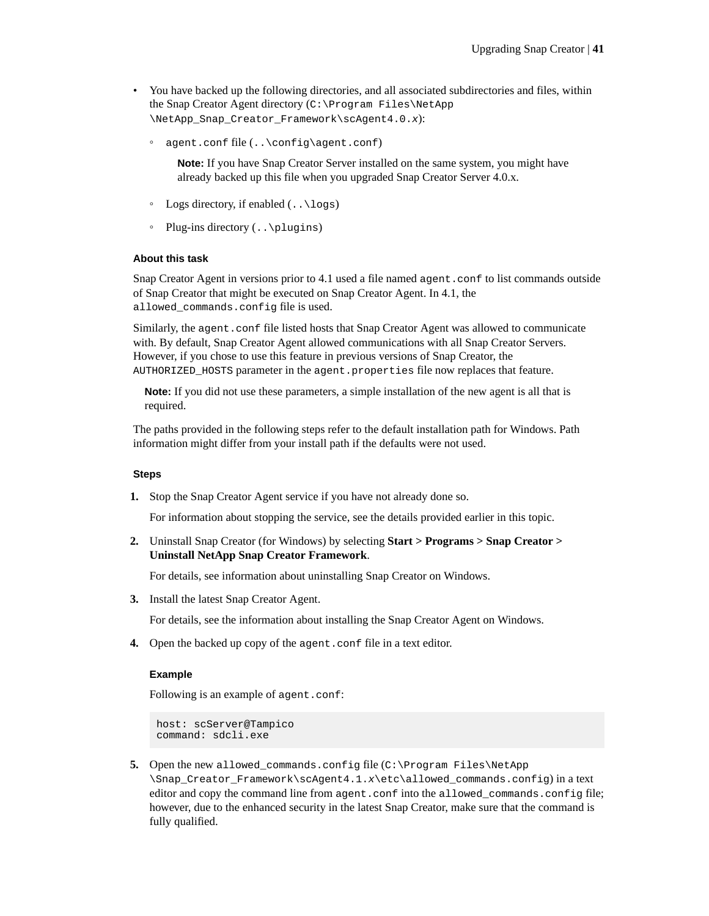- You have backed up the following directories, and all associated subdirectories and files, within the Snap Creator Agent directory (C:\Program Files\NetApp \NetApp\_Snap\_Creator\_Framework\scAgent4.0.x):
	- agent.conf file (..\config\agent.conf)

**Note:** If you have Snap Creator Server installed on the same system, you might have already backed up this file when you upgraded Snap Creator Server 4.0.x.

- Logs directory, if enabled (..\logs)
- Plug-ins directory (..\plugins)

#### **About this task**

Snap Creator Agent in versions prior to 4.1 used a file named agent.conf to list commands outside of Snap Creator that might be executed on Snap Creator Agent. In 4.1, the allowed\_commands.config file is used.

Similarly, the agent.conf file listed hosts that Snap Creator Agent was allowed to communicate with. By default, Snap Creator Agent allowed communications with all Snap Creator Servers. However, if you chose to use this feature in previous versions of Snap Creator, the AUTHORIZED\_HOSTS parameter in the agent.properties file now replaces that feature.

**Note:** If you did not use these parameters, a simple installation of the new agent is all that is required.

The paths provided in the following steps refer to the default installation path for Windows. Path information might differ from your install path if the defaults were not used.

#### **Steps**

**1.** Stop the Snap Creator Agent service if you have not already done so.

For information about stopping the service, see the details provided earlier in this topic.

**2.** Uninstall Snap Creator (for Windows) by selecting **Start > Programs > Snap Creator > Uninstall NetApp Snap Creator Framework**.

For details, see information about uninstalling Snap Creator on Windows.

**3.** Install the latest Snap Creator Agent.

For details, see the information about installing the Snap Creator Agent on Windows.

**4.** Open the backed up copy of the agent.conf file in a text editor.

#### **Example**

Following is an example of agent.conf:

```
host: scServer@Tampico
command: sdcli.exe
```
**5.** Open the new allowed\_commands.config file (C:\Program Files\NetApp \Snap\_Creator\_Framework\scAgent4.1.x\etc\allowed\_commands.config) in a text editor and copy the command line from agent.conf into the allowed\_commands.config file; however, due to the enhanced security in the latest Snap Creator, make sure that the command is fully qualified.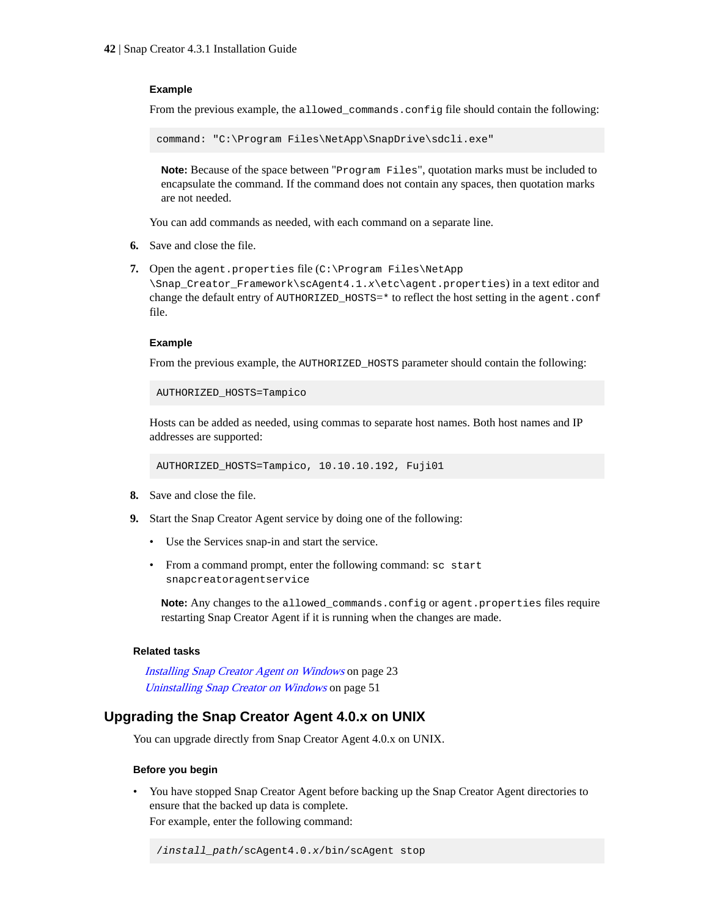#### <span id="page-41-0"></span>**Example**

From the previous example, the allowed\_commands.config file should contain the following:

command: "C:\Program Files\NetApp\SnapDrive\sdcli.exe"

**Note:** Because of the space between "Program Files", quotation marks must be included to encapsulate the command. If the command does not contain any spaces, then quotation marks are not needed.

You can add commands as needed, with each command on a separate line.

- **6.** Save and close the file.
- **7.** Open the agent.properties file (C:\Program Files\NetApp

\Snap\_Creator\_Framework\scAgent4.1.x\etc\agent.properties) in a text editor and change the default entry of AUTHORIZED\_HOSTS=\* to reflect the host setting in the agent.conf file.

#### **Example**

From the previous example, the AUTHORIZED\_HOSTS parameter should contain the following:

AUTHORIZED\_HOSTS=Tampico

Hosts can be added as needed, using commas to separate host names. Both host names and IP addresses are supported:

AUTHORIZED\_HOSTS=Tampico, 10.10.10.192, Fuji01

- **8.** Save and close the file.
- **9.** Start the Snap Creator Agent service by doing one of the following:
	- Use the Services snap-in and start the service.
	- From a command prompt, enter the following command: sc start snapcreatoragentservice

**Note:** Any changes to the allowed\_commands.config or agent.properties files require restarting Snap Creator Agent if it is running when the changes are made.

#### **Related tasks**

[Installing Snap Creator Agent on Windows](#page-22-0) on page 23 [Uninstalling Snap Creator on Windows](#page-50-0) on page 51

### **Upgrading the Snap Creator Agent 4.0.x on UNIX**

You can upgrade directly from Snap Creator Agent 4.0.x on UNIX.

#### **Before you begin**

• You have stopped Snap Creator Agent before backing up the Snap Creator Agent directories to ensure that the backed up data is complete. For example, enter the following command:

/install\_path/scAgent4.0.x/bin/scAgent stop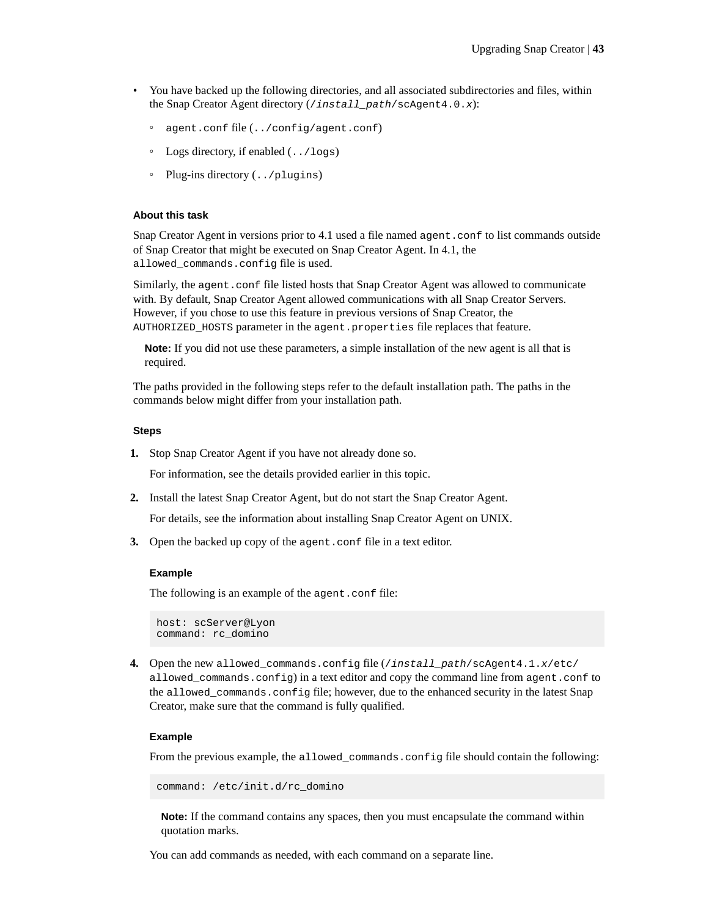- You have backed up the following directories, and all associated subdirectories and files, within the Snap Creator Agent directory (/install\_path/scAgent4.0.x):
	- agent.conf file (../config/agent.conf)
	- Logs directory, if enabled (../logs)
	- Plug-ins directory (../plugins)

#### **About this task**

Snap Creator Agent in versions prior to 4.1 used a file named agent.conf to list commands outside of Snap Creator that might be executed on Snap Creator Agent. In 4.1, the allowed\_commands.config file is used.

Similarly, the agent.conf file listed hosts that Snap Creator Agent was allowed to communicate with. By default, Snap Creator Agent allowed communications with all Snap Creator Servers. However, if you chose to use this feature in previous versions of Snap Creator, the AUTHORIZED\_HOSTS parameter in the agent.properties file replaces that feature.

**Note:** If you did not use these parameters, a simple installation of the new agent is all that is required.

The paths provided in the following steps refer to the default installation path. The paths in the commands below might differ from your installation path.

#### **Steps**

**1.** Stop Snap Creator Agent if you have not already done so.

For information, see the details provided earlier in this topic.

**2.** Install the latest Snap Creator Agent, but do not start the Snap Creator Agent.

For details, see the information about installing Snap Creator Agent on UNIX.

**3.** Open the backed up copy of the agent.confile in a text editor.

#### **Example**

The following is an example of the agent.conf file:

host: scServer@Lyon command: rc\_domino

**4.** Open the new allowed\_commands.config file (/install\_path/scAgent4.1.x/etc/ allowed\_commands.config) in a text editor and copy the command line from agent.conf to the allowed\_commands.config file; however, due to the enhanced security in the latest Snap Creator, make sure that the command is fully qualified.

#### **Example**

From the previous example, the allowed\_commands.config file should contain the following:

command: /etc/init.d/rc\_domino

**Note:** If the command contains any spaces, then you must encapsulate the command within quotation marks.

You can add commands as needed, with each command on a separate line.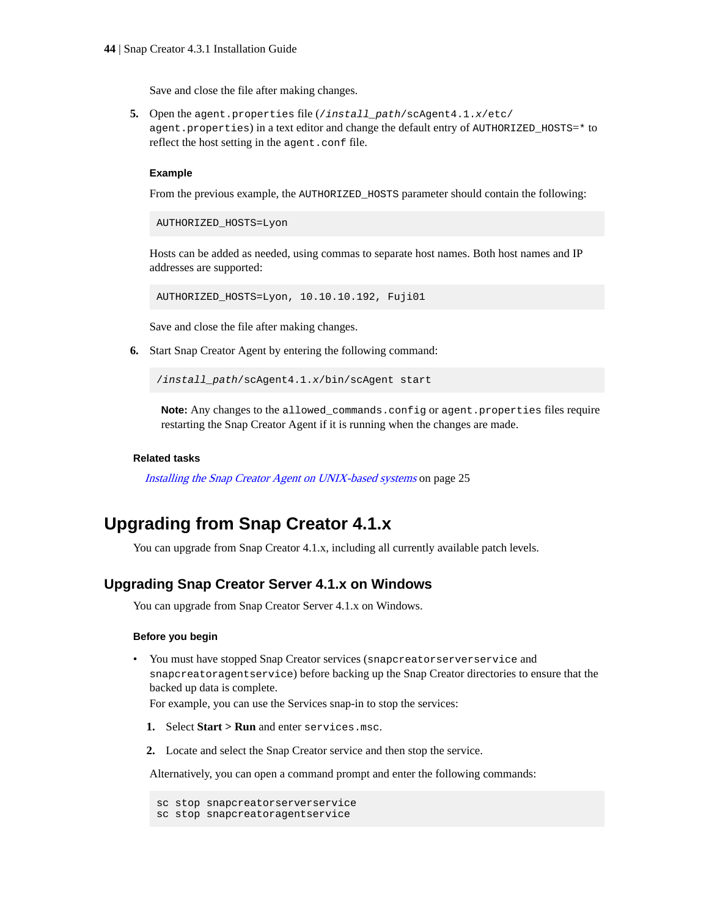Save and close the file after making changes.

<span id="page-43-0"></span>**5.** Open the agent.properties file (/install\_path/scAgent4.1.x/etc/ agent.properties) in a text editor and change the default entry of AUTHORIZED\_HOSTS=\* to reflect the host setting in the agent.conf file.

#### **Example**

From the previous example, the AUTHORIZED\_HOSTS parameter should contain the following:

AUTHORIZED\_HOSTS=Lyon

Hosts can be added as needed, using commas to separate host names. Both host names and IP addresses are supported:

AUTHORIZED\_HOSTS=Lyon, 10.10.10.192, Fuji01

Save and close the file after making changes.

**6.** Start Snap Creator Agent by entering the following command:

/install\_path/scAgent4.1.x/bin/scAgent start

**Note:** Any changes to the allowed\_commands.config or agent.properties files require restarting the Snap Creator Agent if it is running when the changes are made.

#### **Related tasks**

[Installing the Snap Creator Agent on UNIX-based systems](#page-24-0) on page 25

## **Upgrading from Snap Creator 4.1.x**

You can upgrade from Snap Creator 4.1.x, including all currently available patch levels.

### **Upgrading Snap Creator Server 4.1.x on Windows**

You can upgrade from Snap Creator Server 4.1.x on Windows.

#### **Before you begin**

• You must have stopped Snap Creator services (snapcreatorserverservice and snapcreatoragentservice) before backing up the Snap Creator directories to ensure that the backed up data is complete.

For example, you can use the Services snap-in to stop the services:

- **1.** Select **Start > Run** and enter services.msc.
- **2.** Locate and select the Snap Creator service and then stop the service.

Alternatively, you can open a command prompt and enter the following commands:

```
sc stop snapcreatorserverservice
sc stop snapcreatoragentservice
```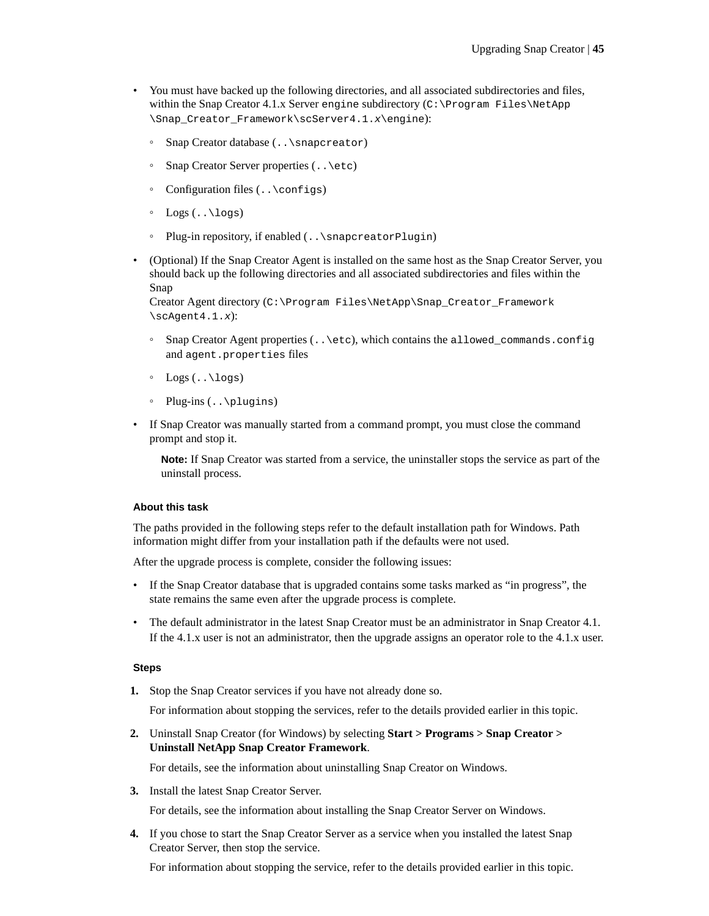- You must have backed up the following directories, and all associated subdirectories and files, within the Snap Creator 4.1.x Server engine subdirectory (C:\Program Files\NetApp \Snap\_Creator\_Framework\scServer4.1.x\engine):
	- Snap Creator database (..\snapcreator)
	- Snap Creator Server properties (..\etc)
	- Configuration files (..\configs)
	- $\circ$  Logs  $(..\ldots)$
	- Plug-in repository, if enabled (..\snapcreatorPlugin)
- (Optional) If the Snap Creator Agent is installed on the same host as the Snap Creator Server, you should back up the following directories and all associated subdirectories and files within the Snap

Creator Agent directory (C:\Program Files\NetApp\Snap\_Creator\_Framework  $\setminus$ scAgent4.1.x):

- Snap Creator Agent properties (..\etc), which contains the allowed\_commands.config and agent.properties files
- $\circ$  Logs  $(..\ldots)$
- Plug-ins (..\plugins)
- If Snap Creator was manually started from a command prompt, you must close the command prompt and stop it.

**Note:** If Snap Creator was started from a service, the uninstaller stops the service as part of the uninstall process.

#### **About this task**

The paths provided in the following steps refer to the default installation path for Windows. Path information might differ from your installation path if the defaults were not used.

After the upgrade process is complete, consider the following issues:

- If the Snap Creator database that is upgraded contains some tasks marked as "in progress", the state remains the same even after the upgrade process is complete.
- The default administrator in the latest Snap Creator must be an administrator in Snap Creator 4.1. If the 4.1.x user is not an administrator, then the upgrade assigns an operator role to the 4.1.x user.

#### **Steps**

**1.** Stop the Snap Creator services if you have not already done so.

For information about stopping the services, refer to the details provided earlier in this topic.

**2.** Uninstall Snap Creator (for Windows) by selecting **Start > Programs > Snap Creator > Uninstall NetApp Snap Creator Framework**.

For details, see the information about uninstalling Snap Creator on Windows.

**3.** Install the latest Snap Creator Server.

For details, see the information about installing the Snap Creator Server on Windows.

**4.** If you chose to start the Snap Creator Server as a service when you installed the latest Snap Creator Server, then stop the service.

For information about stopping the service, refer to the details provided earlier in this topic.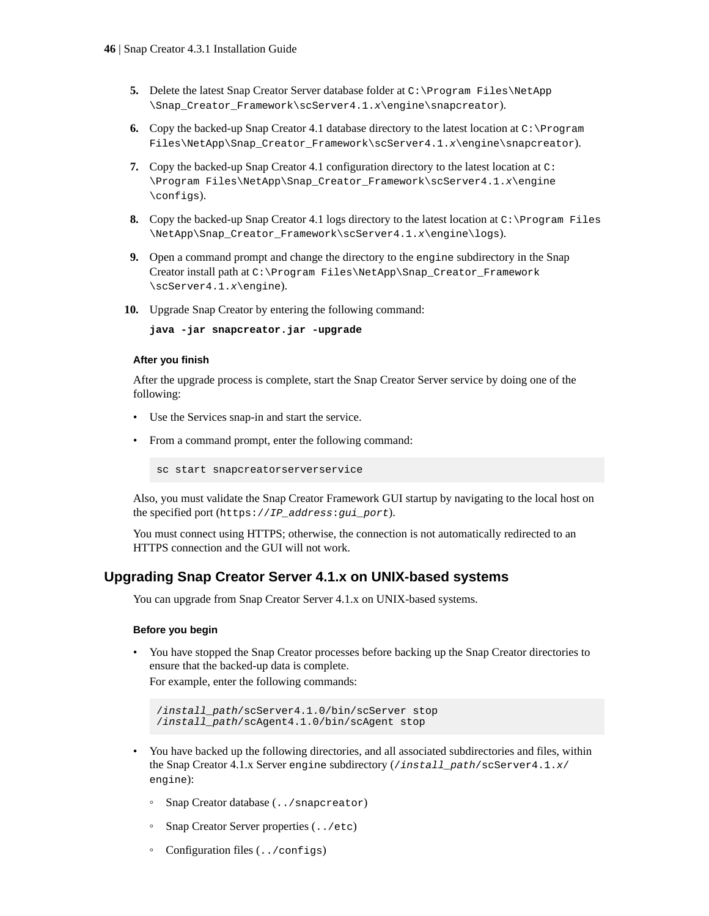- <span id="page-45-0"></span>**5.** Delete the latest Snap Creator Server database folder at C:\Program Files\NetApp \Snap\_Creator\_Framework\scServer4.1.x\engine\snapcreator).
- **6.** Copy the backed-up Snap Creator 4.1 database directory to the latest location at C:\Program Files\NetApp\Snap Creator Framework\scServer4.1.x\engine\snapcreator).
- **7.** Copy the backed-up Snap Creator 4.1 configuration directory to the latest location at C: \Program Files\NetApp\Snap\_Creator\_Framework\scServer4.1.x\engine \configs).
- **8.** Copy the backed-up Snap Creator 4.1 logs directory to the latest location at C:\Program Files \NetApp\Snap\_Creator\_Framework\scServer4.1.x\engine\logs).
- **9.** Open a command prompt and change the directory to the engine subdirectory in the Snap Creator install path at C:\Program Files\NetApp\Snap\_Creator\_Framework \scServer4.1.x\engine).
- **10.** Upgrade Snap Creator by entering the following command:

**java -jar snapcreator.jar -upgrade**

#### **After you finish**

After the upgrade process is complete, start the Snap Creator Server service by doing one of the following:

- Use the Services snap-in and start the service.
- From a command prompt, enter the following command:

sc start snapcreatorserverservice

Also, you must validate the Snap Creator Framework GUI startup by navigating to the local host on the specified port (https://IP\_address:gui\_port).

You must connect using HTTPS; otherwise, the connection is not automatically redirected to an HTTPS connection and the GUI will not work.

### **Upgrading Snap Creator Server 4.1.x on UNIX-based systems**

You can upgrade from Snap Creator Server 4.1.x on UNIX-based systems.

#### **Before you begin**

• You have stopped the Snap Creator processes before backing up the Snap Creator directories to ensure that the backed-up data is complete.

For example, enter the following commands:

```
/install_path/scServer4.1.0/bin/scServer stop
/install_path/scAgent4.1.0/bin/scAgent stop
```
- You have backed up the following directories, and all associated subdirectories and files, within the Snap Creator 4.1.x Server engine subdirectory (*/install\_path/scServer4.1.x/* engine):
	- Snap Creator database (../snapcreator)
	- Snap Creator Server properties (../etc)
	- Configuration files (../configs)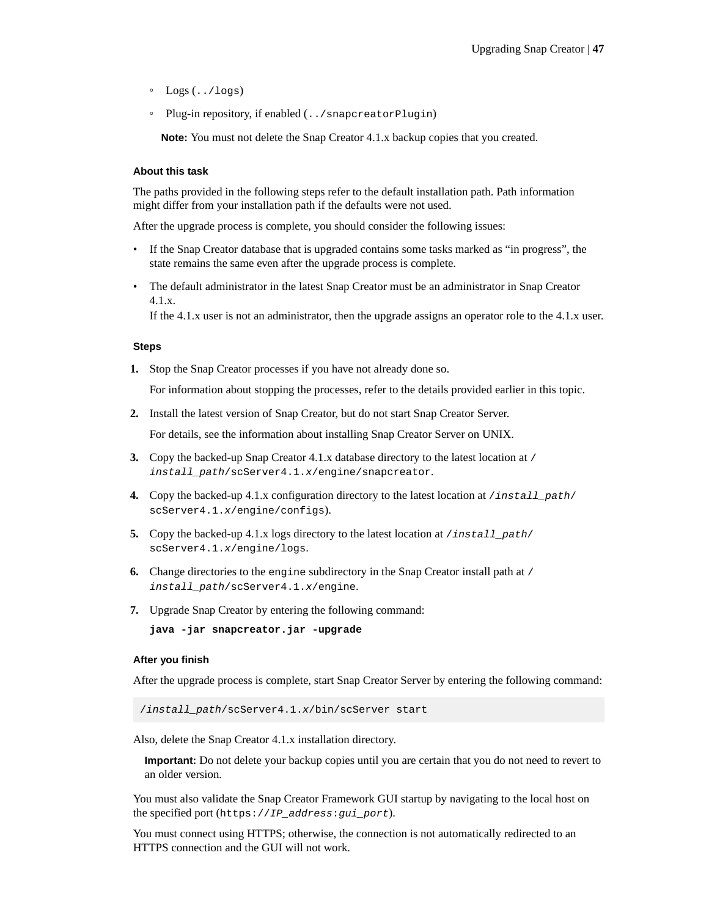- Logs (../logs)
- Plug-in repository, if enabled (../snapcreatorPlugin)

**Note:** You must not delete the Snap Creator 4.1.x backup copies that you created.

#### **About this task**

The paths provided in the following steps refer to the default installation path. Path information might differ from your installation path if the defaults were not used.

After the upgrade process is complete, you should consider the following issues:

- If the Snap Creator database that is upgraded contains some tasks marked as "in progress", the state remains the same even after the upgrade process is complete.
- The default administrator in the latest Snap Creator must be an administrator in Snap Creator 4.1.x.

If the 4.1.x user is not an administrator, then the upgrade assigns an operator role to the 4.1.x user.

#### **Steps**

**1.** Stop the Snap Creator processes if you have not already done so.

For information about stopping the processes, refer to the details provided earlier in this topic.

**2.** Install the latest version of Snap Creator, but do not start Snap Creator Server.

For details, see the information about installing Snap Creator Server on UNIX.

- **3.** Copy the backed-up Snap Creator 4.1.x database directory to the latest location at / install\_path/scServer4.1.x/engine/snapcreator.
- **4.** Copy the backed-up 4.1.x configuration directory to the latest location at /install\_path/ scServer4.1.x/engine/configs).
- **5.** Copy the backed-up 4.1.x logs directory to the latest location at /install\_path/ scServer4.1.x/engine/logs.
- **6.** Change directories to the engine subdirectory in the Snap Creator install path at / install\_path/scServer4.1.x/engine.
- **7.** Upgrade Snap Creator by entering the following command:

**java -jar snapcreator.jar -upgrade**

#### **After you finish**

After the upgrade process is complete, start Snap Creator Server by entering the following command:

/install\_path/scServer4.1.x/bin/scServer start

Also, delete the Snap Creator 4.1.x installation directory.

**Important:** Do not delete your backup copies until you are certain that you do not need to revert to an older version.

You must also validate the Snap Creator Framework GUI startup by navigating to the local host on the specified port (https://IP\_address:gui\_port).

You must connect using HTTPS; otherwise, the connection is not automatically redirected to an HTTPS connection and the GUI will not work.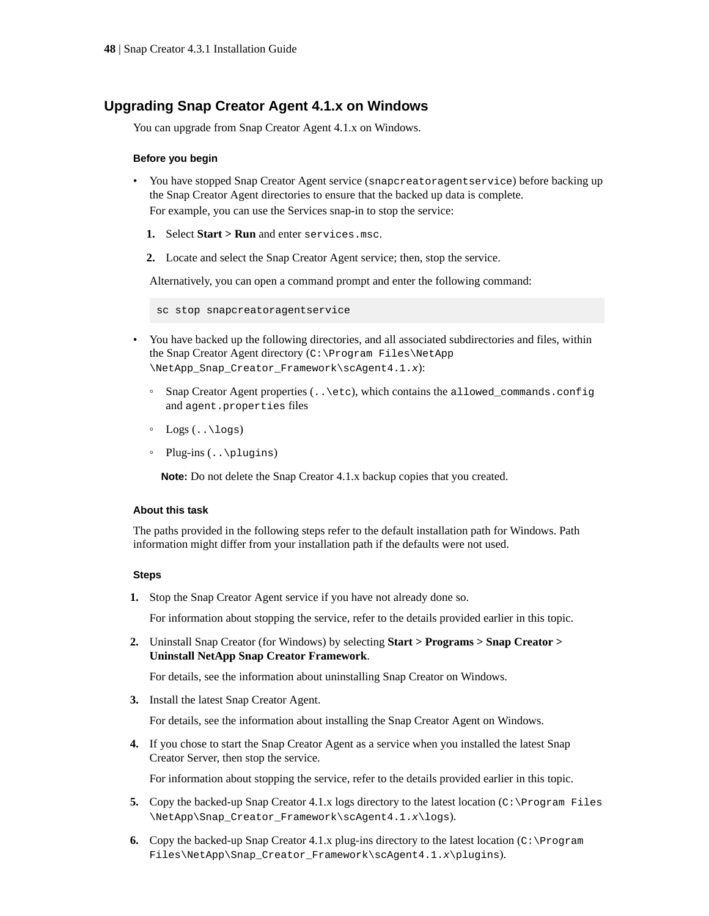## <span id="page-47-0"></span>**Upgrading Snap Creator Agent 4.1.x on Windows**

You can upgrade from Snap Creator Agent 4.1.x on Windows.

#### **Before you begin**

- You have stopped Snap Creator Agent service (snapcreatoragentservice) before backing up the Snap Creator Agent directories to ensure that the backed up data is complete. For example, you can use the Services snap-in to stop the service:
	- **1.** Select **Start > Run** and enter services.msc.
	- **2.** Locate and select the Snap Creator Agent service; then, stop the service.

Alternatively, you can open a command prompt and enter the following command:

sc stop snapcreatoragentservice

- You have backed up the following directories, and all associated subdirectories and files, within the Snap Creator Agent directory (C:\Program Files\NetApp \NetApp\_Snap\_Creator\_Framework\scAgent4.1.x):
	- Snap Creator Agent properties (..\etc), which contains the allowed\_commands.config and agent.properties files
	- $\circ$  Logs  $(..\ldots)$
	- Plug-ins (..\plugins)

**Note:** Do not delete the Snap Creator 4.1.x backup copies that you created.

#### **About this task**

The paths provided in the following steps refer to the default installation path for Windows. Path information might differ from your installation path if the defaults were not used.

#### **Steps**

**1.** Stop the Snap Creator Agent service if you have not already done so.

For information about stopping the service, refer to the details provided earlier in this topic.

**2.** Uninstall Snap Creator (for Windows) by selecting **Start > Programs > Snap Creator > Uninstall NetApp Snap Creator Framework**.

For details, see the information about uninstalling Snap Creator on Windows.

**3.** Install the latest Snap Creator Agent.

For details, see the information about installing the Snap Creator Agent on Windows.

**4.** If you chose to start the Snap Creator Agent as a service when you installed the latest Snap Creator Server, then stop the service.

For information about stopping the service, refer to the details provided earlier in this topic.

- **5.** Copy the backed-up Snap Creator 4.1.x logs directory to the latest location ( $C:\Per\gamma$ ) Files \NetApp\Snap\_Creator\_Framework\scAgent4.1.x\logs).
- **6.** Copy the backed-up Snap Creator 4.1.x plug-ins directory to the latest location (C:\Program Files\NetApp\Snap\_Creator\_Framework\scAgent4.1.x\plugins).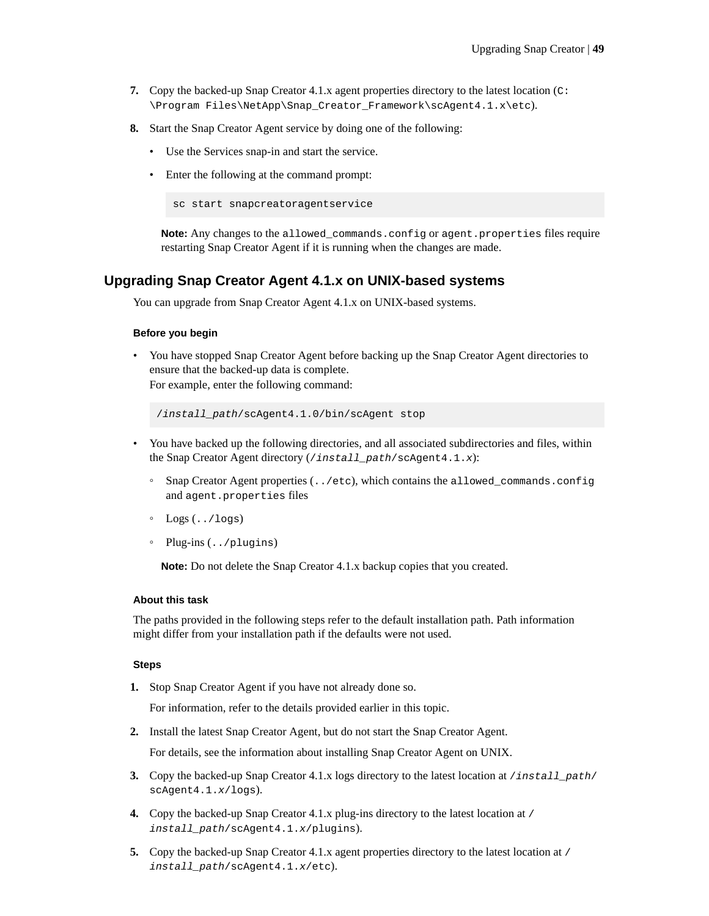- <span id="page-48-0"></span>**7.** Copy the backed-up Snap Creator 4.1.x agent properties directory to the latest location (C: \Program Files\NetApp\Snap\_Creator\_Framework\scAgent4.1.x\etc).
- **8.** Start the Snap Creator Agent service by doing one of the following:
	- Use the Services snap-in and start the service.
	- Enter the following at the command prompt:

```
sc start snapcreatoragentservice
```
**Note:** Any changes to the allowed\_commands.config or agent.properties files require restarting Snap Creator Agent if it is running when the changes are made.

### **Upgrading Snap Creator Agent 4.1.x on UNIX-based systems**

You can upgrade from Snap Creator Agent 4.1.x on UNIX-based systems.

#### **Before you begin**

• You have stopped Snap Creator Agent before backing up the Snap Creator Agent directories to ensure that the backed-up data is complete. For example, enter the following command:

/install\_path/scAgent4.1.0/bin/scAgent stop

- You have backed up the following directories, and all associated subdirectories and files, within the Snap Creator Agent directory (/install\_path/scAgent4.1.x):
	- Snap Creator Agent properties (../etc), which contains the allowed\_commands.config and agent.properties files
	- Logs (../logs)
	- Plug-ins (../plugins)

**Note:** Do not delete the Snap Creator 4.1.x backup copies that you created.

#### **About this task**

The paths provided in the following steps refer to the default installation path. Path information might differ from your installation path if the defaults were not used.

#### **Steps**

**1.** Stop Snap Creator Agent if you have not already done so.

For information, refer to the details provided earlier in this topic.

**2.** Install the latest Snap Creator Agent, but do not start the Snap Creator Agent.

For details, see the information about installing Snap Creator Agent on UNIX.

- **3.** Copy the backed-up Snap Creator 4.1.x logs directory to the latest location at /install\_path/ scAgent4.1.x/logs).
- **4.** Copy the backed-up Snap Creator 4.1.x plug-ins directory to the latest location at / install\_path/scAgent4.1.x/plugins).
- **5.** Copy the backed-up Snap Creator 4.1.x agent properties directory to the latest location at / install\_path/scAgent4.1.x/etc).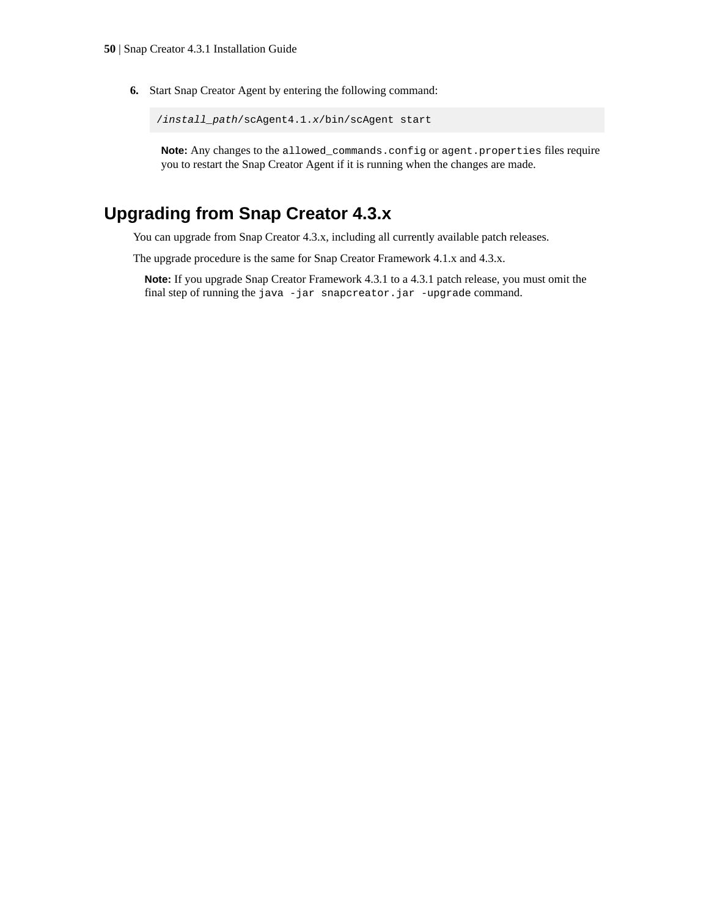<span id="page-49-0"></span>**6.** Start Snap Creator Agent by entering the following command:

```
/install_path/scAgent4.1.x/bin/scAgent start
```
**Note:** Any changes to the allowed\_commands.config or agent.properties files require you to restart the Snap Creator Agent if it is running when the changes are made.

# **Upgrading from Snap Creator 4.3.x**

You can upgrade from Snap Creator 4.3.x, including all currently available patch releases.

The upgrade procedure is the same for Snap Creator Framework 4.1.x and 4.3.x.

**Note:** If you upgrade Snap Creator Framework 4.3.1 to a 4.3.1 patch release, you must omit the final step of running the java -jar snapcreator.jar -upgrade command.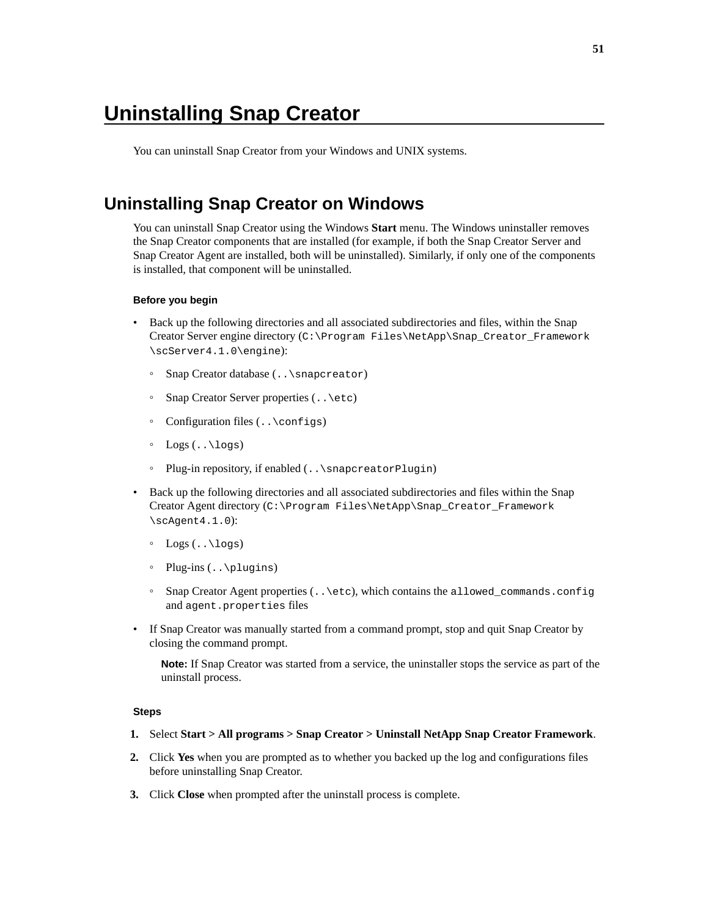# <span id="page-50-0"></span>**Uninstalling Snap Creator**

You can uninstall Snap Creator from your Windows and UNIX systems.

## **Uninstalling Snap Creator on Windows**

You can uninstall Snap Creator using the Windows **Start** menu. The Windows uninstaller removes the Snap Creator components that are installed (for example, if both the Snap Creator Server and Snap Creator Agent are installed, both will be uninstalled). Similarly, if only one of the components is installed, that component will be uninstalled.

#### **Before you begin**

- Back up the following directories and all associated subdirectories and files, within the Snap Creator Server engine directory (C:\Program Files\NetApp\Snap\_Creator\_Framework \scServer4.1.0\engine):
	- Snap Creator database (..\snapcreator)
	- Snap Creator Server properties (..\etc)
	- Configuration files  $(\cdot, \setminus \text{configs})$
	- Logs (..\logs)
	- Plug-in repository, if enabled (..\snapcreatorPlugin)
- Back up the following directories and all associated subdirectories and files within the Snap Creator Agent directory (C:\Program Files\NetApp\Snap\_Creator\_Framework \scAgent4.1.0):
	- $\circ$  Logs  $($ . \logs)
	- Plug-ins (..\plugins)
	- Snap Creator Agent properties (..\etc), which contains the allowed\_commands.config and agent.properties files
- If Snap Creator was manually started from a command prompt, stop and quit Snap Creator by closing the command prompt.

**Note:** If Snap Creator was started from a service, the uninstaller stops the service as part of the uninstall process.

#### **Steps**

- **1.** Select **Start > All programs > Snap Creator > Uninstall NetApp Snap Creator Framework**.
- **2.** Click **Yes** when you are prompted as to whether you backed up the log and configurations files before uninstalling Snap Creator.
- **3.** Click **Close** when prompted after the uninstall process is complete.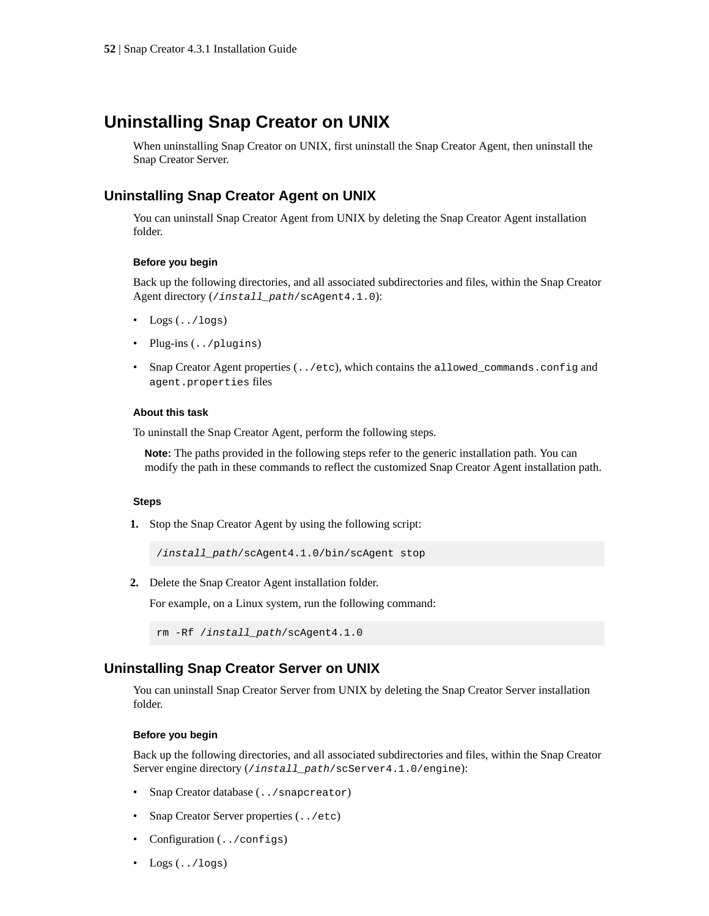## <span id="page-51-0"></span>**Uninstalling Snap Creator on UNIX**

When uninstalling Snap Creator on UNIX, first uninstall the Snap Creator Agent, then uninstall the Snap Creator Server.

## **Uninstalling Snap Creator Agent on UNIX**

You can uninstall Snap Creator Agent from UNIX by deleting the Snap Creator Agent installation folder.

#### **Before you begin**

Back up the following directories, and all associated subdirectories and files, within the Snap Creator Agent directory (/install\_path/scAgent4.1.0):

- $Loss (../logs)$
- Plug-ins (../plugins)
- Snap Creator Agent properties (../etc), which contains the allowed\_commands.config and agent.properties files

#### **About this task**

To uninstall the Snap Creator Agent, perform the following steps.

**Note:** The paths provided in the following steps refer to the generic installation path. You can modify the path in these commands to reflect the customized Snap Creator Agent installation path.

#### **Steps**

**1.** Stop the Snap Creator Agent by using the following script:

/install\_path/scAgent4.1.0/bin/scAgent stop

**2.** Delete the Snap Creator Agent installation folder.

For example, on a Linux system, run the following command:

```
rm -Rf /install_path/scAgent4.1.0
```
## **Uninstalling Snap Creator Server on UNIX**

You can uninstall Snap Creator Server from UNIX by deleting the Snap Creator Server installation folder.

### **Before you begin**

Back up the following directories, and all associated subdirectories and files, within the Snap Creator Server engine directory (/install\_path/scServer4.1.0/engine):

- Snap Creator database (../snapcreator)
- Snap Creator Server properties  $( . . / etc)$
- Configuration (../configs)
- $\text{Logs}($ ../logs)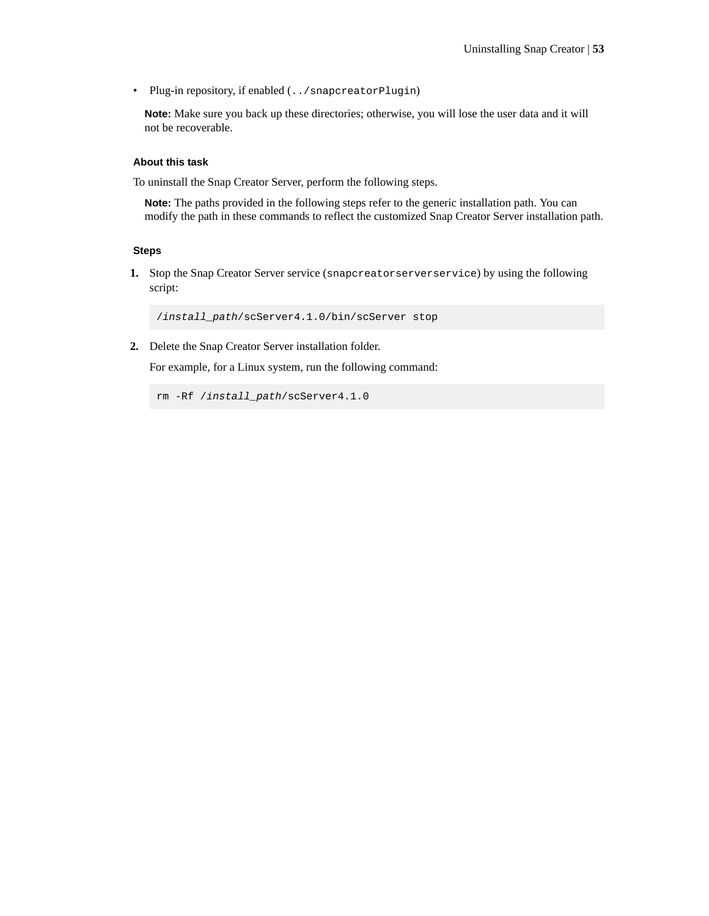• Plug-in repository, if enabled (../snapcreatorPlugin)

**Note:** Make sure you back up these directories; otherwise, you will lose the user data and it will not be recoverable.

#### **About this task**

To uninstall the Snap Creator Server, perform the following steps.

**Note:** The paths provided in the following steps refer to the generic installation path. You can modify the path in these commands to reflect the customized Snap Creator Server installation path.

#### **Steps**

**1.** Stop the Snap Creator Server service (snapcreatorserverservice) by using the following script:

/install\_path/scServer4.1.0/bin/scServer stop

**2.** Delete the Snap Creator Server installation folder.

For example, for a Linux system, run the following command:

rm -Rf /install\_path/scServer4.1.0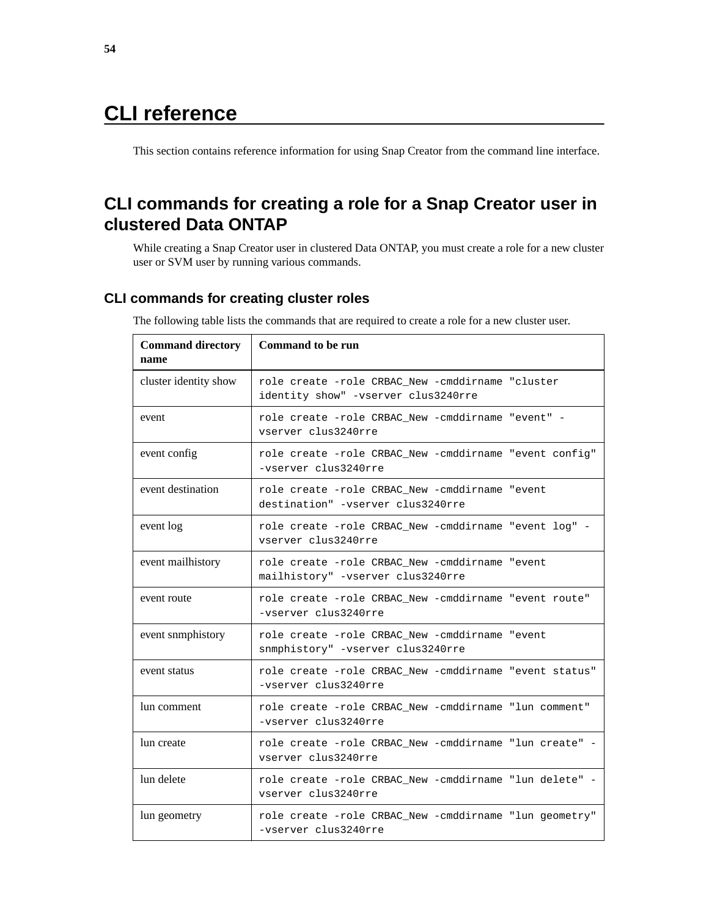# <span id="page-53-0"></span>**CLI reference**

This section contains reference information for using Snap Creator from the command line interface.

## **CLI commands for creating a role for a Snap Creator user in clustered Data ONTAP**

While creating a Snap Creator user in clustered Data ONTAP, you must create a role for a new cluster user or SVM user by running various commands.

## **CLI commands for creating cluster roles**

The following table lists the commands that are required to create a role for a new cluster user.

| <b>Command directory</b><br>name | <b>Command to be run</b>                                                                |
|----------------------------------|-----------------------------------------------------------------------------------------|
| cluster identity show            | role create -role CRBAC New -cmddirname "cluster<br>identity show" -vserver clus3240rre |
| event                            | role create -role CRBAC_New -cmddirname "event" -<br>vserver clus3240rre                |
| event config                     | role create -role CRBAC New -cmddirname "event config"<br>-vserver clus3240rre          |
| event destination                | role create -role CRBAC New -cmddirname "event<br>destination" -vserver clus3240rre     |
| event log                        | role create -role CRBAC_New -cmddirname "event log" -<br>vserver clus3240rre            |
| event mailhistory                | role create -role CRBAC New -cmddirname "event<br>mailhistory" -vserver clus3240rre     |
| event route                      | role create -role CRBAC_New -cmddirname "event route"<br>-vserver clus3240rre           |
| event snmphistory                | role create -role CRBAC_New -cmddirname "event<br>snmphistory" -vserver clus3240rre     |
| event status                     | role create -role CRBAC_New -cmddirname "event status"<br>-vserver clus3240rre          |
| lun comment                      | role create -role CRBAC_New -cmddirname "lun comment"<br>-vserver clus3240rre           |
| lun create                       | role create -role CRBAC New -cmddirname "lun create" -<br>vserver clus3240rre           |
| lun delete                       | role create -role CRBAC New -cmddirname "lun delete" -<br>vserver clus3240rre           |
| lun geometry                     | role create -role CRBAC_New -cmddirname "lun geometry"<br>-vserver clus3240rre          |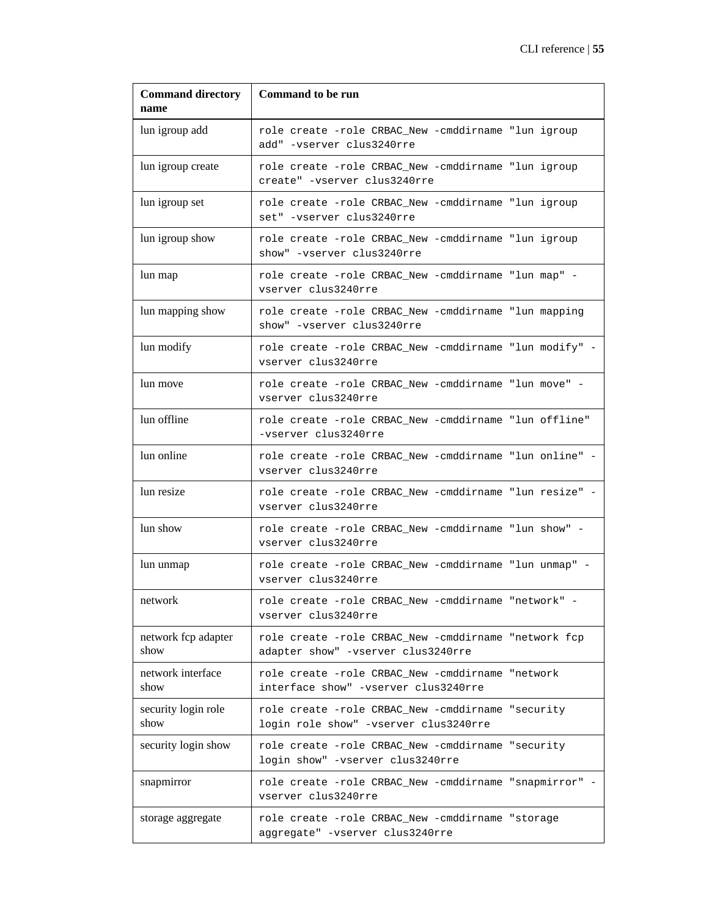| <b>Command directory</b><br>name | <b>Command to be run</b>                                                                   |
|----------------------------------|--------------------------------------------------------------------------------------------|
| lun igroup add                   | role create -role CRBAC_New -cmddirname "lun igroup<br>add" -vserver clus3240rre           |
| lun igroup create                | role create -role CRBAC_New -cmddirname "lun igroup<br>create" -vserver clus3240rre        |
| lun igroup set                   | role create -role CRBAC_New -cmddirname "lun igroup<br>set" -vserver clus3240rre           |
| lun igroup show                  | role create -role CRBAC_New -cmddirname "lun igroup<br>show" -vserver clus3240rre          |
| lun map                          | role create -role CRBAC_New -cmddirname "lun map" -<br>vserver clus3240rre                 |
| lun mapping show                 | role create -role CRBAC_New -cmddirname "lun mapping<br>show" -vserver clus3240rre         |
| lun modify                       | role create -role CRBAC_New -cmddirname "lun modify" -<br>vserver clus3240rre              |
| lun move                         | role create -role CRBAC_New -cmddirname "lun move" -<br>vserver clus3240rre                |
| lun offline                      | role create -role CRBAC_New -cmddirname "lun offline"<br>-vserver clus3240rre              |
| lun online                       | role create -role CRBAC_New -cmddirname "lun online" -<br>vserver clus3240rre              |
| lun resize                       | role create -role CRBAC_New -cmddirname "lun resize" -<br>vserver clus3240rre              |
| lun show                         | role create -role CRBAC_New -cmddirname "lun show" -<br>vserver clus3240rre                |
| lun unmap                        | role create -role CRBAC_New -cmddirname "lun unmap" -<br>vserver clus3240rre               |
| network                          | role create -role CRBAC New -cmddirname "network" -<br>vserver clus3240rre                 |
| network fcp adapter<br>show      | role create -role CRBAC_New -cmddirname "network fcp<br>adapter show" -vserver clus3240rre |
| network interface<br>show        | role create -role CRBAC_New -cmddirname "network<br>interface show" -vserver clus3240rre   |
| security login role<br>show      | role create -role CRBAC_New -cmddirname "security<br>login role show" -vserver clus3240rre |
| security login show              | role create -role CRBAC_New -cmddirname "security<br>login show" -vserver clus3240rre      |
| snapmirror                       | role create -role CRBAC_New -cmddirname "snapmirror" -<br>vserver clus3240rre              |
| storage aggregate                | role create -role CRBAC_New -cmddirname "storage<br>aggregate" -vserver clus3240rre        |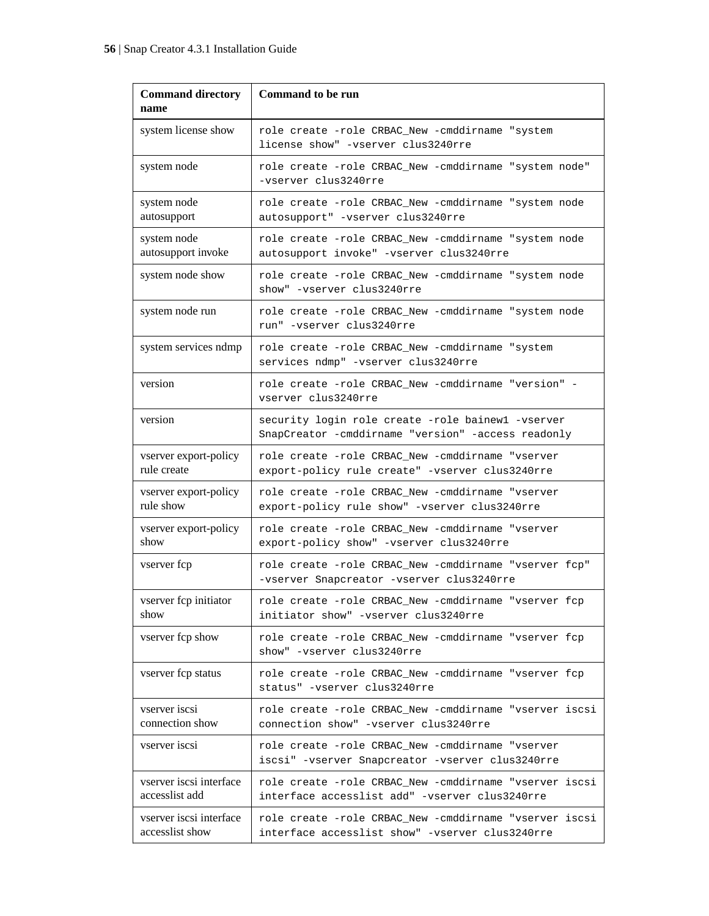| <b>Command directory</b><br>name           | <b>Command to be run</b>                                                                                  |
|--------------------------------------------|-----------------------------------------------------------------------------------------------------------|
| system license show                        | role create -role CRBAC_New -cmddirname "system<br>license show" -vserver clus3240rre                     |
| system node                                | role create -role CRBAC_New -cmddirname "system node"<br>-vserver clus3240rre                             |
| system node<br>autosupport                 | role create -role CRBAC_New -cmddirname "system node<br>autosupport" -vserver clus3240rre                 |
| system node<br>autosupport invoke          | role create -role CRBAC New -cmddirname "system node<br>autosupport invoke" -vserver clus3240rre          |
| system node show                           | role create -role CRBAC_New -cmddirname "system node<br>show" -vserver clus3240rre                        |
| system node run                            | role create -role CRBAC_New -cmddirname "system node<br>run" -vserver clus3240rre                         |
| system services ndmp                       | role create -role CRBAC_New -cmddirname "system<br>services ndmp" -vserver clus3240rre                    |
| version                                    | role create -role CRBAC_New -cmddirname "version" -<br>vserver clus3240rre                                |
| version                                    | security login role create -role bainewl -vserver<br>SnapCreator -cmddirname "version" -access readonly   |
| vserver export-policy<br>rule create       | role create -role CRBAC_New -cmddirname "vserver<br>export-policy rule create" -vserver clus3240rre       |
| vserver export-policy<br>rule show         | role create -role CRBAC_New -cmddirname "vserver<br>export-policy rule show" -vserver clus3240rre         |
| vserver export-policy<br>show              | role create -role CRBAC_New -cmddirname "vserver<br>export-policy show" -vserver clus3240rre              |
| vserver fcp                                | role create -role CRBAC_New -cmddirname "vserver fcp"<br>-vserver Snapcreator -vserver clus3240rre        |
| vserver fcp initiator<br>show              | role create -role CRBAC_New -cmddirname "vserver fcp<br>initiator show" -vserver clus3240rre              |
| vserver fcp show                           | role create -role CRBAC_New -cmddirname "vserver fcp<br>show" -vserver clus3240rre                        |
| vserver fcp status                         | role create -role CRBAC_New -cmddirname "vserver fcp<br>status" -vserver clus3240rre                      |
| vserver iscsi<br>connection show           | role create -role CRBAC New -cmddirname "vserver iscsi<br>connection show" -vserver clus3240rre           |
| vserver iscsi                              | role create -role CRBAC New -cmddirname "vserver<br>iscsi" -vserver Snapcreator -vserver clus3240rre      |
| vserver iscsi interface<br>accesslist add  | role create -role CRBAC_New -cmddirname "vserver iscsi<br>interface accesslist add" -vserver clus3240rre  |
| vserver iscsi interface<br>accesslist show | role create -role CRBAC New -cmddirname "vserver iscsi<br>interface accesslist show" -vserver clus3240rre |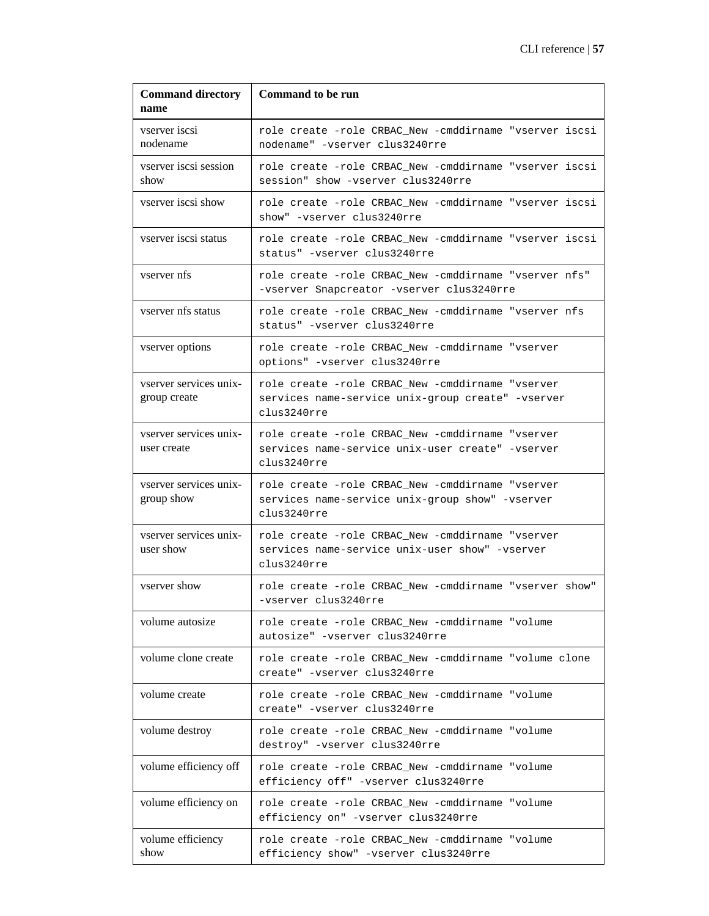| <b>Command directory</b><br>name       | <b>Command to be run</b>                                                                                             |
|----------------------------------------|----------------------------------------------------------------------------------------------------------------------|
| vserver iscsi<br>nodename              | role create -role CRBAC New -cmddirname "vserver iscsi<br>nodename" -vserver clus3240rre                             |
| vserver iscsi session<br>show          | role create -role CRBAC_New -cmddirname "vserver iscsi<br>session" show -vserver clus3240rre                         |
| vserver iscsi show                     | role create -role CRBAC_New -cmddirname "vserver iscsi<br>show" -vserver clus3240rre                                 |
| vserver iscsi status                   | role create -role CRBAC New -cmddirname "vserver iscsi<br>status" -vserver clus3240rre                               |
| vserver nfs                            | role create -role CRBAC New -cmddirname "vserver nfs"<br>-vserver Snapcreator -vserver clus3240rre                   |
| vserver nfs status                     | role create -role CRBAC New -cmddirname "vserver nfs<br>status" -vserver clus3240rre                                 |
| vserver options                        | role create -role CRBAC_New -cmddirname "vserver<br>options" -vserver clus3240rre                                    |
| vserver services unix-<br>group create | role create -role CRBAC New -cmddirname "vserver<br>services name-service unix-group create" -vserver<br>clus3240rre |
| vserver services unix-<br>user create  | role create -role CRBAC New -cmddirname "vserver<br>services name-service unix-user create" -vserver<br>clus3240rre  |
| vserver services unix-<br>group show   | role create -role CRBAC_New -cmddirname "vserver<br>services name-service unix-group show" -vserver<br>clus3240rre   |
| vserver services unix-<br>user show    | role create -role CRBAC New -cmddirname "vserver<br>services name-service unix-user show" -vserver<br>clus3240rre    |
| vserver show                           | role create -role CRBAC New -cmddirname "vserver show"<br>-vserver clus3240rre                                       |
| volume autosize                        | role create -role CRBAC New -cmddirname "volume<br>autosize" -vserver clus3240rre                                    |
| volume clone create                    | role create -role CRBAC New -cmddirname "volume clone<br>create" -vserver clus3240rre                                |
| volume create                          | role create -role CRBAC_New -cmddirname "volume<br>create" -vserver clus3240rre                                      |
| volume destroy                         | role create -role CRBAC_New -cmddirname "volume<br>destroy" -vserver clus3240rre                                     |
| volume efficiency off                  | role create -role CRBAC New -cmddirname "volume<br>efficiency off" -vserver clus3240rre                              |
| volume efficiency on                   | role create -role CRBAC New -cmddirname "volume<br>efficiency on" -vserver clus3240rre                               |
| volume efficiency<br>show              | role create -role CRBAC_New -cmddirname "volume<br>efficiency show" -vserver clus3240rre                             |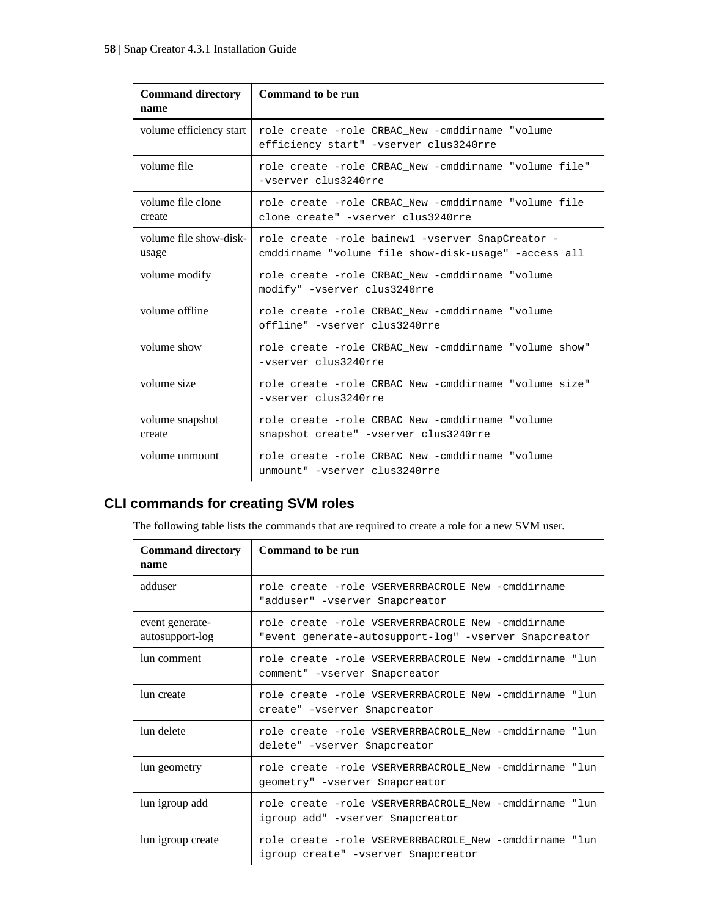<span id="page-57-0"></span>

| <b>Command directory</b><br>name | Command to be run                                                                                        |
|----------------------------------|----------------------------------------------------------------------------------------------------------|
| volume efficiency start          | role create -role CRBAC New -cmddirname "volume<br>efficiency start" -vserver clus3240rre                |
| volume file                      | role create -role CRBAC New -cmddirname "volume file"<br>-vserver clus3240rre                            |
| volume file clone<br>create      | role create -role CRBAC New -cmddirname "volume file<br>clone create" -vserver clus3240rre               |
| volume file show-disk-<br>usage  | role create -role bainewl -vserver SnapCreator -<br>cmddirname "volume file show-disk-usage" -access all |
| volume modify                    | role create -role CRBAC New -cmddirname "volume<br>modify" -vserver clus3240rre                          |
| volume offline                   | role create -role CRBAC New -cmddirname "volume<br>offline" -vserver clus3240rre                         |
| volume show                      | role create -role CRBAC_New -cmddirname "volume show"<br>-vserver clus3240rre                            |
| volume size                      | role create -role CRBAC New -cmddirname "volume size"<br>-vserver clus3240rre                            |
| volume snapshot<br>create        | role create -role CRBAC New -cmddirname "volume<br>snapshot create" -vserver clus3240rre                 |
| volume unmount                   | role create -role CRBAC New -cmddirname "volume<br>unmount" -vserver clus3240rre                         |

## **CLI commands for creating SVM roles**

The following table lists the commands that are required to create a role for a new SVM user.

| <b>Command directory</b><br>name   | Command to be run                                                                                          |
|------------------------------------|------------------------------------------------------------------------------------------------------------|
| adduser                            | role create -role VSERVERRBACROLE New -cmddirname<br>"adduser" - vserver Snapcreator                       |
| event generate-<br>autosupport-log | role create -role VSERVERRBACROLE New -cmddirname<br>"event generate-autosupport-log" -vserver Snapcreator |
| lun comment                        | role create -role VSERVERRBACROLE New -cmddirname "lun<br>comment" -vserver Snapcreator                    |
| lun create                         | role create -role VSERVERRBACROLE New -cmddirname "lun<br>create" -vserver Snapcreator                     |
| lun delete                         | role create -role VSERVERRBACROLE New -cmddirname "lun<br>delete" - vserver Snapcreator                    |
| lun geometry                       | role create -role VSERVERRBACROLE New -cmddirname "lun<br>geometry" -vserver Snapcreator                   |
| lun igroup add                     | role create -role VSERVERRBACROLE New -cmddirname "lun<br>igroup add" -vserver Snapcreator                 |
| lun igroup create                  | role create -role VSERVERRBACROLE New -cmddirname "lun<br>igroup create" -vserver Snapcreator              |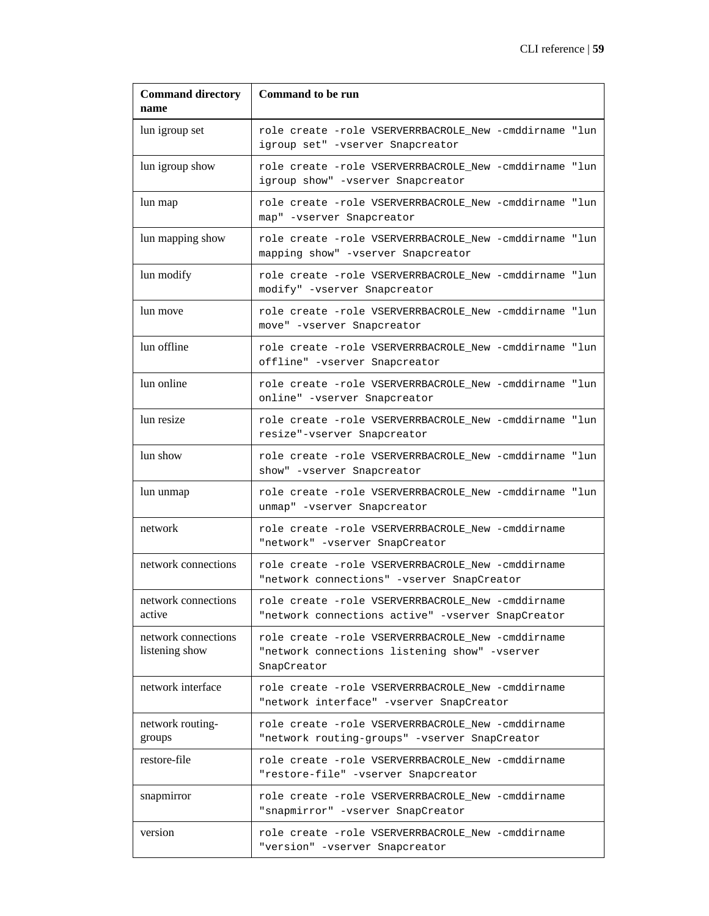| <b>Command directory</b><br>name      | <b>Command to be run</b>                                                                                          |
|---------------------------------------|-------------------------------------------------------------------------------------------------------------------|
| lun igroup set                        | role create -role VSERVERRBACROLE New -cmddirname "lun<br>igroup set" -vserver Snapcreator                        |
| lun igroup show                       | role create -role VSERVERRBACROLE New -cmddirname "lun<br>igroup show" -vserver Snapcreator                       |
| lun map                               | role create -role VSERVERRBACROLE New -cmddirname "lun<br>map" -vserver Snapcreator                               |
| lun mapping show                      | role create -role VSERVERRBACROLE_New -cmddirname "lun<br>mapping show" -vserver Snapcreator                      |
| lun modify                            | role create -role VSERVERRBACROLE New -cmddirname "lun<br>modify" -vserver Snapcreator                            |
| lun move                              | role create -role VSERVERRBACROLE New -cmddirname "lun<br>move" -vserver Snapcreator                              |
| lun offline                           | role create -role VSERVERRBACROLE New -cmddirname "lun<br>offline" -vserver Snapcreator                           |
| lun online                            | role create -role VSERVERRBACROLE New -cmddirname "lun<br>online" -vserver Snapcreator                            |
| lun resize                            | role create -role VSERVERRBACROLE_New -cmddirname "lun<br>resize"-vserver Snapcreator                             |
| lun show                              | role create -role VSERVERRBACROLE_New -cmddirname "lun<br>show" -vserver Snapcreator                              |
| lun unmap                             | role create -role VSERVERRBACROLE New -cmddirname "lun<br>unmap" -vserver Snapcreator                             |
| network                               | role create -role VSERVERRBACROLE New -cmddirname<br>"network" -vserver SnapCreator                               |
| network connections                   | role create -role VSERVERRBACROLE New -cmddirname<br>"network connections" -vserver SnapCreator                   |
| network connections<br>active         | role create -role VSERVERRBACROLE New -cmddirname<br>"network connections active" -vserver SnapCreator            |
| network connections<br>listening show | role create -role VSERVERRBACROLE_New -cmddirname<br>"network connections listening show" -vserver<br>SnapCreator |
| network interface                     | role create -role VSERVERRBACROLE_New -cmddirname<br>"network interface" -vserver SnapCreator                     |
| network routing-<br>groups            | role create -role VSERVERRBACROLE_New -cmddirname<br>"network routing-groups" -vserver SnapCreator                |
| restore-file                          | role create -role VSERVERRBACROLE New -cmddirname<br>"restore-file" -vserver Snapcreator                          |
| snapmirror                            | role create -role VSERVERRBACROLE_New -cmddirname<br>"snapmirror" -vserver SnapCreator                            |
| version                               | role create -role VSERVERRBACROLE_New -cmddirname<br>"version" -vserver Snapcreator                               |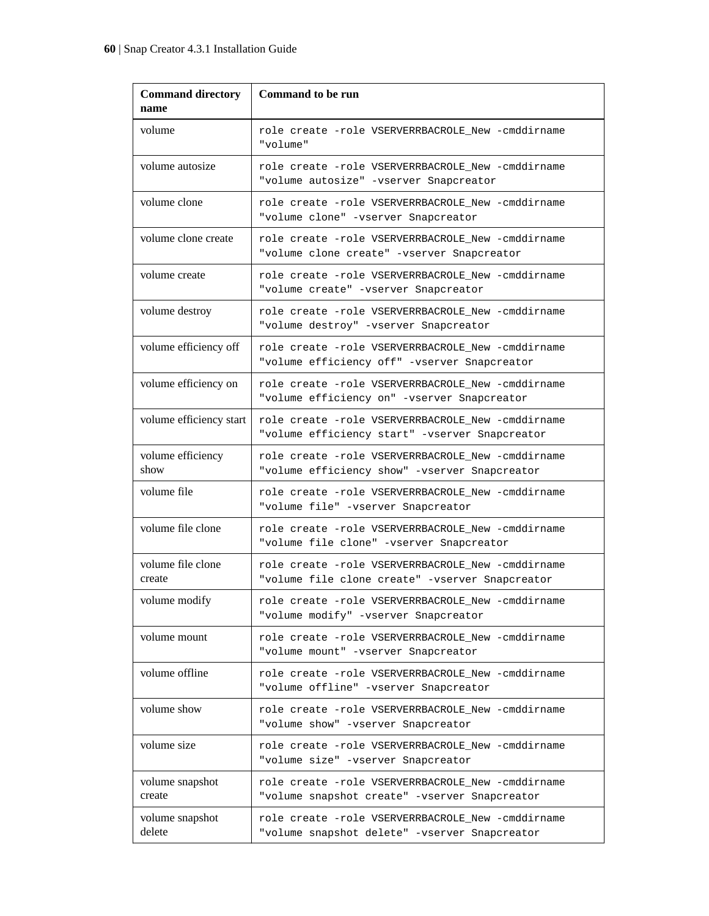| <b>Command directory</b><br>name | <b>Command to be run</b>                                                                             |
|----------------------------------|------------------------------------------------------------------------------------------------------|
| volume                           | role create -role VSERVERRBACROLE New -cmddirname<br>"volume"                                        |
| volume autosize                  | role create -role VSERVERRBACROLE New -cmddirname<br>"volume autosize" -vserver Snapcreator          |
| volume clone                     | role create -role VSERVERRBACROLE New -cmddirname<br>"volume clone" -vserver Snapcreator             |
| volume clone create              | role create -role VSERVERRBACROLE New -cmddirname<br>"volume clone create" -vserver Snapcreator      |
| volume create                    | role create -role VSERVERRBACROLE_New -cmddirname<br>"volume create" -vserver Snapcreator            |
| volume destroy                   | role create -role VSERVERRBACROLE New -cmddirname<br>"volume destroy" -vserver Snapcreator           |
| volume efficiency off            | role create -role VSERVERRBACROLE New -cmddirname<br>"volume efficiency off" -vserver Snapcreator    |
| volume efficiency on             | role create -role VSERVERRBACROLE New -cmddirname<br>"volume efficiency on" -vserver Snapcreator     |
| volume efficiency start          | role create -role VSERVERRBACROLE New -cmddirname<br>"volume efficiency start" -vserver Snapcreator  |
| volume efficiency<br>show        | role create -role VSERVERRBACROLE New -cmddirname<br>"volume efficiency show" -vserver Snapcreator   |
| volume file                      | role create -role VSERVERRBACROLE New -cmddirname<br>"volume file" -vserver Snapcreator              |
| volume file clone                | role create -role VSERVERRBACROLE New -cmddirname<br>"volume file clone" -vserver Snapcreator        |
| volume file clone<br>create      | role create -role VSERVERRBACROLE New -cmddirname<br>"volume file clone create" -vserver Snapcreator |
| volume modify                    | role create -role VSERVERRBACROLE_New -cmddirname<br>"volume modify" -vserver Snapcreator            |
| volume mount                     | role create -role VSERVERRBACROLE New -cmddirname<br>"volume mount" -vserver Snapcreator             |
| volume offline                   | role create -role VSERVERRBACROLE New -cmddirname<br>"volume offline" -vserver Snapcreator           |
| volume show                      | role create -role VSERVERRBACROLE New -cmddirname<br>"volume show" -vserver Snapcreator              |
| volume size                      | role create -role VSERVERRBACROLE New -cmddirname<br>"volume size" -vserver Snapcreator              |
| volume snapshot<br>create        | role create -role VSERVERRBACROLE_New -cmddirname<br>"volume snapshot create" -vserver Snapcreator   |
| volume snapshot<br>delete        | role create -role VSERVERRBACROLE New -cmddirname<br>"volume snapshot delete" -vserver Snapcreator   |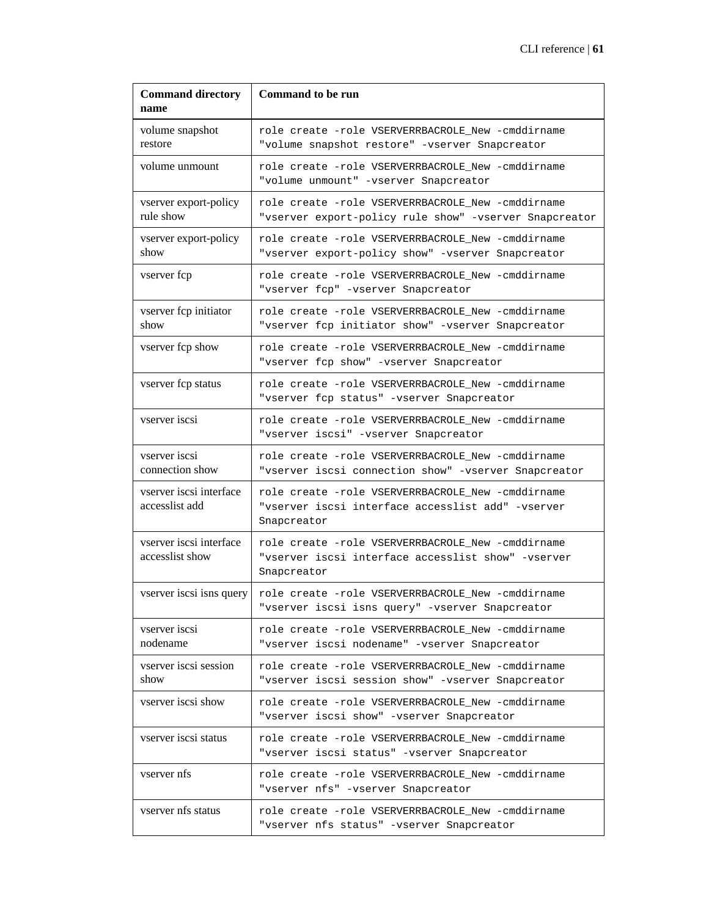| <b>Command directory</b><br>name           | <b>Command to be run</b>                                                                                               |
|--------------------------------------------|------------------------------------------------------------------------------------------------------------------------|
| volume snapshot<br>restore                 | role create -role VSERVERRBACROLE New -cmddirname<br>"volume snapshot restore" -vserver Snapcreator                    |
| volume unmount                             | role create -role VSERVERRBACROLE_New -cmddirname<br>"volume unmount" -vserver Snapcreator                             |
| vserver export-policy<br>rule show         | role create -role VSERVERRBACROLE New -cmddirname<br>"vserver export-policy rule show" -vserver Snapcreator            |
| vserver export-policy<br>show              | role create -role VSERVERRBACROLE New -cmddirname<br>"vserver export-policy show" -vserver Snapcreator                 |
| vserver fcp                                | role create -role VSERVERRBACROLE New -cmddirname<br>"vserver fcp" -vserver Snapcreator                                |
| vserver fcp initiator<br>show              | role create -role VSERVERRBACROLE_New -cmddirname<br>"vserver fcp initiator show" -vserver Snapcreator                 |
| vserver fcp show                           | role create -role VSERVERRBACROLE New -cmddirname<br>"vserver fcp show" -vserver Snapcreator                           |
| vserver fcp status                         | role create -role VSERVERRBACROLE New -cmddirname<br>"vserver fcp status" -vserver Snapcreator                         |
| vserver iscsi                              | role create -role VSERVERRBACROLE New -cmddirname<br>"vserver iscsi" -vserver Snapcreator                              |
| vserver iscsi<br>connection show           | role create -role VSERVERRBACROLE New -cmddirname<br>"vserver iscsi connection show" -vserver Snapcreator              |
| vserver iscsi interface<br>accesslist add  | role create -role VSERVERRBACROLE New -cmddirname<br>"vserver iscsi interface accesslist add" -vserver<br>Snapcreator  |
| vserver iscsi interface<br>accesslist show | role create -role VSERVERRBACROLE New -cmddirname<br>"vserver iscsi interface accesslist show" -vserver<br>Snapcreator |
| vserver iscsi isns query                   | role create -role VSERVERRBACROLE_New -cmddirname<br>"vserver iscsi isns query" -vserver Snapcreator                   |
| vserver iscsi<br>nodename                  | role create -role VSERVERRBACROLE New -cmddirname<br>"vserver iscsi nodename" -vserver Snapcreator                     |
| vserver iscsi session<br>show              | role create -role VSERVERRBACROLE New -cmddirname<br>"vserver iscsi session show" -vserver Snapcreator                 |
| vserver iscsi show                         | role create -role VSERVERRBACROLE New -cmddirname<br>"vserver iscsi show" -vserver Snapcreator                         |
| vserver iscsi status                       | role create -role VSERVERRBACROLE New -cmddirname<br>"vserver iscsi status" -vserver Snapcreator                       |
| vserver nfs                                | role create -role VSERVERRBACROLE New -cmddirname<br>"vserver nfs" -vserver Snapcreator                                |
| vserver nfs status                         | role create -role VSERVERRBACROLE New -cmddirname<br>"vserver nfs status" -vserver Snapcreator                         |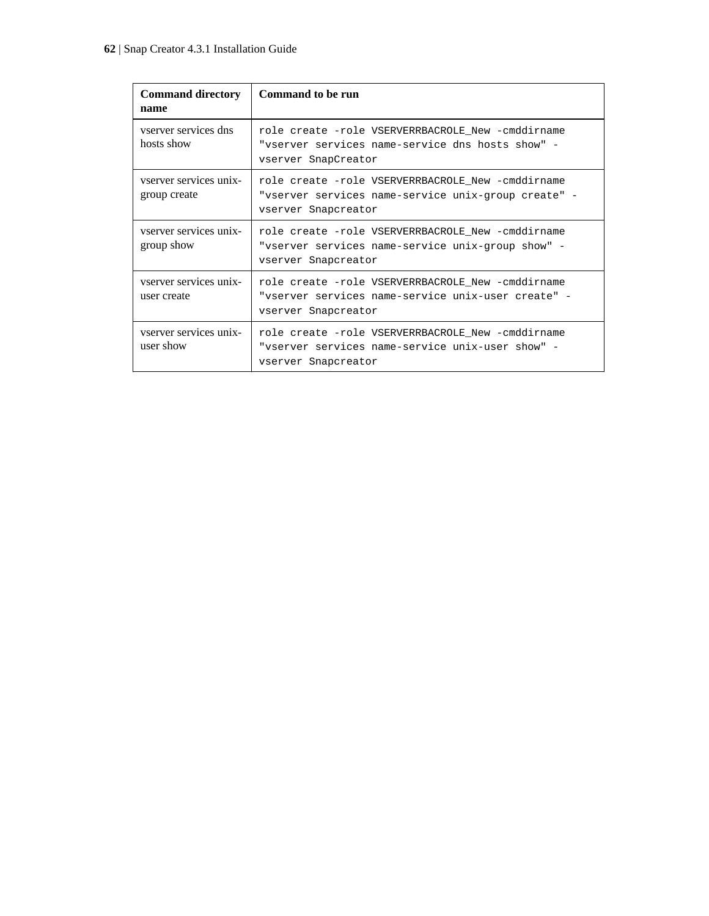| <b>Command directory</b><br>name       | Command to be run                                                                                                               |
|----------------------------------------|---------------------------------------------------------------------------------------------------------------------------------|
| vserver services dns<br>hosts show     | role create -role VSERVERRBACROLE New -cmddirname<br>"vserver services name-service dns hosts show" -<br>vserver SnapCreator    |
| vserver services unix-<br>group create | role create -role VSERVERRBACROLE New -cmddirname<br>"vserver services name-service unix-group create" -<br>vserver Snapcreator |
| vserver services unix-<br>group show   | role create -role VSERVERRBACROLE New -cmddirname<br>"vserver services name-service unix-group show" -<br>vserver Snapcreator   |
| vserver services unix-<br>user create  | role create -role VSERVERRBACROLE New -cmddirname<br>"vserver services name-service unix-user create" -<br>vserver Snapcreator  |
| vserver services unix-<br>user show    | role create -role VSERVERRBACROLE_New -cmddirname<br>"vserver services name-service unix-user show" -<br>vserver Snapcreator    |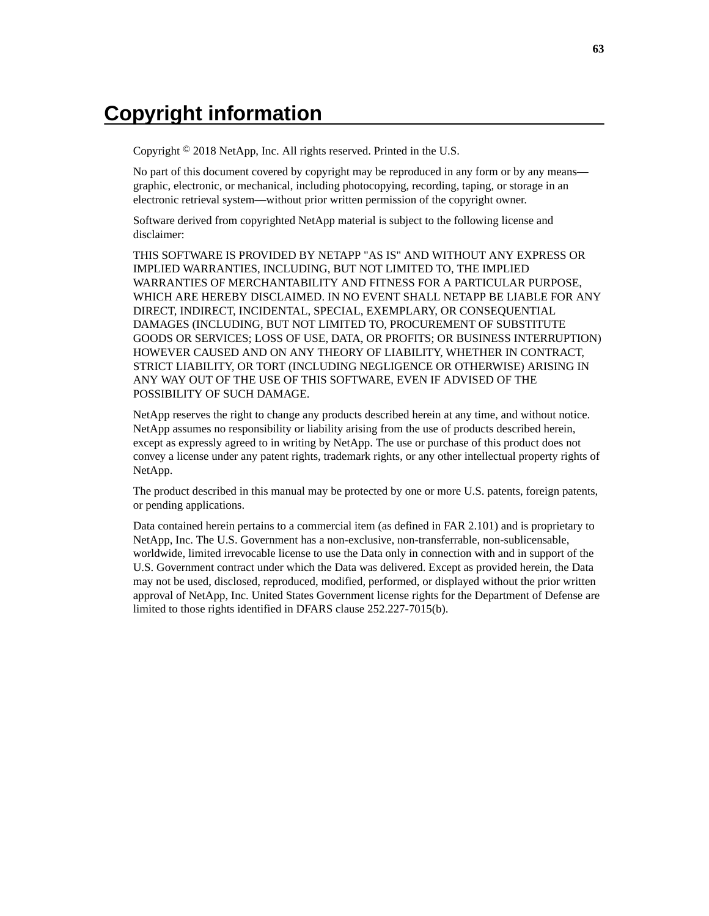# <span id="page-62-0"></span>**Copyright information**

Copyright © 2018 NetApp, Inc. All rights reserved. Printed in the U.S.

No part of this document covered by copyright may be reproduced in any form or by any means graphic, electronic, or mechanical, including photocopying, recording, taping, or storage in an electronic retrieval system—without prior written permission of the copyright owner.

Software derived from copyrighted NetApp material is subject to the following license and disclaimer:

THIS SOFTWARE IS PROVIDED BY NETAPP "AS IS" AND WITHOUT ANY EXPRESS OR IMPLIED WARRANTIES, INCLUDING, BUT NOT LIMITED TO, THE IMPLIED WARRANTIES OF MERCHANTABILITY AND FITNESS FOR A PARTICULAR PURPOSE, WHICH ARE HEREBY DISCLAIMED. IN NO EVENT SHALL NETAPP BE LIABLE FOR ANY DIRECT, INDIRECT, INCIDENTAL, SPECIAL, EXEMPLARY, OR CONSEQUENTIAL DAMAGES (INCLUDING, BUT NOT LIMITED TO, PROCUREMENT OF SUBSTITUTE GOODS OR SERVICES; LOSS OF USE, DATA, OR PROFITS; OR BUSINESS INTERRUPTION) HOWEVER CAUSED AND ON ANY THEORY OF LIABILITY, WHETHER IN CONTRACT, STRICT LIABILITY, OR TORT (INCLUDING NEGLIGENCE OR OTHERWISE) ARISING IN ANY WAY OUT OF THE USE OF THIS SOFTWARE, EVEN IF ADVISED OF THE POSSIBILITY OF SUCH DAMAGE.

NetApp reserves the right to change any products described herein at any time, and without notice. NetApp assumes no responsibility or liability arising from the use of products described herein, except as expressly agreed to in writing by NetApp. The use or purchase of this product does not convey a license under any patent rights, trademark rights, or any other intellectual property rights of NetApp.

The product described in this manual may be protected by one or more U.S. patents, foreign patents, or pending applications.

Data contained herein pertains to a commercial item (as defined in FAR 2.101) and is proprietary to NetApp, Inc. The U.S. Government has a non-exclusive, non-transferrable, non-sublicensable, worldwide, limited irrevocable license to use the Data only in connection with and in support of the U.S. Government contract under which the Data was delivered. Except as provided herein, the Data may not be used, disclosed, reproduced, modified, performed, or displayed without the prior written approval of NetApp, Inc. United States Government license rights for the Department of Defense are limited to those rights identified in DFARS clause 252.227-7015(b).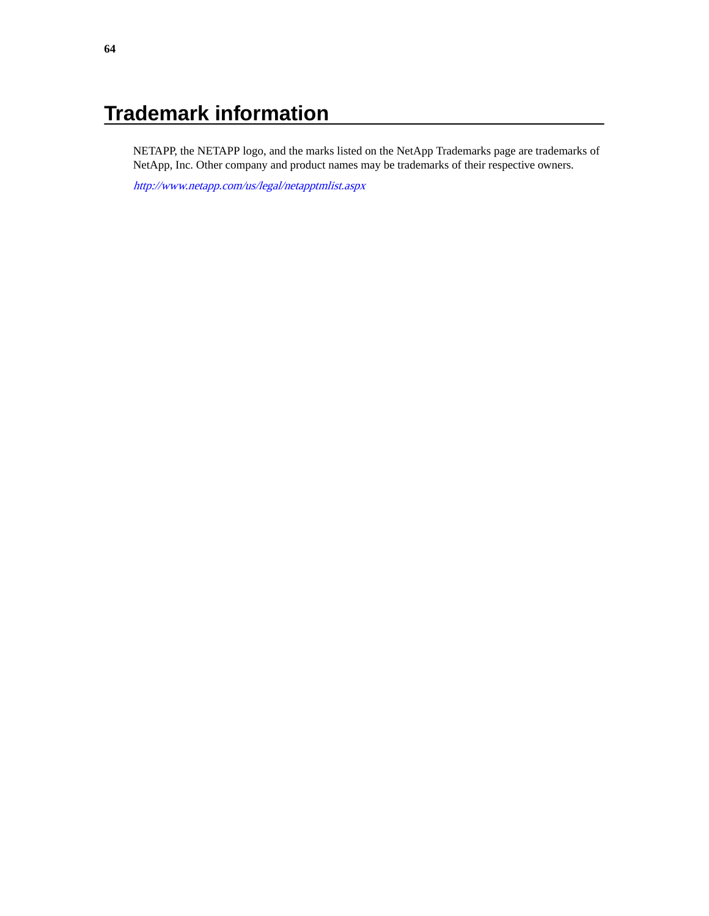# <span id="page-63-0"></span>**Trademark information**

NETAPP, the NETAPP logo, and the marks listed on the NetApp Trademarks page are trademarks of NetApp, Inc. Other company and product names may be trademarks of their respective owners.

<http://www.netapp.com/us/legal/netapptmlist.aspx>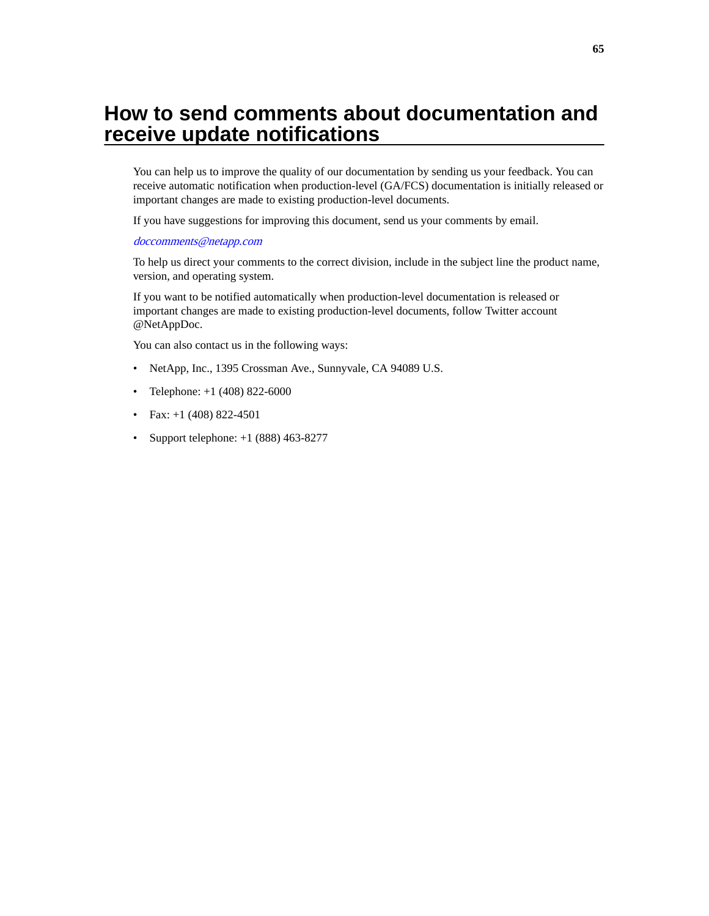# <span id="page-64-0"></span>**How to send comments about documentation and receive update notifications**

You can help us to improve the quality of our documentation by sending us your feedback. You can receive automatic notification when production-level (GA/FCS) documentation is initially released or important changes are made to existing production-level documents.

If you have suggestions for improving this document, send us your comments by email.

#### [doccomments@netapp.com](mailto:doccomments@netapp.com)

To help us direct your comments to the correct division, include in the subject line the product name, version, and operating system.

If you want to be notified automatically when production-level documentation is released or important changes are made to existing production-level documents, follow Twitter account @NetAppDoc.

You can also contact us in the following ways:

- NetApp, Inc., 1395 Crossman Ave., Sunnyvale, CA 94089 U.S.
- Telephone: +1 (408) 822-6000
- Fax:  $+1$  (408) 822-4501
- Support telephone: +1 (888) 463-8277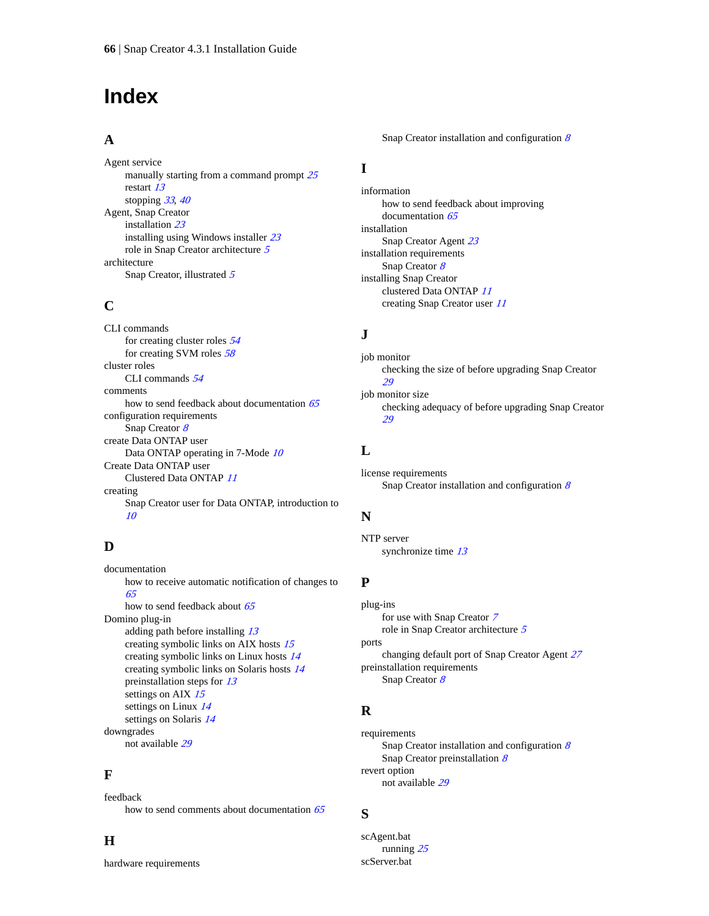# <span id="page-65-0"></span>**Index**

## **A**

Agent service manually starting from a command prompt  $25$ restart [13](#page-12-0) stopping [33](#page-32-0), [40](#page-39-0) Agent, Snap Creator installation [23](#page-22-0) installing using Windows installer [23](#page-22-0) role in Snap Creator architecture [5](#page-4-0) architecture Snap Creator, illustrated [5](#page-4-0)

## **C**

CLI commands for creating cluster roles [54](#page-53-0) for creating SVM roles [58](#page-57-0) cluster roles CLI commands [54](#page-53-0) comments how to send feedback about documentation  $65$ configuration requirements Snap Creator [8](#page-7-0) create Data ONTAP user Data ONTAP operating in 7-Mode [10](#page-9-0) Create Data ONTAP user Clustered Data ONTAP [11](#page-10-0) creating Snap Creator user for Data ONTAP, introduction to [10](#page-9-0)

## **D**

documentation how to receive automatic notification of changes to [65](#page-64-0) how to send feedback about [65](#page-64-0) Domino plug-in adding path before installing [13](#page-12-0) creating symbolic links on AIX hosts [15](#page-14-0) creating symbolic links on Linux hosts [14](#page-13-0) creating symbolic links on Solaris hosts [14](#page-13-0) preinstallation steps for [13](#page-12-0) settings on AIX [15](#page-14-0) settings on Linux [14](#page-13-0) settings on Solaris [14](#page-13-0) downgrades not available [29](#page-28-0)

### **F**

feedback how to send comments about documentation  $65$ 

## **H**

hardware requirements

Snap Creator installation and configuration  $8$ 

## **I**

information how to send feedback about improving documentation [65](#page-64-0) installation Snap Creator Agent [23](#page-22-0) installation requirements Snap Creator [8](#page-7-0) installing Snap Creator clustered Data ONTAP [11](#page-10-0) creating Snap Creator user [11](#page-10-0)

## **J**

job monitor checking the size of before upgrading Snap Creator [29](#page-28-0) job monitor size checking adequacy of before upgrading Snap Creator [29](#page-28-0)

## **L**

license requirements Snap Creator installation and configuration  $8$ 

## **N**

NTP server synchronize time [13](#page-12-0)

### **P**

plug-ins for use with Snap Creator [7](#page-6-0) role in Snap Creator architecture [5](#page-4-0) ports changing default port of Snap Creator Agent [27](#page-26-0) preinstallation requirements Snap Creator [8](#page-7-0)

## **R**

requirements Snap Creator installation and configuration  $8$ Snap Creator preinstallation [8](#page-7-0) revert option not available [29](#page-28-0)

### **S**

scAgent.bat running [25](#page-24-0) scServer.bat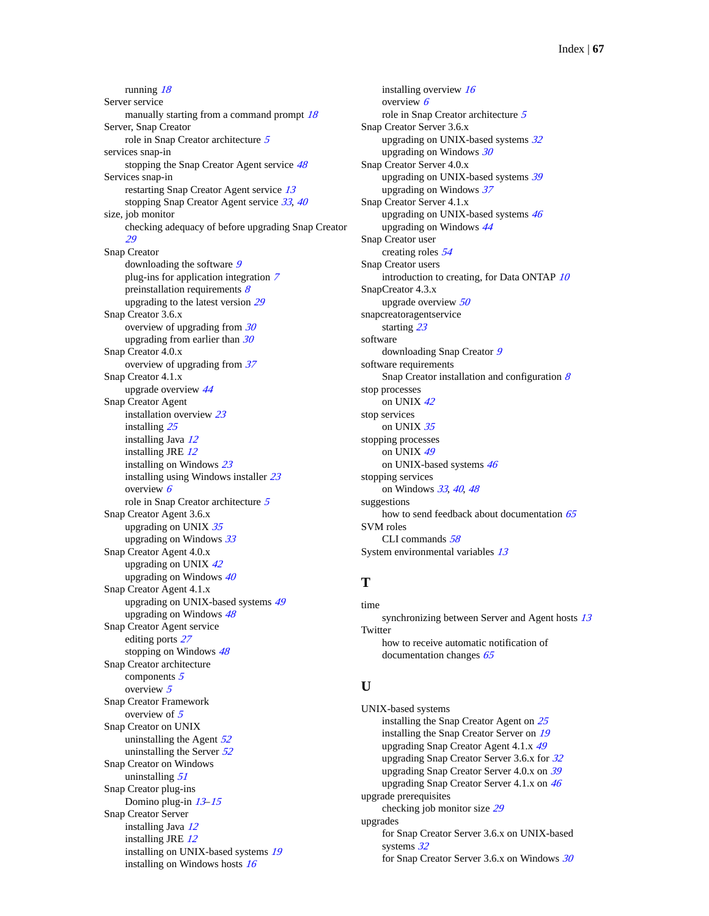running [18](#page-17-0) Server service manually starting from a command prompt [18](#page-17-0) Server, Snap Creator role in Snap Creator architecture [5](#page-4-0) services snap-in stopping the Snap Creator Agent service [48](#page-47-0) Services snap-in restarting Snap Creator Agent service [13](#page-12-0) stopping Snap Creator Agent service [33](#page-32-0), [40](#page-39-0) size, job monitor checking adequacy of before upgrading Snap Creator [29](#page-28-0) Snap Creator downloading the software [9](#page-8-0) plug-ins for application integration [7](#page-6-0) preinstallation requirements  $8$ upgrading to the latest version [29](#page-28-0) Snap Creator 3.6.x overview of upgrading from [30](#page-29-0) upgrading from earlier than  $30$ Snap Creator 4.0.x overview of upgrading from [37](#page-36-0) Snap Creator 4.1.x upgrade overview [44](#page-43-0) Snap Creator Agent installation overview [23](#page-22-0) installing [25](#page-24-0) installing Java [12](#page-11-0) installing JRE [12](#page-11-0) installing on Windows [23](#page-22-0) installing using Windows installer [23](#page-22-0) overview [6](#page-5-0) role in Snap Creator architecture [5](#page-4-0) Snap Creator Agent 3.6.x upgrading on UNIX [35](#page-34-0) upgrading on Windows [33](#page-32-0) Snap Creator Agent 4.0.x upgrading on UNIX [42](#page-41-0) upgrading on Windows  $40$ Snap Creator Agent 4.1.x upgrading on UNIX-based systems [49](#page-48-0) upgrading on Windows [48](#page-47-0) Snap Creator Agent service editing ports [27](#page-26-0) stopping on Windows [48](#page-47-0) Snap Creator architecture components [5](#page-4-0) overview [5](#page-4-0) Snap Creator Framework overview of [5](#page-4-0) Snap Creator on UNIX uninstalling the Agent  $52$ uninstalling the Server  $52$ Snap Creator on Windows uninstalling [51](#page-50-0) Snap Creator plug-ins Domino plug-in [13](#page-12-0)–[15](#page-14-0) Snap Creator Server installing Java [12](#page-11-0) installing JRE  $12$ installing on UNIX-based systems [19](#page-18-0) installing on Windows hosts [16](#page-15-0)

installing overview [16](#page-15-0) overview [6](#page-5-0) role in Snap Creator architecture [5](#page-4-0) Snap Creator Server 3.6.x upgrading on UNIX-based systems  $32$ upgrading on Windows  $30$ Snap Creator Server 4.0.x upgrading on UNIX-based systems [39](#page-38-0) upgrading on Windows  $37$ Snap Creator Server 4.1.x upgrading on UNIX-based systems [46](#page-45-0) upgrading on Windows [44](#page-43-0) Snap Creator user creating roles [54](#page-53-0) Snap Creator users introduction to creating, for Data ONTAP [10](#page-9-0) SnapCreator 4.3.x upgrade overview [50](#page-49-0) snapcreatoragentservice starting [23](#page-22-0) software downloading Snap Creator [9](#page-8-0) software requirements Snap Creator installation and configuration  $8$ stop processes on UNIX [42](#page-41-0) stop services on UNIX [35](#page-34-0) stopping processes on UNIX [49](#page-48-0) on UNIX-based systems [46](#page-45-0) stopping services on Windows [33](#page-32-0), [40](#page-39-0), [48](#page-47-0) suggestions how to send feedback about documentation  $65$ SVM roles CLI commands [58](#page-57-0) System environmental variables [13](#page-12-0)

## **T**

time synchronizing between Server and Agent hosts  $13$ **Twitter** how to receive automatic notification of documentation changes [65](#page-64-0)

### **U**

UNIX-based systems installing the Snap Creator Agent on [25](#page-24-0) installing the Snap Creator Server on [19](#page-18-0) upgrading Snap Creator Agent 4.1.x [49](#page-48-0) upgrading Snap Creator Server 3.6.x for [32](#page-31-0) upgrading Snap Creator Server 4.0.x on [39](#page-38-0) upgrading Snap Creator Server 4.1.x on [46](#page-45-0) upgrade prerequisites checking job monitor size [29](#page-28-0) upgrades for Snap Creator Server 3.6.x on UNIX-based systems [32](#page-31-0) for Snap Creator Server 3.6.x on Windows [30](#page-29-0)